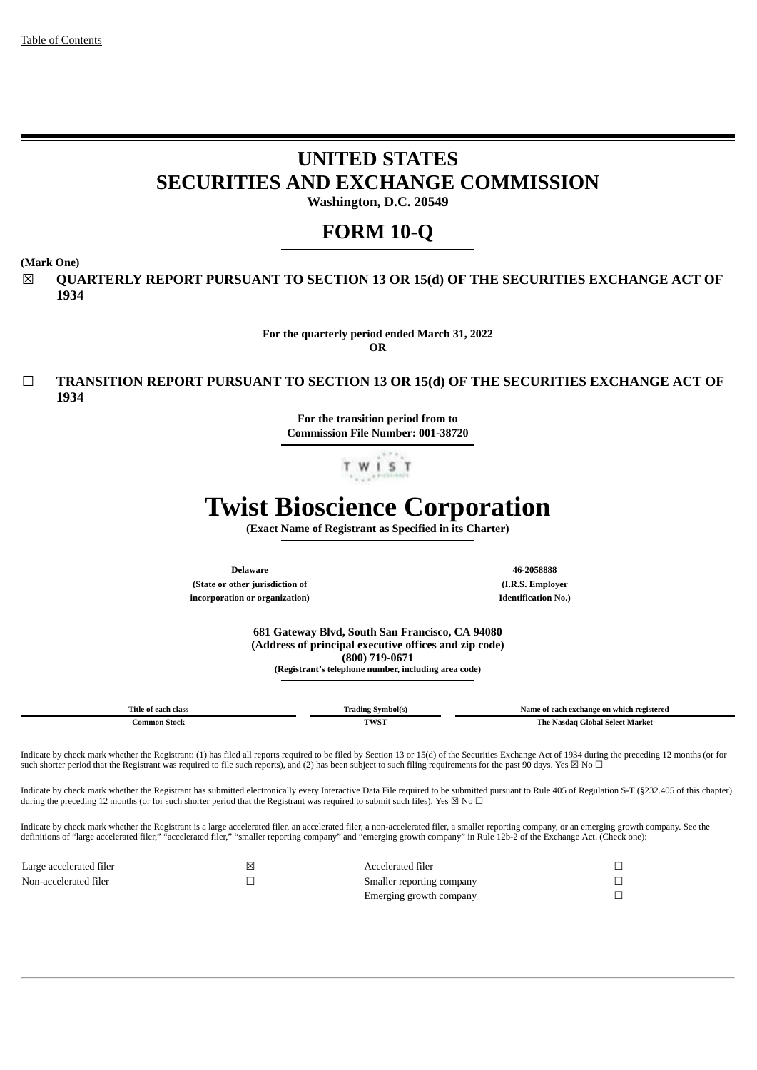# <span id="page-0-0"></span>**UNITED STATES SECURITIES AND EXCHANGE COMMISSION**

**Washington, D.C. 20549**

## **FORM 10-Q**

**(Mark One)**

☒ **QUARTERLY REPORT PURSUANT TO SECTION 13 OR 15(d) OF THE SECURITIES EXCHANGE ACT OF 1934**

**For the quarterly period ended March 31, 2022**

**OR**

☐ **TRANSITION REPORT PURSUANT TO SECTION 13 OR 15(d) OF THE SECURITIES EXCHANGE ACT OF 1934**

> **For the transition period from to Commission File Number: 001-38720**



# **Twist Bioscience Corporation**

**(Exact Name of Registrant as Specified in its Charter)**

**Delaware 46-2058888 (State or other jurisdiction of (I.R.S. Employer incorporation or organization) Identification No.)**

**681 Gateway Blvd, South San Francisco, CA 94080 (Address of principal executive offices and zip code) (800) 719-0671**

**(Registrant's telephone number, including area code)**

| Title of each class | Trading Svmbol(s) | Name of each exchange on which registered |
|---------------------|-------------------|-------------------------------------------|
| ommon Stock         | <b>TWST</b>       | The Nasdag Global Select Market           |

Indicate by check mark whether the Registrant: (1) has filed all reports required to be filed by Section 13 or 15(d) of the Securities Exchange Act of 1934 during the preceding 12 months (or for such shorter period that the Registrant was required to file such reports), and (2) has been subject to such filing requirements for the past 90 days. Yes  $\boxtimes$  No  $\Box$ 

Indicate by check mark whether the Registrant has submitted electronically every Interactive Data File required to be submitted pursuant to Rule 405 of Regulation S-T (§232.405 of this chapter) during the preceding 12 months (or for such shorter period that the Registrant was required to submit such files). Yes  $\boxtimes$  No  $\Box$ 

Indicate by check mark whether the Registrant is a large accelerated filer, an accelerated filer, a non-accelerated filer, a smaller reporting company, or an emerging growth company. See the definitions of "large accelerated filer," "accelerated filer," "smaller reporting company" and "emerging growth company" in Rule 12b-2 of the Exchange Act. (Check one):

| Large accelerated filer | ⊠ | Accelerated filer         |  |
|-------------------------|---|---------------------------|--|
| Non-accelerated filer   |   | Smaller reporting company |  |
|                         |   | Emerging growth company   |  |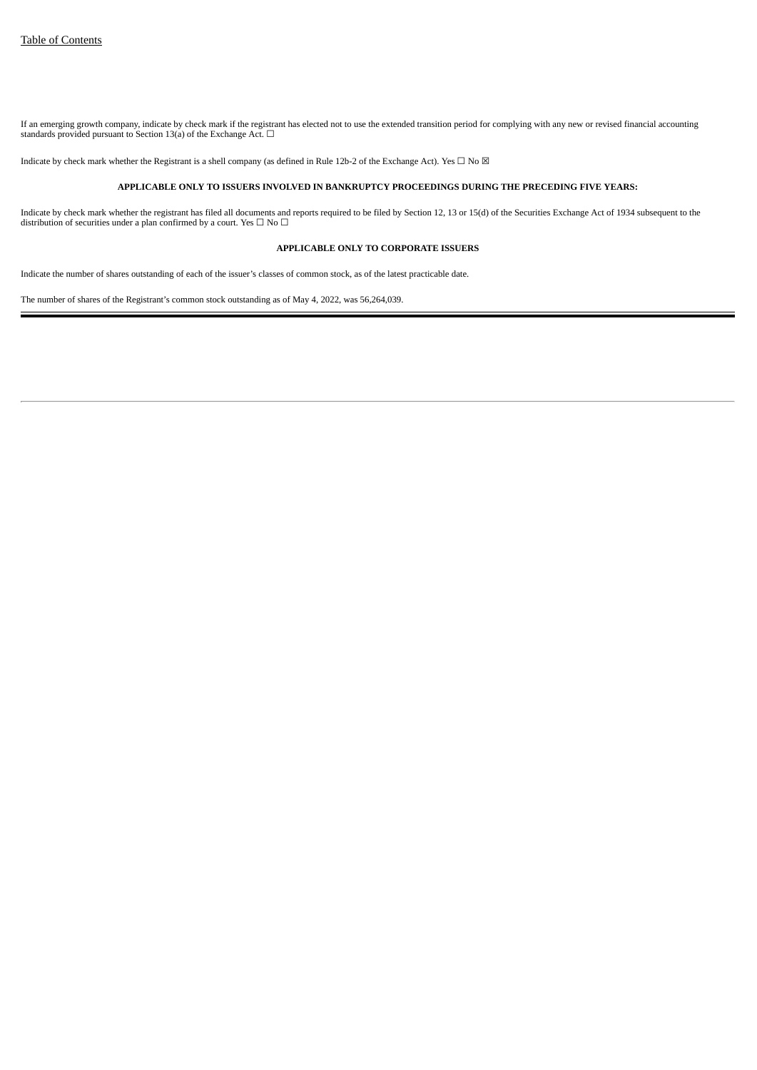If an emerging growth company, indicate by check mark if the registrant has elected not to use the extended transition period for complying with any new or revised financial accounting standards provided pursuant to Section 13(a) of the Exchange Act.  $\Box$ 

Indicate by check mark whether the Registrant is a shell company (as defined in Rule 12b-2 of the Exchange Act). Yes  $\Box$  No  $\boxtimes$ 

#### **APPLICABLE ONLY TO ISSUERS INVOLVED IN BANKRUPTCY PROCEEDINGS DURING THE PRECEDING FIVE YEARS:**

Indicate by check mark whether the registrant has filed all documents and reports required to be filed by Section 12, 13 or 15(d) of the Securities Exchange Act of 1934 subsequent to the distribution of securities under a plan confirmed by a court. Yes  $\Box$  No  $\Box$ 

#### **APPLICABLE ONLY TO CORPORATE ISSUERS**

Indicate the number of shares outstanding of each of the issuer's classes of common stock, as of the latest practicable date.

The number of shares of the Registrant's common stock outstanding as of May 4, 2022, was 56,264,039.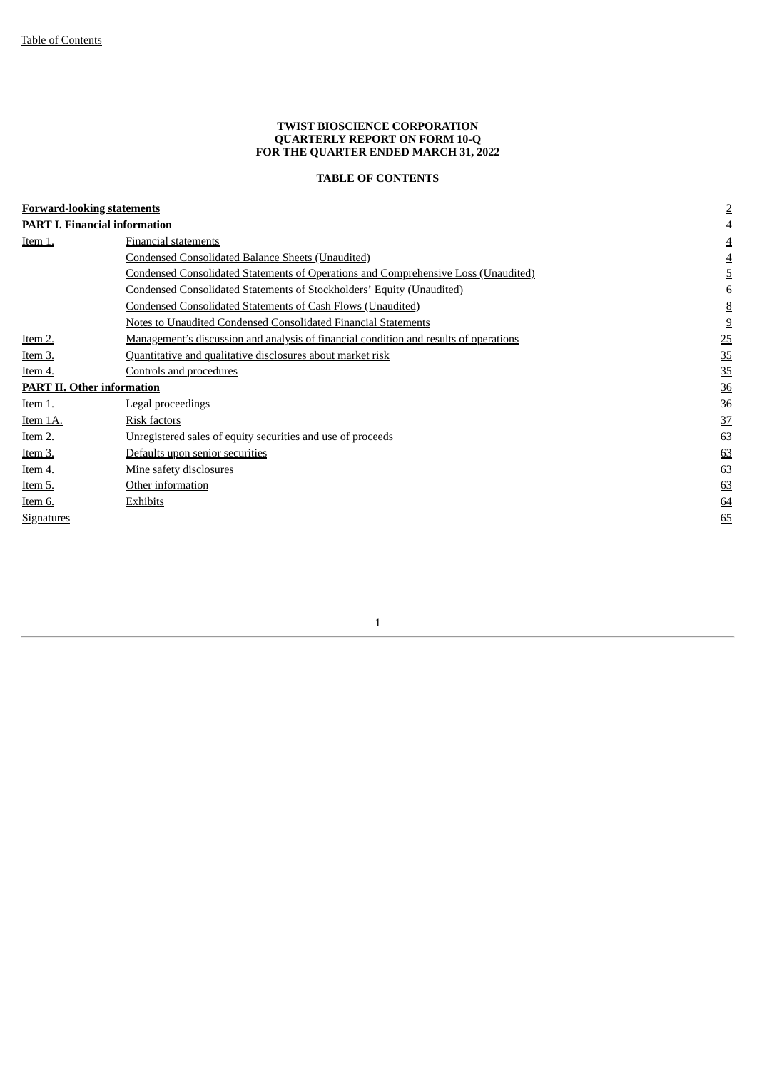#### **TWIST BIOSCIENCE CORPORATION QUARTERLY REPORT ON FORM 10-Q FOR THE QUARTER ENDED MARCH 31, 2022**

## **TABLE OF CONTENTS**

<span id="page-2-0"></span>

|                   | <b>Forward-looking statements</b>                                                     | $\overline{2}$ |
|-------------------|---------------------------------------------------------------------------------------|----------------|
|                   | <b>PART I. Financial information</b>                                                  | 4              |
| Item 1.           | <b>Financial statements</b>                                                           | 4              |
|                   | Condensed Consolidated Balance Sheets (Unaudited)                                     |                |
|                   | Condensed Consolidated Statements of Operations and Comprehensive Loss (Unaudited)    |                |
|                   | Condensed Consolidated Statements of Stockholders' Equity (Unaudited)                 | 6              |
|                   | Condensed Consolidated Statements of Cash Flows (Unaudited)                           | 8              |
|                   | Notes to Unaudited Condensed Consolidated Financial Statements                        | <u>9</u>       |
| Item 2.           | Management's discussion and analysis of financial condition and results of operations | 25             |
| Item 3.           | Quantitative and qualitative disclosures about market risk                            | 35             |
| <u>Item 4.</u>    | Controls and procedures                                                               | 35             |
|                   | <b>PART II. Other information</b>                                                     | 36             |
| Item 1.           | <b>Legal proceedings</b>                                                              | 36             |
| Item 1A.          | <b>Risk factors</b>                                                                   | 37             |
| Item 2.           | Unregistered sales of equity securities and use of proceeds                           | 63             |
| <u>Item 3.</u>    | Defaults upon senior securities                                                       | 63             |
| Item 4.           | Mine safety disclosures                                                               | 63             |
| <u>Item 5.</u>    | Other information                                                                     | 63             |
| Item 6.           | Exhibits                                                                              | 64             |
| <b>Signatures</b> |                                                                                       | 65             |
|                   |                                                                                       |                |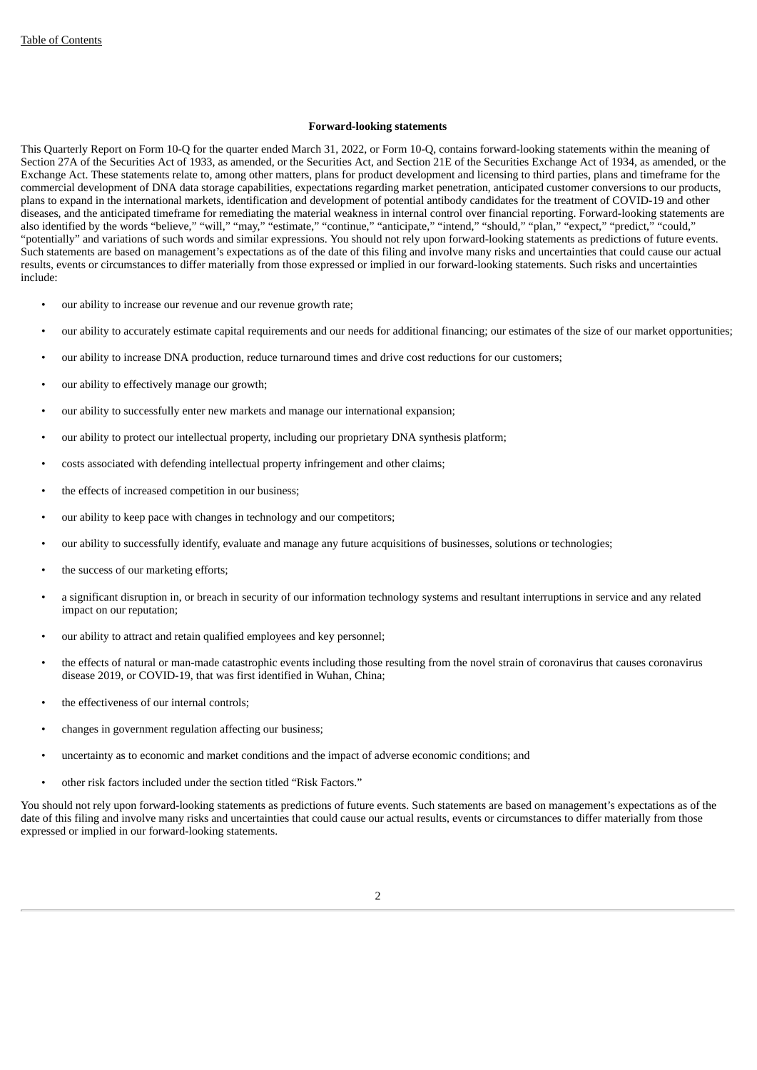#### **Forward-looking statements**

This Quarterly Report on Form 10-Q for the quarter ended March 31, 2022, or Form 10-Q, contains forward-looking statements within the meaning of Section 27A of the Securities Act of 1933, as amended, or the Securities Act, and Section 21E of the Securities Exchange Act of 1934, as amended, or the Exchange Act. These statements relate to, among other matters, plans for product development and licensing to third parties, plans and timeframe for the commercial development of DNA data storage capabilities, expectations regarding market penetration, anticipated customer conversions to our products, plans to expand in the international markets, identification and development of potential antibody candidates for the treatment of COVID-19 and other diseases, and the anticipated timeframe for remediating the material weakness in internal control over financial reporting. Forward-looking statements are also identified by the words "believe," "will," "may," "estimate," "continue," "anticipate," "intend," "should," "plan," "expect," "predict," "could," "potentially" and variations of such words and similar expressions. You should not rely upon forward-looking statements as predictions of future events. Such statements are based on management's expectations as of the date of this filing and involve many risks and uncertainties that could cause our actual results, events or circumstances to differ materially from those expressed or implied in our forward-looking statements. Such risks and uncertainties include:

- our ability to increase our revenue and our revenue growth rate;
- our ability to accurately estimate capital requirements and our needs for additional financing; our estimates of the size of our market opportunities;
- our ability to increase DNA production, reduce turnaround times and drive cost reductions for our customers;
- our ability to effectively manage our growth;
- our ability to successfully enter new markets and manage our international expansion;
- our ability to protect our intellectual property, including our proprietary DNA synthesis platform;
- costs associated with defending intellectual property infringement and other claims;
- the effects of increased competition in our business;
- our ability to keep pace with changes in technology and our competitors;
- our ability to successfully identify, evaluate and manage any future acquisitions of businesses, solutions or technologies;
- the success of our marketing efforts;
- a significant disruption in, or breach in security of our information technology systems and resultant interruptions in service and any related impact on our reputation;
- our ability to attract and retain qualified employees and key personnel;
- the effects of natural or man-made catastrophic events including those resulting from the novel strain of coronavirus that causes coronavirus disease 2019, or COVID-19, that was first identified in Wuhan, China;
- the effectiveness of our internal controls;
- changes in government regulation affecting our business;
- uncertainty as to economic and market conditions and the impact of adverse economic conditions; and
- other risk factors included under the section titled "Risk Factors."

You should not rely upon forward-looking statements as predictions of future events. Such statements are based on management's expectations as of the date of this filing and involve many risks and uncertainties that could cause our actual results, events or circumstances to differ materially from those expressed or implied in our forward-looking statements.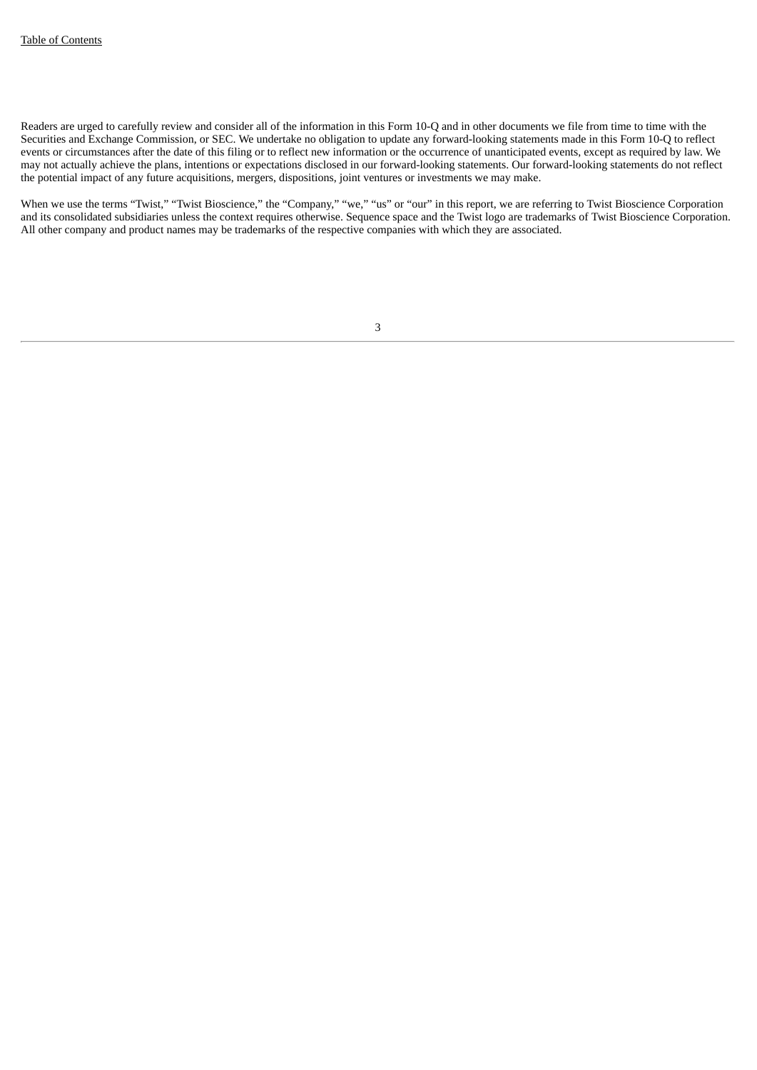Readers are urged to carefully review and consider all of the information in this Form 10-Q and in other documents we file from time to time with the Securities and Exchange Commission, or SEC. We undertake no obligation to update any forward-looking statements made in this Form 10-Q to reflect events or circumstances after the date of this filing or to reflect new information or the occurrence of unanticipated events, except as required by law. We may not actually achieve the plans, intentions or expectations disclosed in our forward-looking statements. Our forward-looking statements do not reflect the potential impact of any future acquisitions, mergers, dispositions, joint ventures or investments we may make.

<span id="page-4-0"></span>When we use the terms "Twist," "Twist Bioscience," the "Company," "we," "us" or "our" in this report, we are referring to Twist Bioscience Corporation and its consolidated subsidiaries unless the context requires otherwise. Sequence space and the Twist logo are trademarks of Twist Bioscience Corporation. All other company and product names may be trademarks of the respective companies with which they are associated.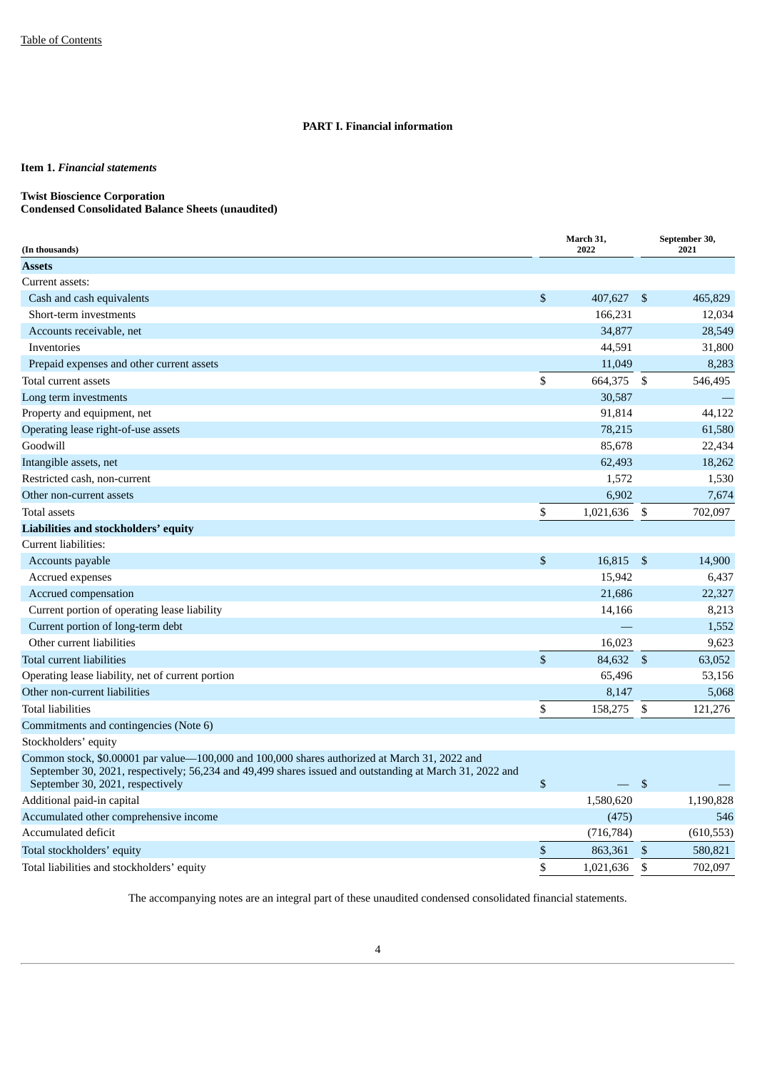## **PART I. Financial information**

## <span id="page-5-0"></span>**Item 1.** *Financial statements*

## <span id="page-5-1"></span>**Twist Bioscience Corporation**

## **Condensed Consolidated Balance Sheets (unaudited)**

| (In thousands)                                                                                                                                                                                                                               |    | March 31,<br>2022 |                | September 30,<br>2021 |  |  |
|----------------------------------------------------------------------------------------------------------------------------------------------------------------------------------------------------------------------------------------------|----|-------------------|----------------|-----------------------|--|--|
| <b>Assets</b>                                                                                                                                                                                                                                |    |                   |                |                       |  |  |
| Current assets:                                                                                                                                                                                                                              |    |                   |                |                       |  |  |
| Cash and cash equivalents                                                                                                                                                                                                                    | \$ | 407,627           | - \$           | 465,829               |  |  |
| Short-term investments                                                                                                                                                                                                                       |    | 166,231           |                | 12,034                |  |  |
| Accounts receivable, net                                                                                                                                                                                                                     |    | 34,877            |                | 28,549                |  |  |
| Inventories                                                                                                                                                                                                                                  |    | 44,591            |                | 31,800                |  |  |
| Prepaid expenses and other current assets                                                                                                                                                                                                    |    | 11,049            |                | 8,283                 |  |  |
| Total current assets                                                                                                                                                                                                                         | \$ | 664,375 \$        |                | 546,495               |  |  |
| Long term investments                                                                                                                                                                                                                        |    | 30,587            |                |                       |  |  |
| Property and equipment, net                                                                                                                                                                                                                  |    | 91,814            |                | 44,122                |  |  |
| Operating lease right-of-use assets                                                                                                                                                                                                          |    | 78,215            |                | 61,580                |  |  |
| Goodwill                                                                                                                                                                                                                                     |    | 85,678            |                | 22,434                |  |  |
| Intangible assets, net                                                                                                                                                                                                                       |    | 62,493            |                | 18,262                |  |  |
| Restricted cash, non-current                                                                                                                                                                                                                 |    | 1,572             |                | 1,530                 |  |  |
| Other non-current assets                                                                                                                                                                                                                     |    | 6,902             |                | 7,674                 |  |  |
| <b>Total assets</b>                                                                                                                                                                                                                          | \$ | 1,021,636         | \$             | 702,097               |  |  |
| Liabilities and stockholders' equity                                                                                                                                                                                                         |    |                   |                |                       |  |  |
| Current liabilities:                                                                                                                                                                                                                         |    |                   |                |                       |  |  |
| Accounts payable                                                                                                                                                                                                                             | \$ | 16,815            | $\mathfrak{F}$ | 14,900                |  |  |
| Accrued expenses                                                                                                                                                                                                                             |    | 15,942            |                | 6,437                 |  |  |
| Accrued compensation                                                                                                                                                                                                                         |    | 21,686            |                | 22,327                |  |  |
| Current portion of operating lease liability                                                                                                                                                                                                 |    | 14,166            |                | 8,213                 |  |  |
| Current portion of long-term debt                                                                                                                                                                                                            |    |                   |                | 1,552                 |  |  |
| Other current liabilities                                                                                                                                                                                                                    |    | 16,023            |                | 9,623                 |  |  |
| Total current liabilities                                                                                                                                                                                                                    | \$ | 84,632 \$         |                | 63,052                |  |  |
| Operating lease liability, net of current portion                                                                                                                                                                                            |    | 65,496            |                | 53,156                |  |  |
| Other non-current liabilities                                                                                                                                                                                                                |    | 8,147             |                | 5,068                 |  |  |
| <b>Total liabilities</b>                                                                                                                                                                                                                     | \$ | 158,275           | \$             | 121,276               |  |  |
| Commitments and contingencies (Note 6)                                                                                                                                                                                                       |    |                   |                |                       |  |  |
| Stockholders' equity                                                                                                                                                                                                                         |    |                   |                |                       |  |  |
| Common stock, \$0.00001 par value—100,000 and 100,000 shares authorized at March 31, 2022 and<br>September 30, 2021, respectively; 56,234 and 49,499 shares issued and outstanding at March 31, 2022 and<br>September 30, 2021, respectively | \$ |                   | \$             |                       |  |  |
| Additional paid-in capital                                                                                                                                                                                                                   |    | 1,580,620         |                | 1,190,828             |  |  |
| Accumulated other comprehensive income                                                                                                                                                                                                       |    | (475)             |                | 546                   |  |  |
| Accumulated deficit                                                                                                                                                                                                                          |    | (716, 784)        |                | (610, 553)            |  |  |
| Total stockholders' equity                                                                                                                                                                                                                   | \$ | 863,361           | \$             | 580,821               |  |  |
| Total liabilities and stockholders' equity                                                                                                                                                                                                   | \$ | 1,021,636         | \$             | 702,097               |  |  |

<span id="page-5-2"></span>The accompanying notes are an integral part of these unaudited condensed consolidated financial statements.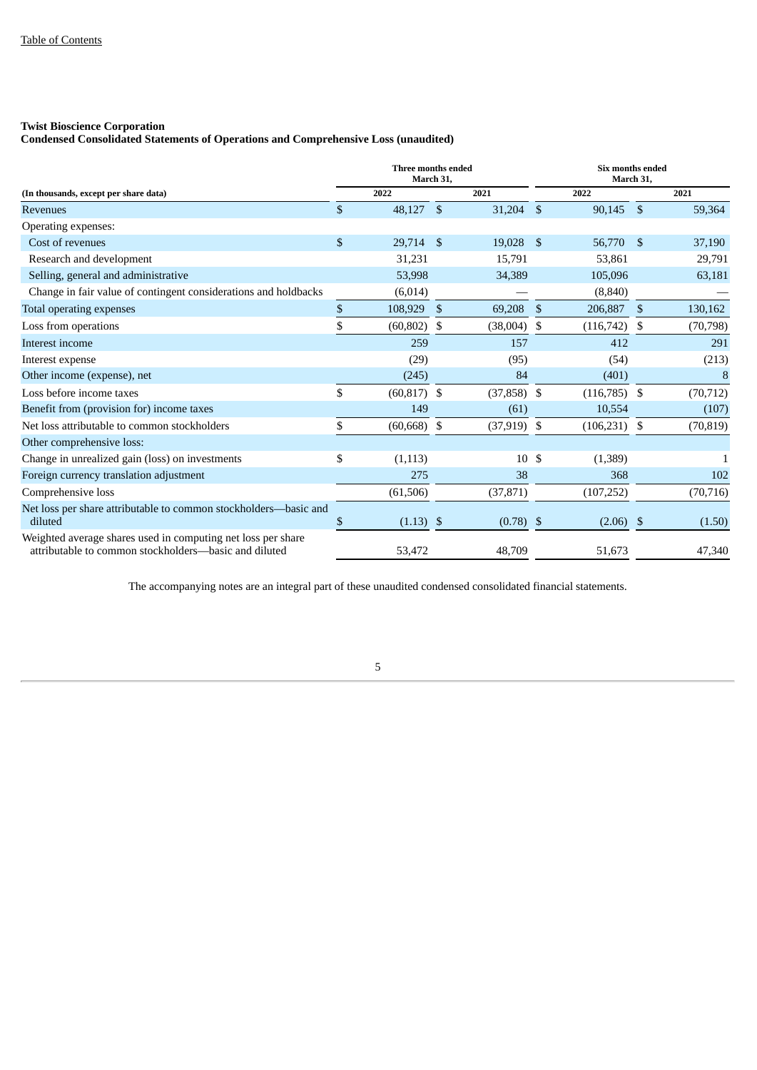#### **Condensed Consolidated Statements of Operations and Comprehensive Loss (unaudited)**

|                                                                                                                       | Three months ended<br>March 31, |                |               |               | <b>Six months ended</b><br>March 31, |                        |           |  |  |  |
|-----------------------------------------------------------------------------------------------------------------------|---------------------------------|----------------|---------------|---------------|--------------------------------------|------------------------|-----------|--|--|--|
| (In thousands, except per share data)                                                                                 | 2022                            |                | 2021          |               | 2022                                 |                        | 2021      |  |  |  |
| Revenues                                                                                                              | \$<br>48,127 \$                 |                | 31,204 \$     |               | 90,145                               | $\mathbf{\mathcal{S}}$ | 59,364    |  |  |  |
| Operating expenses:                                                                                                   |                                 |                |               |               |                                      |                        |           |  |  |  |
| Cost of revenues                                                                                                      | \$<br>29,714 \$                 |                | 19,028        | -\$           | 56,770                               | - \$                   | 37,190    |  |  |  |
| Research and development                                                                                              | 31,231                          |                | 15,791        |               | 53,861                               |                        | 29,791    |  |  |  |
| Selling, general and administrative                                                                                   | 53,998                          |                | 34,389        |               | 105,096                              |                        | 63,181    |  |  |  |
| Change in fair value of contingent considerations and holdbacks                                                       | (6,014)                         |                |               |               | (8,840)                              |                        |           |  |  |  |
| Total operating expenses                                                                                              | \$<br>108,929                   | $\mathfrak{S}$ | 69,208        | <sup>\$</sup> | 206,887                              | \$                     | 130,162   |  |  |  |
| Loss from operations                                                                                                  | \$<br>(60, 802)                 | \$             | (38,004)      | -\$           | (116, 742)                           | S                      | (70, 798) |  |  |  |
| Interest income                                                                                                       | 259                             |                | 157           |               | 412                                  |                        | 291       |  |  |  |
| Interest expense                                                                                                      | (29)                            |                | (95)          |               | (54)                                 |                        | (213)     |  |  |  |
| Other income (expense), net                                                                                           | (245)                           |                | 84            |               | (401)                                |                        | 8         |  |  |  |
| Loss before income taxes                                                                                              | \$<br>$(60, 817)$ \$            |                | $(37,858)$ \$ |               | $(116,785)$ \$                       |                        | (70, 712) |  |  |  |
| Benefit from (provision for) income taxes                                                                             | 149                             |                | (61)          |               | 10,554                               |                        | (107)     |  |  |  |
| Net loss attributable to common stockholders                                                                          | \$<br>$(60, 668)$ \$            |                | $(37,919)$ \$ |               | (106, 231)                           | \$                     | (70, 819) |  |  |  |
| Other comprehensive loss:                                                                                             |                                 |                |               |               |                                      |                        |           |  |  |  |
| Change in unrealized gain (loss) on investments                                                                       | \$<br>(1, 113)                  |                | 10            | -\$           | (1,389)                              |                        |           |  |  |  |
| Foreign currency translation adjustment                                                                               | 275                             |                | 38            |               | 368                                  |                        | 102       |  |  |  |
| Comprehensive loss                                                                                                    | (61, 506)                       |                | (37, 871)     |               | (107, 252)                           |                        | (70, 716) |  |  |  |
| Net loss per share attributable to common stockholders-basic and<br>diluted                                           | \$<br>$(1.13)$ \$               |                | $(0.78)$ \$   |               | (2.06)                               | \$                     | (1.50)    |  |  |  |
| Weighted average shares used in computing net loss per share<br>attributable to common stockholders—basic and diluted | 53,472                          |                | 48,709        |               | 51,673                               |                        | 47,340    |  |  |  |

<span id="page-6-0"></span>The accompanying notes are an integral part of these unaudited condensed consolidated financial statements.

5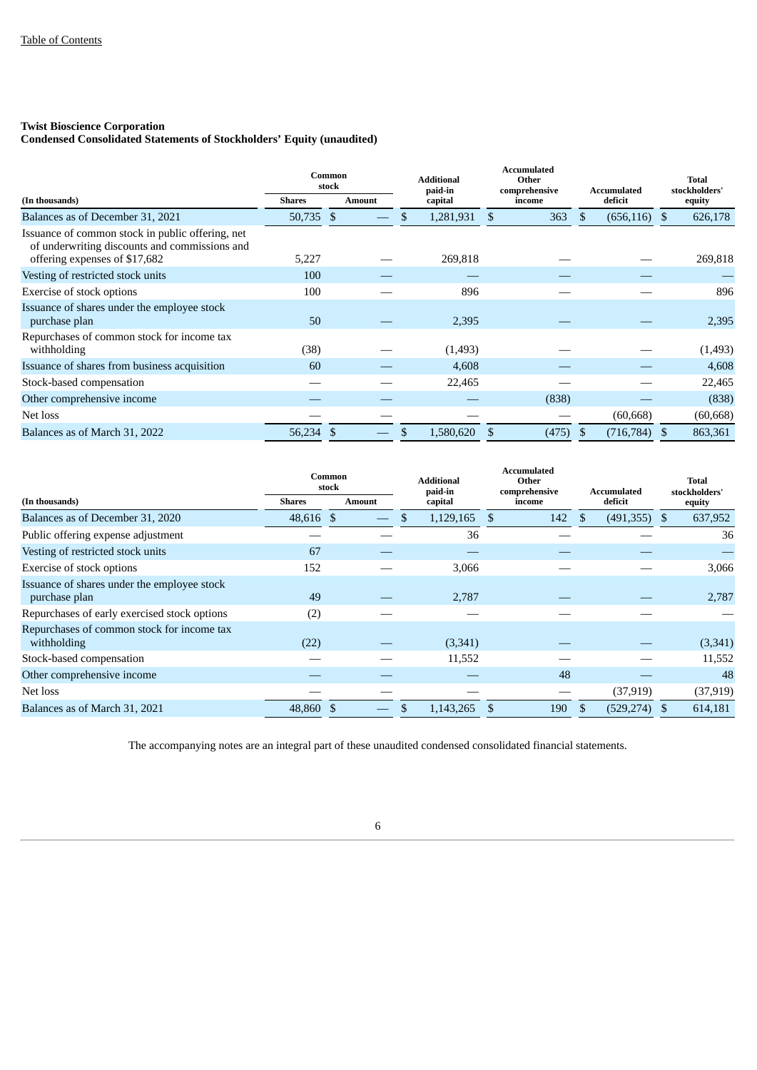#### **Condensed Consolidated Statements of Stockholders' Equity (unaudited)**

|                                                                                                   | Common<br>Additional<br>stock<br>paid-in |  |               |  |           |           | <b>Accumulated</b><br>Other<br>comprehensive |  | Accumulated |        | <b>Total</b><br>stockholders' |            |  |    |         |
|---------------------------------------------------------------------------------------------------|------------------------------------------|--|---------------|--|-----------|-----------|----------------------------------------------|--|-------------|--------|-------------------------------|------------|--|----|---------|
| (In thousands)                                                                                    | <b>Shares</b>                            |  | <b>Amount</b> |  | capital   | income    |                                              |  | deficit     | equity |                               |            |  |    |         |
| Balances as of December 31, 2021                                                                  | 50,735 \$                                |  |               |  | 1,281,931 | 363<br>\$ |                                              |  |             |        |                               | (656, 116) |  | \$ | 626,178 |
| Issuance of common stock in public offering, net<br>of underwriting discounts and commissions and |                                          |  |               |  |           |           |                                              |  |             |        |                               |            |  |    |         |
| offering expenses of \$17,682                                                                     | 5,227                                    |  |               |  | 269,818   |           |                                              |  |             |        | 269,818                       |            |  |    |         |
| Vesting of restricted stock units                                                                 | 100                                      |  |               |  |           |           |                                              |  |             |        |                               |            |  |    |         |
| Exercise of stock options                                                                         | 100                                      |  |               |  | 896       |           |                                              |  |             |        | 896                           |            |  |    |         |
| Issuance of shares under the employee stock<br>purchase plan                                      | 50                                       |  |               |  | 2,395     |           |                                              |  |             |        | 2,395                         |            |  |    |         |
| Repurchases of common stock for income tax<br>withholding                                         | (38)                                     |  |               |  | (1, 493)  |           |                                              |  |             |        | (1,493)                       |            |  |    |         |
| Issuance of shares from business acquisition                                                      | 60                                       |  |               |  | 4,608     |           |                                              |  |             |        | 4,608                         |            |  |    |         |
| Stock-based compensation                                                                          |                                          |  |               |  | 22,465    |           |                                              |  |             |        | 22,465                        |            |  |    |         |
| Other comprehensive income                                                                        |                                          |  |               |  |           |           | (838)                                        |  |             |        | (838)                         |            |  |    |         |
| Net loss                                                                                          |                                          |  |               |  |           |           |                                              |  | (60, 668)   |        | (60, 668)                     |            |  |    |         |
| Balances as of March 31, 2022                                                                     | 56,234 \$                                |  |               |  | 1,580,620 |           | (475)                                        |  | (716, 784)  |        | 863,361                       |            |  |    |         |

|                                                              |           | Common<br>stock | <b>Additional</b><br>paid-in | <b>Accumulated</b><br>Other<br>comprehensive | Accumulated       | <b>Total</b><br>stockholders' |  |
|--------------------------------------------------------------|-----------|-----------------|------------------------------|----------------------------------------------|-------------------|-------------------------------|--|
| (In thousands)                                               | Shares    | Amount          | capital                      | income                                       | deficit           | equity                        |  |
| Balances as of December 31, 2020                             | 48,616 \$ |                 | 1,129,165                    | 142                                          | (491, 355)<br>\$. | 637,952<br><sup>\$</sup>      |  |
| Public offering expense adjustment                           |           |                 | 36                           |                                              |                   | 36                            |  |
| Vesting of restricted stock units                            | 67        |                 |                              |                                              |                   |                               |  |
| Exercise of stock options                                    | 152       |                 | 3,066                        |                                              |                   | 3,066                         |  |
| Issuance of shares under the employee stock<br>purchase plan | 49        |                 | 2,787                        |                                              |                   | 2,787                         |  |
| Repurchases of early exercised stock options                 | (2)       |                 |                              |                                              |                   |                               |  |
| Repurchases of common stock for income tax<br>withholding    | (22)      |                 | (3,341)                      |                                              |                   | (3, 341)                      |  |
| Stock-based compensation                                     |           |                 | 11,552                       |                                              |                   | 11,552                        |  |
| Other comprehensive income                                   |           |                 |                              | 48                                           |                   | 48                            |  |
| Net loss                                                     |           |                 |                              |                                              | (37, 919)         | (37, 919)                     |  |
| Balances as of March 31, 2021                                | 48,860 \$ |                 | 1,143,265                    | 190                                          | \$<br>(529, 274)  | 614,181                       |  |

The accompanying notes are an integral part of these unaudited condensed consolidated financial statements.

## 6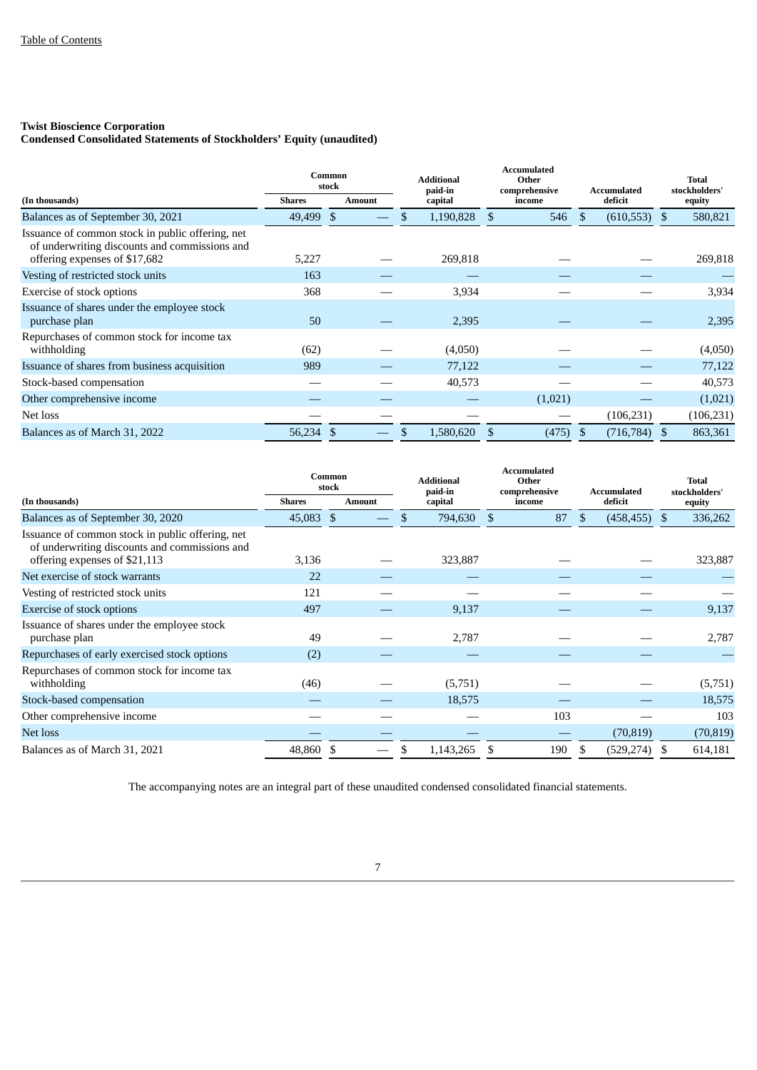## **Condensed Consolidated Statements of Stockholders' Equity (unaudited)**

|                                                                                                                                    |               | Common<br>stock |        | <b>Accumulated</b><br><b>Additional</b><br>Other<br>paid-in<br>comprehensive |           |         |  | Accumulated |        | <b>Total</b><br>stockholders' |  |  |  |       |  |  |  |  |  |  |  |            |    |         |
|------------------------------------------------------------------------------------------------------------------------------------|---------------|-----------------|--------|------------------------------------------------------------------------------|-----------|---------|--|-------------|--------|-------------------------------|--|--|--|-------|--|--|--|--|--|--|--|------------|----|---------|
| (In thousands)                                                                                                                     | <b>Shares</b> |                 | Amount | capital                                                                      |           | income  |  | deficit     | equity |                               |  |  |  |       |  |  |  |  |  |  |  |            |    |         |
| Balances as of September 30, 2021                                                                                                  | 49,499 \$     |                 |        | 1,190,828                                                                    | 546<br>\$ |         |  |             |        |                               |  |  |  |       |  |  |  |  |  |  |  | (610, 553) | \$ | 580,821 |
| Issuance of common stock in public offering, net<br>of underwriting discounts and commissions and<br>offering expenses of \$17,682 | 5,227         |                 |        | 269,818                                                                      |           |         |  |             |        | 269,818                       |  |  |  |       |  |  |  |  |  |  |  |            |    |         |
|                                                                                                                                    |               |                 |        |                                                                              |           |         |  |             |        |                               |  |  |  |       |  |  |  |  |  |  |  |            |    |         |
| Vesting of restricted stock units                                                                                                  | 163           |                 |        |                                                                              |           |         |  |             |        |                               |  |  |  |       |  |  |  |  |  |  |  |            |    |         |
| Exercise of stock options                                                                                                          | 368           |                 |        | 3,934                                                                        |           |         |  |             |        |                               |  |  |  | 3,934 |  |  |  |  |  |  |  |            |    |         |
| Issuance of shares under the employee stock<br>purchase plan                                                                       | 50            |                 |        | 2,395                                                                        |           |         |  |             |        | 2,395                         |  |  |  |       |  |  |  |  |  |  |  |            |    |         |
| Repurchases of common stock for income tax<br>withholding                                                                          | (62)          |                 |        | (4,050)                                                                      |           |         |  |             |        | (4,050)                       |  |  |  |       |  |  |  |  |  |  |  |            |    |         |
| Issuance of shares from business acquisition                                                                                       | 989           |                 |        | 77,122                                                                       |           |         |  |             |        | 77,122                        |  |  |  |       |  |  |  |  |  |  |  |            |    |         |
| Stock-based compensation                                                                                                           |               |                 |        | 40,573                                                                       |           |         |  |             |        | 40,573                        |  |  |  |       |  |  |  |  |  |  |  |            |    |         |
| Other comprehensive income                                                                                                         |               |                 |        |                                                                              |           | (1,021) |  |             |        | (1,021)                       |  |  |  |       |  |  |  |  |  |  |  |            |    |         |
| Net loss                                                                                                                           |               |                 |        |                                                                              |           |         |  | (106, 231)  |        | (106, 231)                    |  |  |  |       |  |  |  |  |  |  |  |            |    |         |
| Balances as of March 31, 2022                                                                                                      | 56,234 \$     |                 |        | 1,580,620                                                                    |           | (475)   |  | (716, 784)  | S      | 863,361                       |  |  |  |       |  |  |  |  |  |  |  |            |    |         |

| Common<br><b>Additional</b><br>stock<br>paid-in                                                                                    |               |  |        |    |           |  | <b>Accumulated</b><br>Other<br>comprehensive |     | Accumulated |               | <b>Total</b><br>stockholders' |  |  |  |  |
|------------------------------------------------------------------------------------------------------------------------------------|---------------|--|--------|----|-----------|--|----------------------------------------------|-----|-------------|---------------|-------------------------------|--|--|--|--|
| (In thousands)                                                                                                                     | <b>Shares</b> |  | Amount |    | capital   |  | income                                       |     | deficit     | equity        |                               |  |  |  |  |
| Balances as of September 30, 2020                                                                                                  | 45,083 \$     |  |        | \$ | 794,630   |  | 87                                           | \$  | (458, 455)  | <sup>\$</sup> | 336,262                       |  |  |  |  |
| Issuance of common stock in public offering, net<br>of underwriting discounts and commissions and<br>offering expenses of \$21,113 | 3,136         |  |        |    | 323,887   |  |                                              |     |             |               | 323,887                       |  |  |  |  |
| Net exercise of stock warrants                                                                                                     | 22            |  |        |    |           |  |                                              |     |             |               |                               |  |  |  |  |
| Vesting of restricted stock units                                                                                                  | 121           |  |        |    |           |  |                                              |     |             |               |                               |  |  |  |  |
| <b>Exercise of stock options</b>                                                                                                   | 497           |  |        |    | 9,137     |  |                                              |     |             |               | 9,137                         |  |  |  |  |
| Issuance of shares under the employee stock<br>purchase plan                                                                       | 49            |  |        |    | 2,787     |  |                                              |     |             |               | 2,787                         |  |  |  |  |
| Repurchases of early exercised stock options                                                                                       | (2)           |  |        |    |           |  |                                              |     |             |               |                               |  |  |  |  |
| Repurchases of common stock for income tax<br>withholding                                                                          | (46)          |  |        |    | (5,751)   |  |                                              |     |             |               | (5,751)                       |  |  |  |  |
| Stock-based compensation                                                                                                           |               |  |        |    | 18,575    |  |                                              |     |             |               | 18,575                        |  |  |  |  |
| Other comprehensive income                                                                                                         |               |  |        |    |           |  | 103                                          |     |             |               | 103                           |  |  |  |  |
| Net loss                                                                                                                           |               |  |        |    |           |  |                                              |     | (70, 819)   |               | (70, 819)                     |  |  |  |  |
| Balances as of March 31, 2021                                                                                                      | 48,860 \$     |  |        |    | 1,143,265 |  | 190                                          | \$. | (529, 274)  |               | 614,181                       |  |  |  |  |

<span id="page-8-0"></span>The accompanying notes are an integral part of these unaudited condensed consolidated financial statements.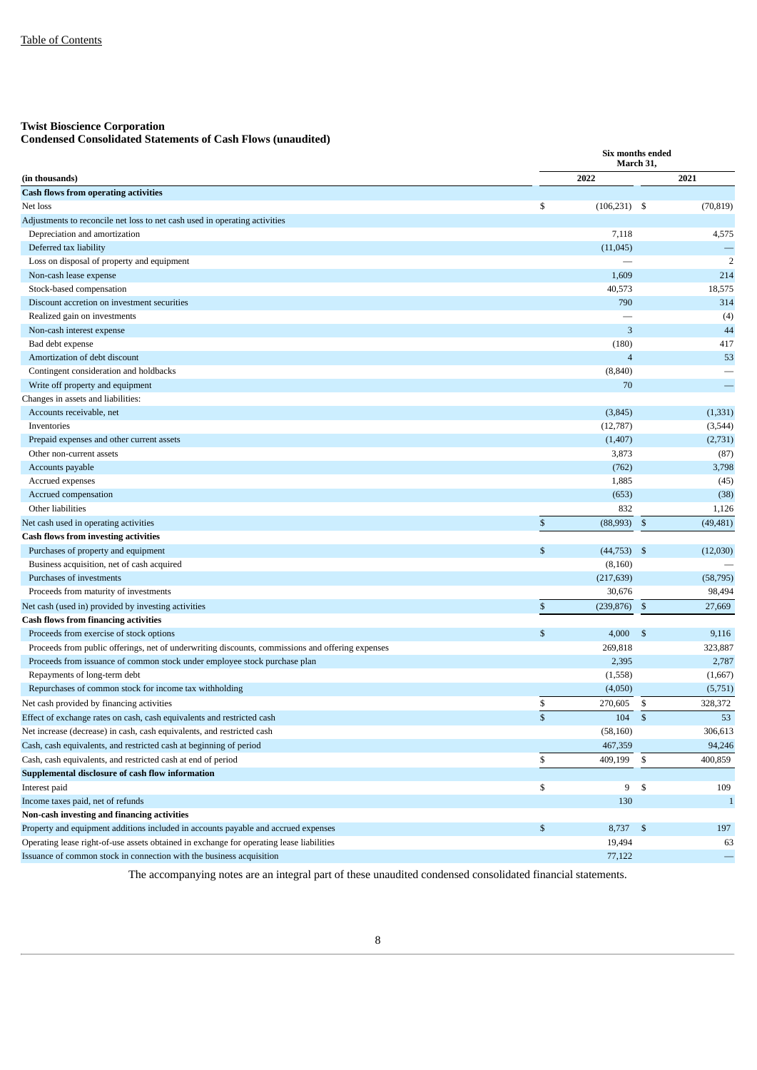#### **Condensed Consolidated Statements of Cash Flows (unaudited)**

|                                                                                                  |                | Six months ended<br>March 31, |                |                |  |  |  |  |  |
|--------------------------------------------------------------------------------------------------|----------------|-------------------------------|----------------|----------------|--|--|--|--|--|
| (in thousands)                                                                                   |                | 2022                          |                | 2021           |  |  |  |  |  |
| <b>Cash flows from operating activities</b>                                                      |                |                               |                |                |  |  |  |  |  |
| Net loss                                                                                         | \$             | $(106, 231)$ \$               |                | (70, 819)      |  |  |  |  |  |
| Adjustments to reconcile net loss to net cash used in operating activities                       |                |                               |                |                |  |  |  |  |  |
| Depreciation and amortization                                                                    |                | 7,118                         |                | 4,575          |  |  |  |  |  |
| Deferred tax liability                                                                           |                | (11, 045)                     |                |                |  |  |  |  |  |
| Loss on disposal of property and equipment                                                       |                |                               |                | $\overline{2}$ |  |  |  |  |  |
| Non-cash lease expense                                                                           |                | 1,609                         |                | 214            |  |  |  |  |  |
| Stock-based compensation                                                                         |                | 40,573                        |                | 18,575         |  |  |  |  |  |
| Discount accretion on investment securities                                                      |                | 790                           |                | 314            |  |  |  |  |  |
| Realized gain on investments                                                                     |                |                               |                | (4)            |  |  |  |  |  |
| Non-cash interest expense                                                                        |                | 3                             |                | 44             |  |  |  |  |  |
| Bad debt expense                                                                                 |                | (180)                         |                | 417            |  |  |  |  |  |
| Amortization of debt discount                                                                    |                | $\overline{4}$                |                | 53             |  |  |  |  |  |
| Contingent consideration and holdbacks                                                           |                | (8, 840)                      |                |                |  |  |  |  |  |
| Write off property and equipment                                                                 |                | 70                            |                |                |  |  |  |  |  |
| Changes in assets and liabilities:                                                               |                |                               |                |                |  |  |  |  |  |
| Accounts receivable, net                                                                         |                | (3, 845)                      |                | (1, 331)       |  |  |  |  |  |
| Inventories                                                                                      |                | (12, 787)                     |                | (3,544)        |  |  |  |  |  |
| Prepaid expenses and other current assets                                                        |                | (1,407)                       |                | (2,731)        |  |  |  |  |  |
| Other non-current assets                                                                         |                | 3,873                         |                | (87)           |  |  |  |  |  |
| Accounts payable                                                                                 |                | (762)                         |                | 3,798          |  |  |  |  |  |
| Accrued expenses                                                                                 |                | 1,885                         |                | (45)           |  |  |  |  |  |
| Accrued compensation                                                                             |                | (653)                         |                | (38)           |  |  |  |  |  |
| Other liabilities                                                                                |                | 832                           |                | 1,126          |  |  |  |  |  |
| Net cash used in operating activities                                                            | $\mathbb{S}$   | (88,993)                      | $\mathfrak{s}$ | (49, 481)      |  |  |  |  |  |
| <b>Cash flows from investing activities</b>                                                      |                |                               |                |                |  |  |  |  |  |
| Purchases of property and equipment                                                              | $\mathfrak{S}$ | $(44,753)$ \$                 |                | (12,030)       |  |  |  |  |  |
| Business acquisition, net of cash acquired                                                       |                | (8, 160)                      |                |                |  |  |  |  |  |
| Purchases of investments                                                                         |                | (217, 639)                    |                | (58, 795)      |  |  |  |  |  |
| Proceeds from maturity of investments                                                            |                | 30,676                        |                | 98,494         |  |  |  |  |  |
| Net cash (used in) provided by investing activities                                              | $\mathbb{S}$   | (239, 876)                    | -\$            | 27,669         |  |  |  |  |  |
| <b>Cash flows from financing activities</b>                                                      |                |                               |                |                |  |  |  |  |  |
| Proceeds from exercise of stock options                                                          | $\mathfrak{S}$ | 4,000                         | \$             | 9,116          |  |  |  |  |  |
| Proceeds from public offerings, net of underwriting discounts, commissions and offering expenses |                | 269,818                       |                | 323,887        |  |  |  |  |  |
| Proceeds from issuance of common stock under employee stock purchase plan                        |                | 2,395                         |                | 2,787          |  |  |  |  |  |
| Repayments of long-term debt                                                                     |                | (1,558)                       |                | (1,667)        |  |  |  |  |  |
| Repurchases of common stock for income tax withholding                                           |                | (4,050)                       |                | (5,751)        |  |  |  |  |  |
| Net cash provided by financing activities                                                        | \$             | 270,605                       | \$             | 328,372        |  |  |  |  |  |
| Effect of exchange rates on cash, cash equivalents and restricted cash                           | $\mathbb{S}$   | $104$ \$                      |                | 53             |  |  |  |  |  |
| Net increase (decrease) in cash, cash equivalents, and restricted cash                           |                | (58, 160)                     |                | 306,613        |  |  |  |  |  |
| Cash, cash equivalents, and restricted cash at beginning of period                               |                | 467,359                       |                | 94,246         |  |  |  |  |  |
| Cash, cash equivalents, and restricted cash at end of period                                     | $\mathbb{S}$   | 409,199                       | $\mathbb S$    | 400,859        |  |  |  |  |  |
| Supplemental disclosure of cash flow information                                                 |                |                               |                |                |  |  |  |  |  |
| Interest paid                                                                                    | \$             | 9                             | \$             | 109            |  |  |  |  |  |
| Income taxes paid, net of refunds                                                                |                | 130                           |                | $\mathbf{1}$   |  |  |  |  |  |
| Non-cash investing and financing activities                                                      |                |                               |                |                |  |  |  |  |  |
| Property and equipment additions included in accounts payable and accrued expenses               | $\mathbb{S}$   | 8,737                         | \$             | 197            |  |  |  |  |  |
| Operating lease right-of-use assets obtained in exchange for operating lease liabilities         |                | 19,494                        |                | 63             |  |  |  |  |  |
| Issuance of common stock in connection with the business acquisition                             |                | 77,122                        |                |                |  |  |  |  |  |

<span id="page-9-0"></span>The accompanying notes are an integral part of these unaudited condensed consolidated financial statements.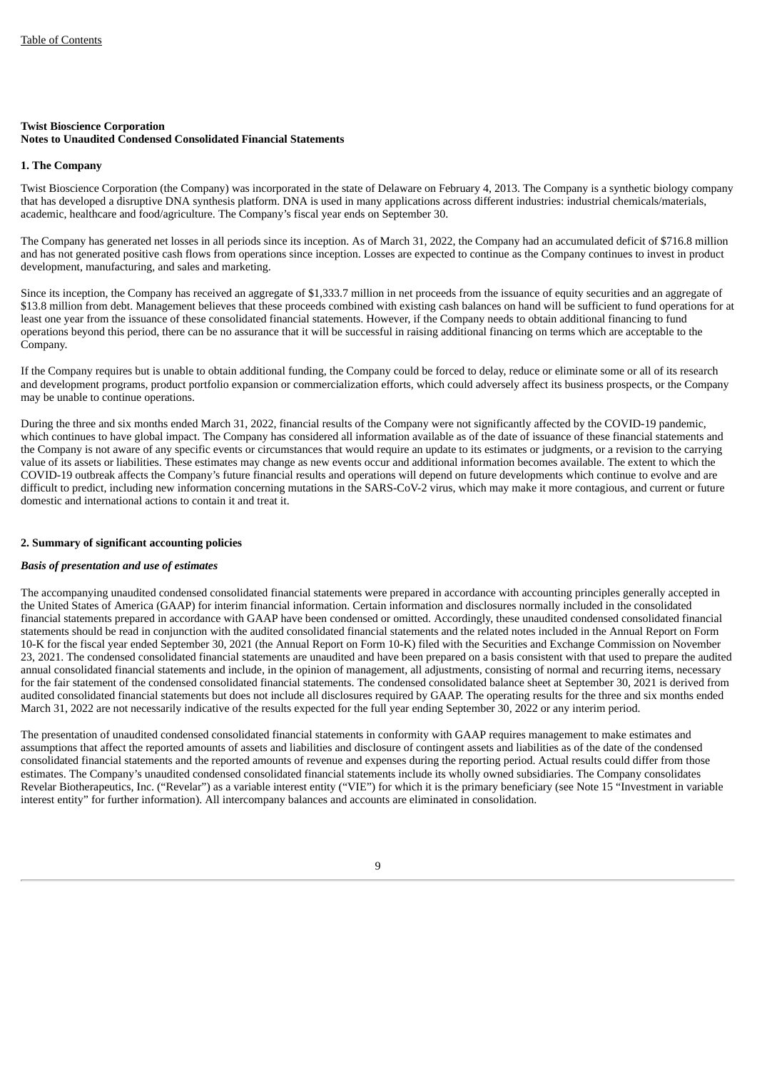## **Twist Bioscience Corporation Notes to Unaudited Condensed Consolidated Financial Statements**

## **1. The Company**

Twist Bioscience Corporation (the Company) was incorporated in the state of Delaware on February 4, 2013. The Company is a synthetic biology company that has developed a disruptive DNA synthesis platform. DNA is used in many applications across different industries: industrial chemicals/materials, academic, healthcare and food/agriculture. The Company's fiscal year ends on September 30.

The Company has generated net losses in all periods since its inception. As of March 31, 2022, the Company had an accumulated deficit of \$716.8 million and has not generated positive cash flows from operations since inception. Losses are expected to continue as the Company continues to invest in product development, manufacturing, and sales and marketing.

Since its inception, the Company has received an aggregate of \$1,333.7 million in net proceeds from the issuance of equity securities and an aggregate of \$13.8 million from debt. Management believes that these proceeds combined with existing cash balances on hand will be sufficient to fund operations for at least one year from the issuance of these consolidated financial statements. However, if the Company needs to obtain additional financing to fund operations beyond this period, there can be no assurance that it will be successful in raising additional financing on terms which are acceptable to the Company.

If the Company requires but is unable to obtain additional funding, the Company could be forced to delay, reduce or eliminate some or all of its research and development programs, product portfolio expansion or commercialization efforts, which could adversely affect its business prospects, or the Company may be unable to continue operations.

During the three and six months ended March 31, 2022, financial results of the Company were not significantly affected by the COVID-19 pandemic, which continues to have global impact. The Company has considered all information available as of the date of issuance of these financial statements and the Company is not aware of any specific events or circumstances that would require an update to its estimates or judgments, or a revision to the carrying value of its assets or liabilities. These estimates may change as new events occur and additional information becomes available. The extent to which the COVID-19 outbreak affects the Company's future financial results and operations will depend on future developments which continue to evolve and are difficult to predict, including new information concerning mutations in the SARS-CoV-2 virus, which may make it more contagious, and current or future domestic and international actions to contain it and treat it.

## **2. Summary of significant accounting policies**

## *Basis of presentation and use of estimates*

The accompanying unaudited condensed consolidated financial statements were prepared in accordance with accounting principles generally accepted in the United States of America (GAAP) for interim financial information. Certain information and disclosures normally included in the consolidated financial statements prepared in accordance with GAAP have been condensed or omitted. Accordingly, these unaudited condensed consolidated financial statements should be read in conjunction with the audited consolidated financial statements and the related notes included in the Annual Report on Form 10-K for the fiscal year ended September 30, 2021 (the Annual Report on Form 10-K) filed with the Securities and Exchange Commission on November 23, 2021. The condensed consolidated financial statements are unaudited and have been prepared on a basis consistent with that used to prepare the audited annual consolidated financial statements and include, in the opinion of management, all adjustments, consisting of normal and recurring items, necessary for the fair statement of the condensed consolidated financial statements. The condensed consolidated balance sheet at September 30, 2021 is derived from audited consolidated financial statements but does not include all disclosures required by GAAP. The operating results for the three and six months ended March 31, 2022 are not necessarily indicative of the results expected for the full year ending September 30, 2022 or any interim period.

The presentation of unaudited condensed consolidated financial statements in conformity with GAAP requires management to make estimates and assumptions that affect the reported amounts of assets and liabilities and disclosure of contingent assets and liabilities as of the date of the condensed consolidated financial statements and the reported amounts of revenue and expenses during the reporting period. Actual results could differ from those estimates. The Company's unaudited condensed consolidated financial statements include its wholly owned subsidiaries. The Company consolidates Revelar Biotherapeutics, Inc. ("Revelar") as a variable interest entity ("VIE") for which it is the primary beneficiary (see Note 15 "Investment in variable interest entity" for further information). All intercompany balances and accounts are eliminated in consolidation.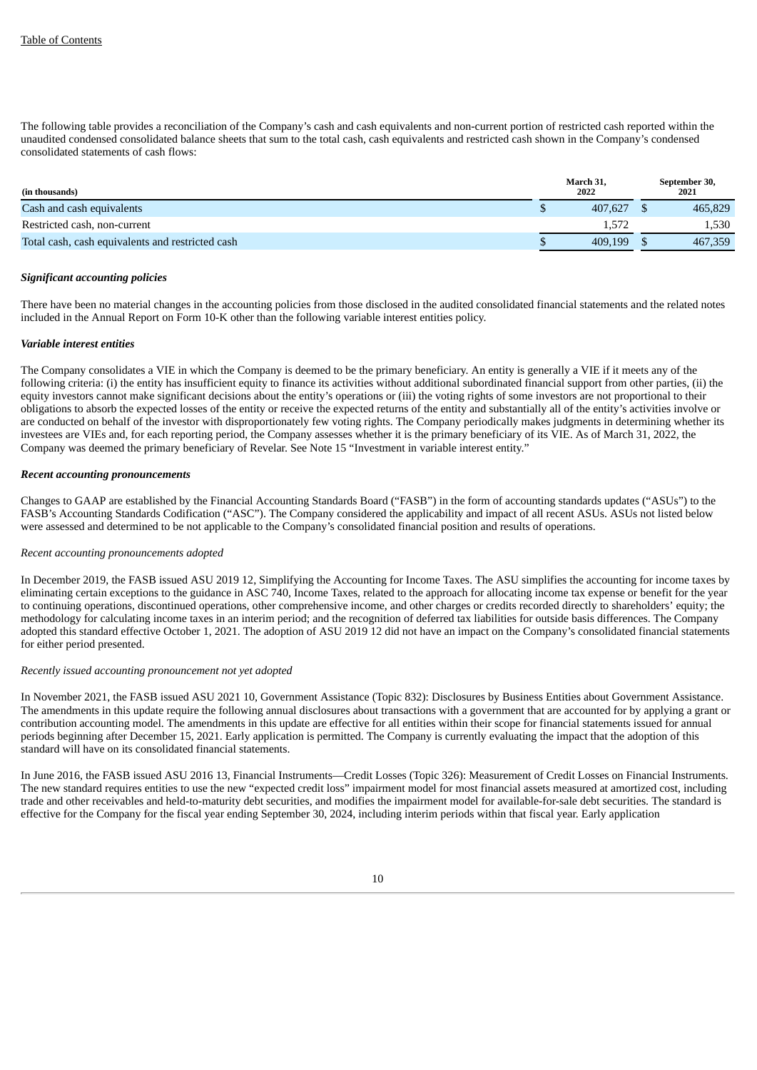The following table provides a reconciliation of the Company's cash and cash equivalents and non-current portion of restricted cash reported within the unaudited condensed consolidated balance sheets that sum to the total cash, cash equivalents and restricted cash shown in the Company's condensed consolidated statements of cash flows:

| (in thousands)                                   | March 31,<br>2022 | September 30,<br>2021 |  |  |
|--------------------------------------------------|-------------------|-----------------------|--|--|
| Cash and cash equivalents                        | 407,627           | 465,829               |  |  |
| Restricted cash, non-current                     | 1.572             | 1,530                 |  |  |
| Total cash, cash equivalents and restricted cash | 409.199           | 467,359               |  |  |

#### *Significant accounting policies*

There have been no material changes in the accounting policies from those disclosed in the audited consolidated financial statements and the related notes included in the Annual Report on Form 10-K other than the following variable interest entities policy.

#### *Variable interest entities*

The Company consolidates a VIE in which the Company is deemed to be the primary beneficiary. An entity is generally a VIE if it meets any of the following criteria: (i) the entity has insufficient equity to finance its activities without additional subordinated financial support from other parties, (ii) the equity investors cannot make significant decisions about the entity's operations or (iii) the voting rights of some investors are not proportional to their obligations to absorb the expected losses of the entity or receive the expected returns of the entity and substantially all of the entity's activities involve or are conducted on behalf of the investor with disproportionately few voting rights. The Company periodically makes judgments in determining whether its investees are VIEs and, for each reporting period, the Company assesses whether it is the primary beneficiary of its VIE. As of March 31, 2022, the Company was deemed the primary beneficiary of Revelar. See Note 15 "Investment in variable interest entity."

#### *Recent accounting pronouncements*

Changes to GAAP are established by the Financial Accounting Standards Board ("FASB") in the form of accounting standards updates ("ASUs") to the FASB's Accounting Standards Codification ("ASC"). The Company considered the applicability and impact of all recent ASUs. ASUs not listed below were assessed and determined to be not applicable to the Company's consolidated financial position and results of operations.

#### *Recent accounting pronouncements adopted*

In December 2019, the FASB issued ASU 2019 12, Simplifying the Accounting for Income Taxes. The ASU simplifies the accounting for income taxes by eliminating certain exceptions to the guidance in ASC 740, Income Taxes, related to the approach for allocating income tax expense or benefit for the year to continuing operations, discontinued operations, other comprehensive income, and other charges or credits recorded directly to shareholders' equity; the methodology for calculating income taxes in an interim period; and the recognition of deferred tax liabilities for outside basis differences. The Company adopted this standard effective October 1, 2021. The adoption of ASU 2019 12 did not have an impact on the Company's consolidated financial statements for either period presented.

#### *Recently issued accounting pronouncement not yet adopted*

In November 2021, the FASB issued ASU 2021 10, Government Assistance (Topic 832): Disclosures by Business Entities about Government Assistance. The amendments in this update require the following annual disclosures about transactions with a government that are accounted for by applying a grant or contribution accounting model. The amendments in this update are effective for all entities within their scope for financial statements issued for annual periods beginning after December 15, 2021. Early application is permitted. The Company is currently evaluating the impact that the adoption of this standard will have on its consolidated financial statements.

In June 2016, the FASB issued ASU 2016 13, Financial Instruments—Credit Losses (Topic 326): Measurement of Credit Losses on Financial Instruments. The new standard requires entities to use the new "expected credit loss" impairment model for most financial assets measured at amortized cost, including trade and other receivables and held-to-maturity debt securities, and modifies the impairment model for available-for-sale debt securities. The standard is effective for the Company for the fiscal year ending September 30, 2024, including interim periods within that fiscal year. Early application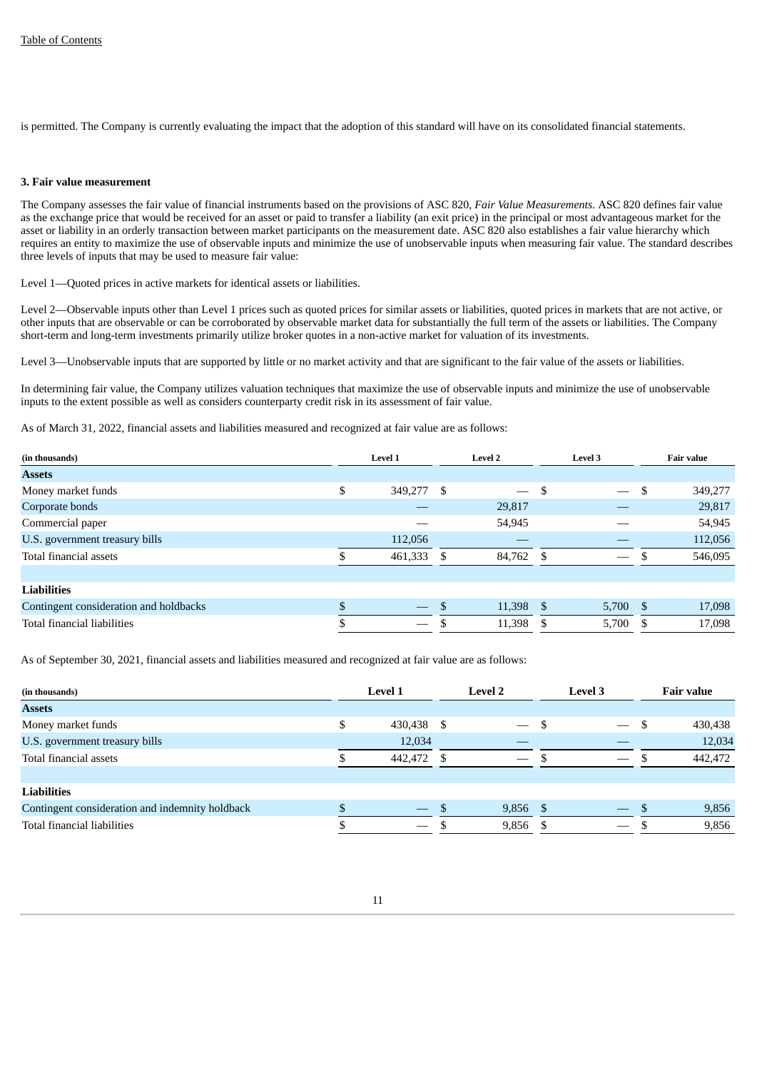is permitted. The Company is currently evaluating the impact that the adoption of this standard will have on its consolidated financial statements.

#### **3. Fair value measurement**

The Company assesses the fair value of financial instruments based on the provisions of ASC 820, *Fair Value Measurements*. ASC 820 defines fair value as the exchange price that would be received for an asset or paid to transfer a liability (an exit price) in the principal or most advantageous market for the asset or liability in an orderly transaction between market participants on the measurement date. ASC 820 also establishes a fair value hierarchy which requires an entity to maximize the use of observable inputs and minimize the use of unobservable inputs when measuring fair value. The standard describes three levels of inputs that may be used to measure fair value:

Level 1—Quoted prices in active markets for identical assets or liabilities.

Level 2—Observable inputs other than Level 1 prices such as quoted prices for similar assets or liabilities, quoted prices in markets that are not active, or other inputs that are observable or can be corroborated by observable market data for substantially the full term of the assets or liabilities. The Company short-term and long-term investments primarily utilize broker quotes in a non-active market for valuation of its investments.

Level 3—Unobservable inputs that are supported by little or no market activity and that are significant to the fair value of the assets or liabilities.

In determining fair value, the Company utilizes valuation techniques that maximize the use of observable inputs and minimize the use of unobservable inputs to the extent possible as well as considers counterparty credit risk in its assessment of fair value.

As of March 31, 2022, financial assets and liabilities measured and recognized at fair value are as follows:

| (in thousands)                         | <b>Level 1</b>           | <b>Level 2</b>           | <b>Level 3</b>  |     | <b>Fair value</b> |
|----------------------------------------|--------------------------|--------------------------|-----------------|-----|-------------------|
| <b>Assets</b>                          |                          |                          |                 |     |                   |
| Money market funds                     | \$<br>349,277 \$         | $\overline{\phantom{0}}$ | \$              |     | 349,277           |
| Corporate bonds                        |                          | 29,817                   |                 |     | 29,817            |
| Commercial paper                       |                          | 54,945                   |                 |     | 54,945            |
| U.S. government treasury bills         | 112,056                  |                          |                 |     | 112,056           |
| Total financial assets                 | 461,333 \$               | 84,762 \$                | $\qquad \qquad$ |     | 546,095           |
|                                        |                          |                          |                 |     |                   |
| <b>Liabilities</b>                     |                          |                          |                 |     |                   |
| Contingent consideration and holdbacks | $\overline{\phantom{m}}$ | 11,398 \$                | $5,700$ \$      |     | 17,098            |
| Total financial liabilities            |                          | 11,398                   | 5,700           | \$. | 17,098            |

As of September 30, 2021, financial assets and liabilities measured and recognized at fair value are as follows:

| (in thousands)                                  | <b>Level 1</b> |     | <b>Level 2</b>           |     | <b>Level 3</b> | <b>Fair value</b> |
|-------------------------------------------------|----------------|-----|--------------------------|-----|----------------|-------------------|
| <b>Assets</b>                                   |                |     |                          |     |                |                   |
| Money market funds                              | 430,438        | - S | $\overline{\phantom{0}}$ | -\$ |                | 430,438           |
| U.S. government treasury bills                  | 12,034         |     |                          |     |                | 12,034            |
| Total financial assets                          | 442.472        | £.  |                          |     |                | 442,472           |
|                                                 |                |     |                          |     |                |                   |
| <b>Liabilities</b>                              |                |     |                          |     |                |                   |
| Contingent consideration and indemnity holdback |                |     | $9,856$ \$               |     |                | 9,856             |
| Total financial liabilities                     |                |     | $9,856$ \$               |     |                | 9,856             |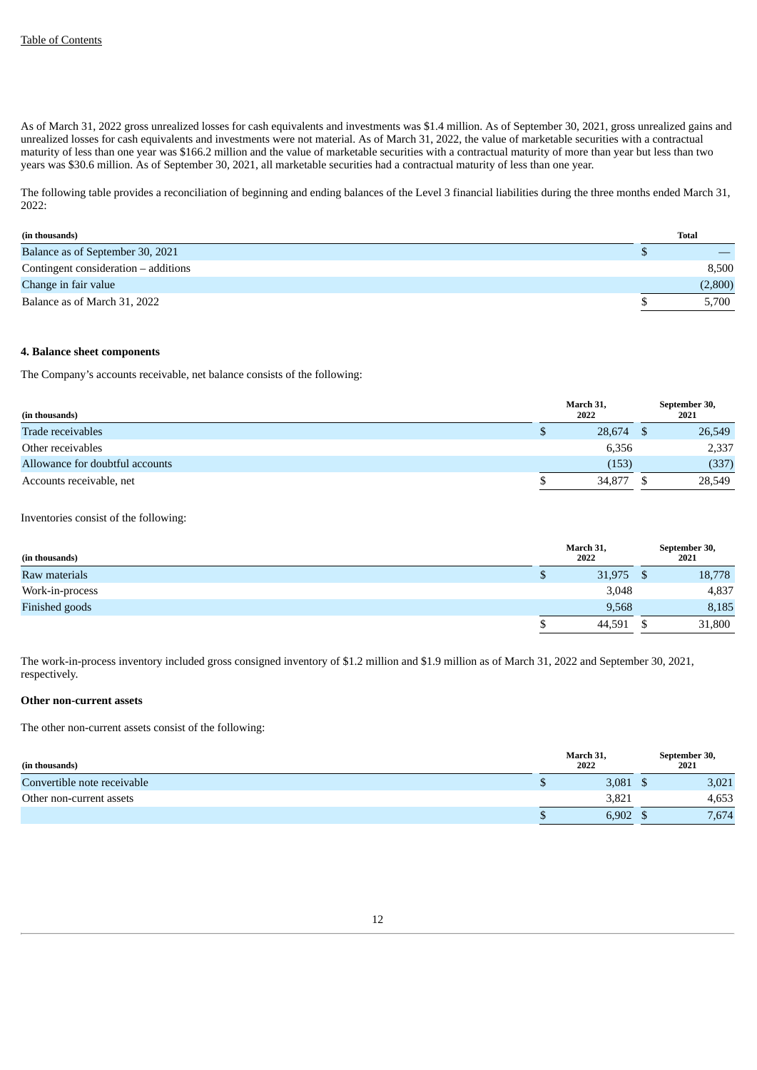As of March 31, 2022 gross unrealized losses for cash equivalents and investments was \$1.4 million. As of September 30, 2021, gross unrealized gains and unrealized losses for cash equivalents and investments were not material. As of March 31, 2022, the value of marketable securities with a contractual maturity of less than one year was \$166.2 million and the value of marketable securities with a contractual maturity of more than year but less than two years was \$30.6 million. As of September 30, 2021, all marketable securities had a contractual maturity of less than one year.

The following table provides a reconciliation of beginning and ending balances of the Level 3 financial liabilities during the three months ended March 31, 2022:

| (in thousands)                       | <b>Total</b> |
|--------------------------------------|--------------|
| Balance as of September 30, 2021     |              |
| Contingent consideration – additions | 8,500        |
| Change in fair value                 | (2,800)      |
| Balance as of March 31, 2022         | 5.700        |

#### **4. Balance sheet components**

The Company's accounts receivable, net balance consists of the following:

| (in thousands)                  | March 31,<br>2022 | September 30,<br>2021 |
|---------------------------------|-------------------|-----------------------|
| Trade receivables               | 28,674            | 26,549                |
| Other receivables               | 6,356             | 2,337                 |
| Allowance for doubtful accounts | (153)             | (337)                 |
| Accounts receivable, net        | 34,877            | 28,549                |

Inventories consist of the following:

| (in thousands)  |   | March 31,<br>2022 | September 30,<br>2021 |
|-----------------|---|-------------------|-----------------------|
| Raw materials   | Φ | 31,975            | 18,778                |
| Work-in-process |   | 3,048             | 4,837                 |
| Finished goods  |   | 9,568             | 8,185                 |
|                 |   | 44,591            | 31,800                |

The work-in-process inventory included gross consigned inventory of \$1.2 million and \$1.9 million as of March 31, 2022 and September 30, 2021, respectively.

## **Other non-current assets**

The other non-current assets consist of the following:

| (in thousands)              | March 31,<br>2022 | September 30,<br>2021 |       |
|-----------------------------|-------------------|-----------------------|-------|
| Convertible note receivable | 3,081             |                       | 3,021 |
| Other non-current assets    | 3,821             |                       | 4,653 |
|                             | 6,902             |                       | 7,674 |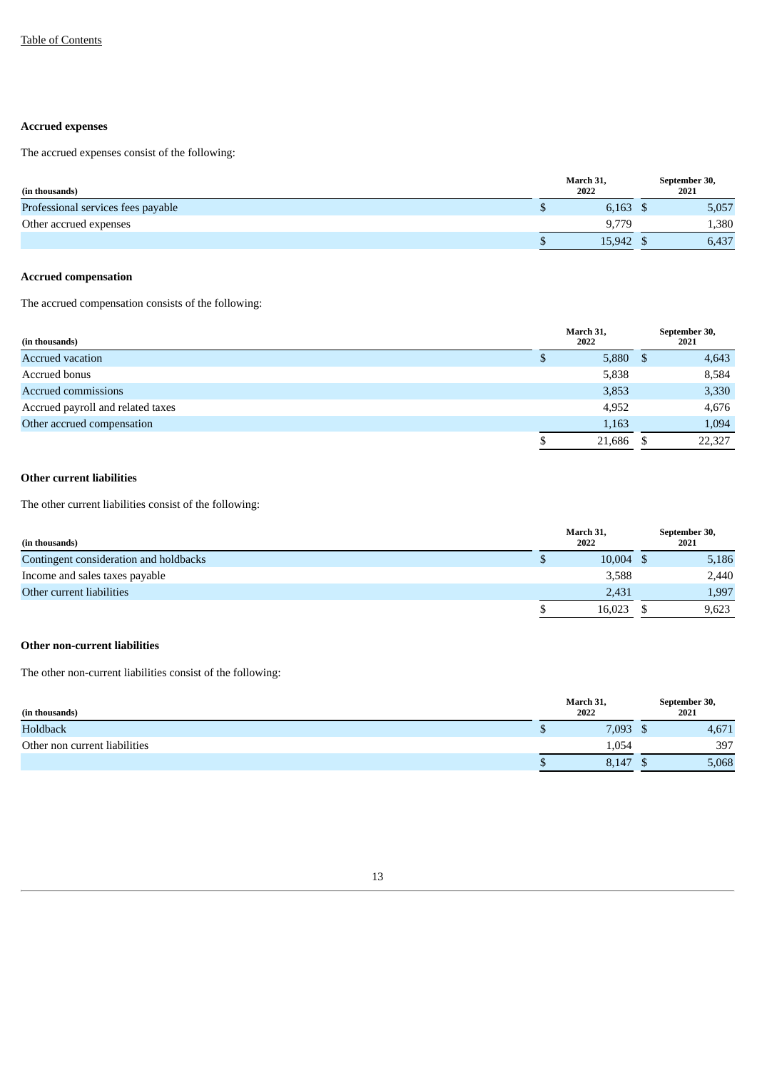## **Accrued expenses**

The accrued expenses consist of the following:

| (in thousands)                     | March 31,<br>2022 | September 30,<br>2021 |
|------------------------------------|-------------------|-----------------------|
| Professional services fees payable | 6,163             | 5,057                 |
| Other accrued expenses             | 9.779             | 1,380                 |
|                                    | 15,942            | 6,437                 |

## **Accrued compensation**

The accrued compensation consists of the following:

| (in thousands)                    |   | March 31,<br>2022 |    | September 30,<br>2021 |
|-----------------------------------|---|-------------------|----|-----------------------|
| <b>Accrued vacation</b>           | Φ | 5,880             | -S | 4,643                 |
| Accrued bonus                     |   | 5,838             |    | 8,584                 |
| <b>Accrued commissions</b>        |   | 3,853             |    | 3,330                 |
| Accrued payroll and related taxes |   | 4,952             |    | 4,676                 |
| Other accrued compensation        |   | 1,163             |    | 1,094                 |
|                                   |   | 21,686            |    | 22,327                |

## **Other current liabilities**

The other current liabilities consist of the following:

| (in thousands)                         | March 31,<br>2022 | September 30,<br>2021 |
|----------------------------------------|-------------------|-----------------------|
| Contingent consideration and holdbacks | 10.004            | 5,186                 |
| Income and sales taxes payable         | 3,588             | 2,440                 |
| Other current liabilities              | 2.431             | 1,997                 |
|                                        | 16,023            | 9,623                 |

## **Other non-current liabilities**

The other non-current liabilities consist of the following:

| (in thousands)                |   | March 31,<br>2022 | September 30,<br>2021 |
|-------------------------------|---|-------------------|-----------------------|
| Holdback                      | ш | 7,093             | 4,671                 |
| Other non current liabilities |   | 1,054             | 397                   |
|                               |   | 8,147             | 5,068                 |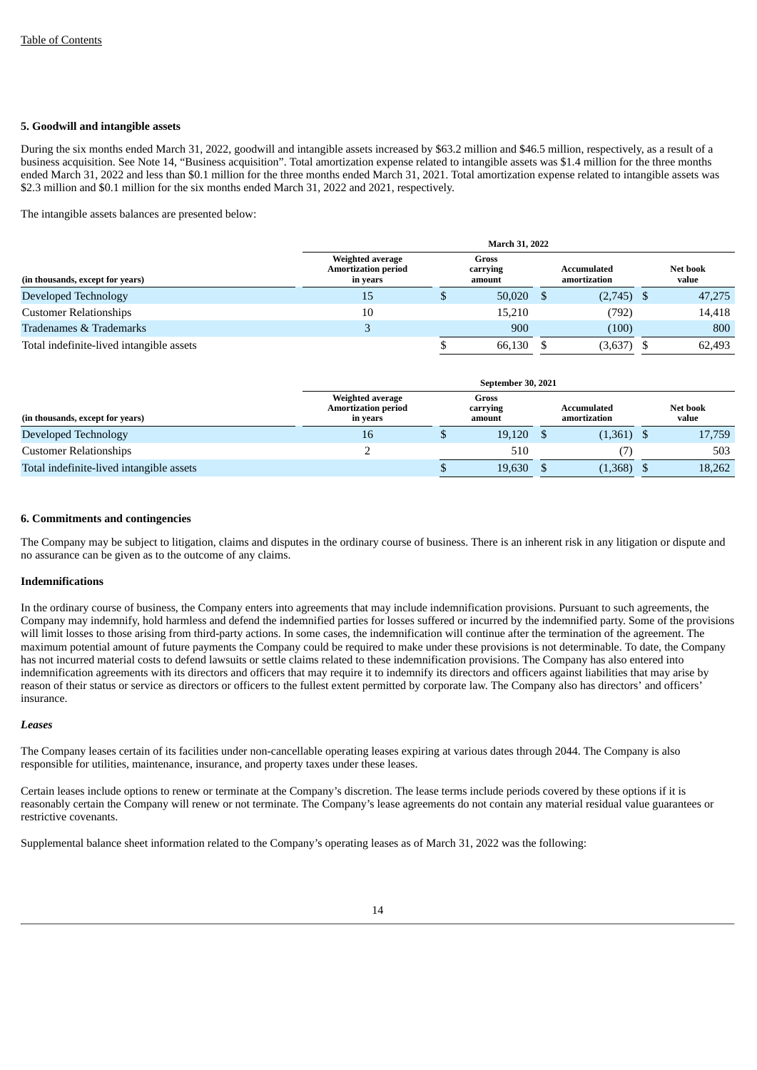## **5. Goodwill and intangible assets**

During the six months ended March 31, 2022, goodwill and intangible assets increased by \$63.2 million and \$46.5 million, respectively, as a result of a business acquisition. See Note 14, "Business acquisition". Total amortization expense related to intangible assets was \$1.4 million for the three months ended March 31, 2022 and less than \$0.1 million for the three months ended March 31, 2021. Total amortization expense related to intangible assets was \$2.3 million and \$0.1 million for the six months ended March 31, 2022 and 2021, respectively.

The intangible assets balances are presented below:

|                                          |                                                            | <b>March 31, 2022</b> |                             |  |                             |  |                   |  |
|------------------------------------------|------------------------------------------------------------|-----------------------|-----------------------------|--|-----------------------------|--|-------------------|--|
| (in thousands, except for years)         | Weighted average<br><b>Amortization period</b><br>in years |                       | Gross<br>carrying<br>amount |  | Accumulated<br>amortization |  | Net book<br>value |  |
| Developed Technology                     | 15                                                         |                       | 50,020                      |  | $(2,745)$ \$                |  | 47,275            |  |
| <b>Customer Relationships</b>            | 10                                                         |                       | 15.210                      |  | (792)                       |  | 14,418            |  |
| Tradenames & Trademarks                  | 3                                                          |                       | 900                         |  | (100)                       |  | 800               |  |
| Total indefinite-lived intangible assets |                                                            |                       | 66,130                      |  | (3,637)                     |  | 62,493            |  |

|                                          | September 30, 2021                                                |  |                             |  |                             |  |                          |  |
|------------------------------------------|-------------------------------------------------------------------|--|-----------------------------|--|-----------------------------|--|--------------------------|--|
| (in thousands, except for years)         | <b>Weighted average</b><br><b>Amortization period</b><br>in years |  | Gross<br>carrying<br>amount |  | Accumulated<br>amortization |  | <b>Net book</b><br>value |  |
| Developed Technology                     | 16                                                                |  | 19,120                      |  | (1,361)                     |  | 17,759                   |  |
| <b>Customer Relationships</b>            |                                                                   |  | 510                         |  |                             |  | 503                      |  |
| Total indefinite-lived intangible assets |                                                                   |  | 19,630                      |  | (1,368)                     |  | 18,262                   |  |

#### **6. Commitments and contingencies**

The Company may be subject to litigation, claims and disputes in the ordinary course of business. There is an inherent risk in any litigation or dispute and no assurance can be given as to the outcome of any claims.

## **Indemnifications**

In the ordinary course of business, the Company enters into agreements that may include indemnification provisions. Pursuant to such agreements, the Company may indemnify, hold harmless and defend the indemnified parties for losses suffered or incurred by the indemnified party. Some of the provisions will limit losses to those arising from third-party actions. In some cases, the indemnification will continue after the termination of the agreement. The maximum potential amount of future payments the Company could be required to make under these provisions is not determinable. To date, the Company has not incurred material costs to defend lawsuits or settle claims related to these indemnification provisions. The Company has also entered into indemnification agreements with its directors and officers that may require it to indemnify its directors and officers against liabilities that may arise by reason of their status or service as directors or officers to the fullest extent permitted by corporate law. The Company also has directors' and officers' insurance.

#### *Leases*

The Company leases certain of its facilities under non-cancellable operating leases expiring at various dates through 2044. The Company is also responsible for utilities, maintenance, insurance, and property taxes under these leases.

Certain leases include options to renew or terminate at the Company's discretion. The lease terms include periods covered by these options if it is reasonably certain the Company will renew or not terminate. The Company's lease agreements do not contain any material residual value guarantees or restrictive covenants.

Supplemental balance sheet information related to the Company's operating leases as of March 31, 2022 was the following: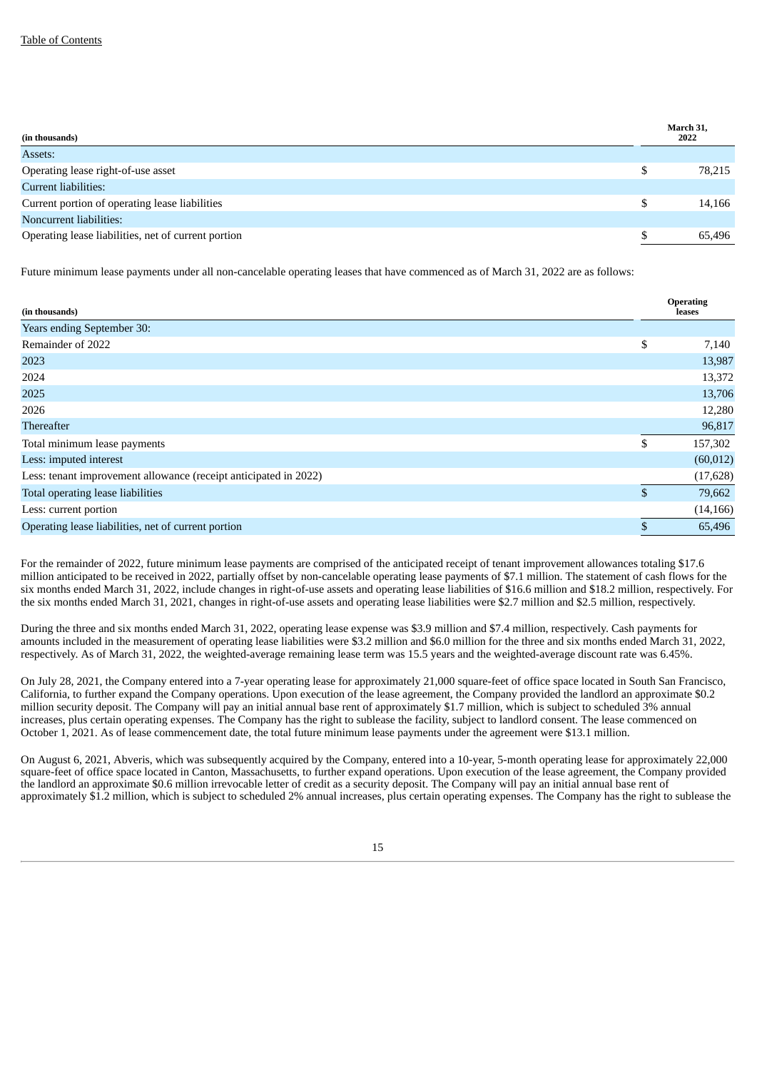| (in thousands)                                      |   | March 31,<br>2022 |
|-----------------------------------------------------|---|-------------------|
| Assets:                                             |   |                   |
| Operating lease right-of-use asset                  | S | 78,215            |
| Current liabilities:                                |   |                   |
| Current portion of operating lease liabilities      | S | 14,166            |
| Noncurrent liabilities:                             |   |                   |
| Operating lease liabilities, net of current portion |   | 65,496            |
|                                                     |   |                   |

Future minimum lease payments under all non-cancelable operating leases that have commenced as of March 31, 2022 are as follows:

| (in thousands)                                                   | <b>Operating</b><br>leases |
|------------------------------------------------------------------|----------------------------|
| Years ending September 30:                                       |                            |
| Remainder of 2022                                                | \$<br>7,140                |
| 2023                                                             | 13,987                     |
| 2024                                                             | 13,372                     |
| 2025                                                             | 13,706                     |
| 2026                                                             | 12,280                     |
| <b>Thereafter</b>                                                | 96,817                     |
| Total minimum lease payments                                     | \$<br>157,302              |
| Less: imputed interest                                           | (60, 012)                  |
| Less: tenant improvement allowance (receipt anticipated in 2022) | (17, 628)                  |
| Total operating lease liabilities                                | \$<br>79,662               |
| Less: current portion                                            | (14, 166)                  |
| Operating lease liabilities, net of current portion              | \$<br>65,496               |

For the remainder of 2022, future minimum lease payments are comprised of the anticipated receipt of tenant improvement allowances totaling \$17.6 million anticipated to be received in 2022, partially offset by non-cancelable operating lease payments of \$7.1 million. The statement of cash flows for the six months ended March 31, 2022, include changes in right-of-use assets and operating lease liabilities of \$16.6 million and \$18.2 million, respectively. For the six months ended March 31, 2021, changes in right-of-use assets and operating lease liabilities were \$2.7 million and \$2.5 million, respectively.

During the three and six months ended March 31, 2022, operating lease expense was \$3.9 million and \$7.4 million, respectively. Cash payments for amounts included in the measurement of operating lease liabilities were \$3.2 million and \$6.0 million for the three and six months ended March 31, 2022, respectively. As of March 31, 2022, the weighted-average remaining lease term was 15.5 years and the weighted-average discount rate was 6.45%.

On July 28, 2021, the Company entered into a 7-year operating lease for approximately 21,000 square-feet of office space located in South San Francisco, California, to further expand the Company operations. Upon execution of the lease agreement, the Company provided the landlord an approximate \$0.2 million security deposit. The Company will pay an initial annual base rent of approximately \$1.7 million, which is subject to scheduled 3% annual increases, plus certain operating expenses. The Company has the right to sublease the facility, subject to landlord consent. The lease commenced on October 1, 2021. As of lease commencement date, the total future minimum lease payments under the agreement were \$13.1 million.

On August 6, 2021, Abveris, which was subsequently acquired by the Company, entered into a 10-year, 5-month operating lease for approximately 22,000 square-feet of office space located in Canton, Massachusetts, to further expand operations. Upon execution of the lease agreement, the Company provided the landlord an approximate \$0.6 million irrevocable letter of credit as a security deposit. The Company will pay an initial annual base rent of approximately \$1.2 million, which is subject to scheduled 2% annual increases, plus certain operating expenses. The Company has the right to sublease the

15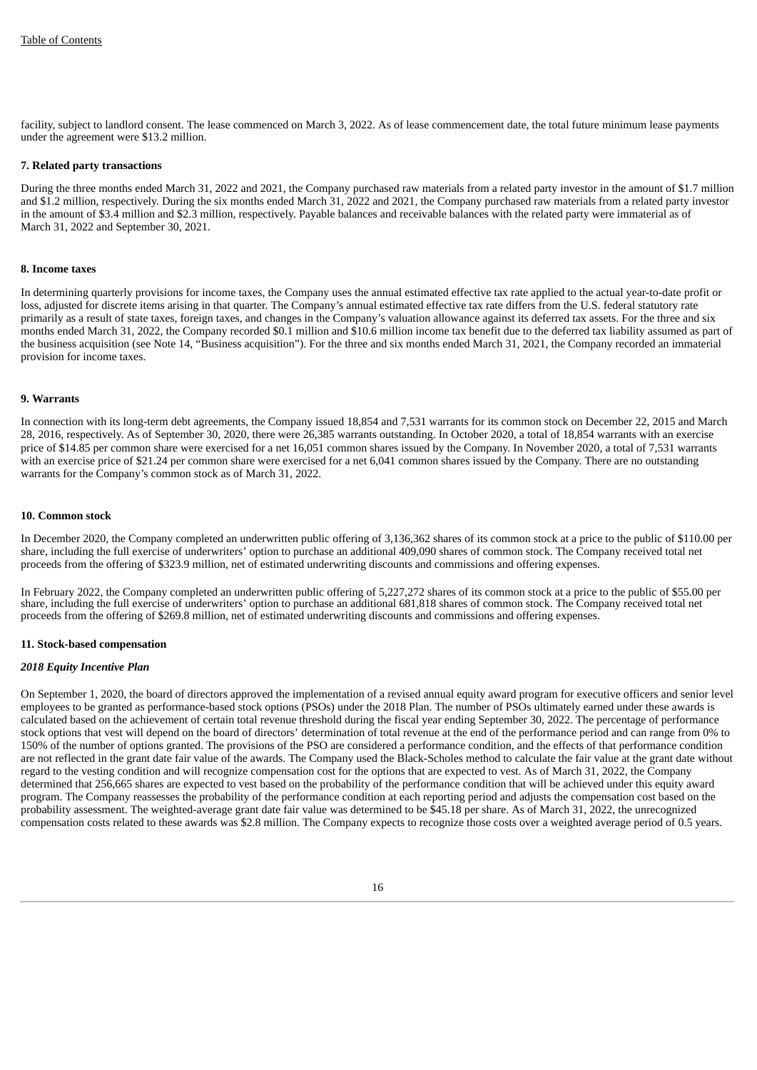facility, subject to landlord consent. The lease commenced on March 3, 2022. As of lease commencement date, the total future minimum lease payments under the agreement were \$13.2 million.

#### **7. Related party transactions**

During the three months ended March 31, 2022 and 2021, the Company purchased raw materials from a related party investor in the amount of \$1.7 million and \$1.2 million, respectively. During the six months ended March 31, 2022 and 2021, the Company purchased raw materials from a related party investor in the amount of \$3.4 million and \$2.3 million, respectively. Payable balances and receivable balances with the related party were immaterial as of March 31, 2022 and September 30, 2021.

#### **8. Income taxes**

In determining quarterly provisions for income taxes, the Company uses the annual estimated effective tax rate applied to the actual year-to-date profit or loss, adjusted for discrete items arising in that quarter. The Company's annual estimated effective tax rate differs from the U.S. federal statutory rate primarily as a result of state taxes, foreign taxes, and changes in the Company's valuation allowance against its deferred tax assets. For the three and six months ended March 31, 2022, the Company recorded \$0.1 million and \$10.6 million income tax benefit due to the deferred tax liability assumed as part of the business acquisition (see Note 14, "Business acquisition"). For the three and six months ended March 31, 2021, the Company recorded an immaterial provision for income taxes.

#### **9. Warrants**

In connection with its long-term debt agreements, the Company issued 18,854 and 7,531 warrants for its common stock on December 22, 2015 and March 28, 2016, respectively. As of September 30, 2020, there were 26,385 warrants outstanding. In October 2020, a total of 18,854 warrants with an exercise price of \$14.85 per common share were exercised for a net 16,051 common shares issued by the Company. In November 2020, a total of 7,531 warrants with an exercise price of \$21.24 per common share were exercised for a net 6,041 common shares issued by the Company. There are no outstanding warrants for the Company's common stock as of March 31, 2022.

#### **10. Common stock**

In December 2020, the Company completed an underwritten public offering of 3,136,362 shares of its common stock at a price to the public of \$110.00 per share, including the full exercise of underwriters' option to purchase an additional 409,090 shares of common stock. The Company received total net proceeds from the offering of \$323.9 million, net of estimated underwriting discounts and commissions and offering expenses.

In February 2022, the Company completed an underwritten public offering of 5,227,272 shares of its common stock at a price to the public of \$55.00 per share, including the full exercise of underwriters' option to purchase an additional 681,818 shares of common stock. The Company received total net proceeds from the offering of \$269.8 million, net of estimated underwriting discounts and commissions and offering expenses.

#### **11. Stock-based compensation**

#### *2018 Equity Incentive Plan*

On September 1, 2020, the board of directors approved the implementation of a revised annual equity award program for executive officers and senior level employees to be granted as performance-based stock options (PSOs) under the 2018 Plan. The number of PSOs ultimately earned under these awards is calculated based on the achievement of certain total revenue threshold during the fiscal year ending September 30, 2022. The percentage of performance stock options that vest will depend on the board of directors' determination of total revenue at the end of the performance period and can range from 0% to 150% of the number of options granted. The provisions of the PSO are considered a performance condition, and the effects of that performance condition are not reflected in the grant date fair value of the awards. The Company used the Black-Scholes method to calculate the fair value at the grant date without regard to the vesting condition and will recognize compensation cost for the options that are expected to vest. As of March 31, 2022, the Company determined that 256,665 shares are expected to vest based on the probability of the performance condition that will be achieved under this equity award program. The Company reassesses the probability of the performance condition at each reporting period and adjusts the compensation cost based on the probability assessment. The weighted-average grant date fair value was determined to be \$45.18 per share. As of March 31, 2022, the unrecognized compensation costs related to these awards was \$2.8 million. The Company expects to recognize those costs over a weighted average period of 0.5 years.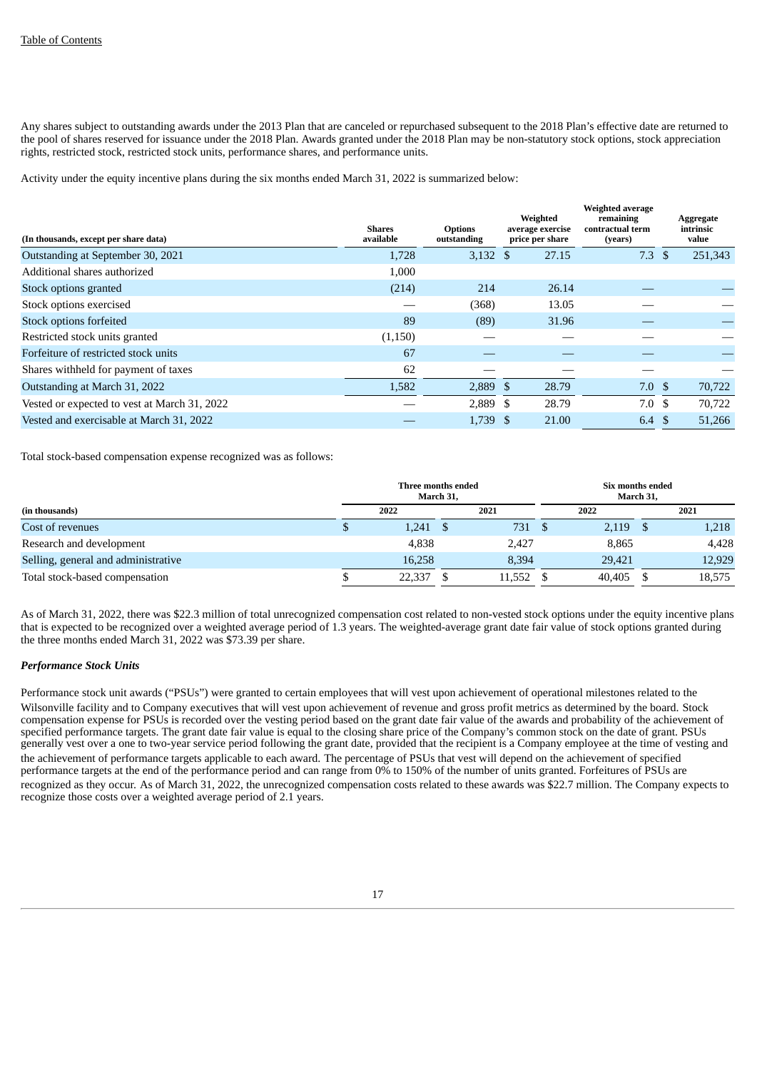Any shares subject to outstanding awards under the 2013 Plan that are canceled or repurchased subsequent to the 2018 Plan's effective date are returned to the pool of shares reserved for issuance under the 2018 Plan. Awards granted under the 2018 Plan may be non-statutory stock options, stock appreciation rights, restricted stock, restricted stock units, performance shares, and performance units.

Activity under the equity incentive plans during the six months ended March 31, 2022 is summarized below:

| (In thousands, except per share data)        | Shares<br>available | <b>Options</b><br>outstanding | Weighted<br>average exercise<br>price per share | <b>Weighted average</b><br>remaining<br>contractual term<br>(years) | Aggregate<br>intrinsic<br>value |
|----------------------------------------------|---------------------|-------------------------------|-------------------------------------------------|---------------------------------------------------------------------|---------------------------------|
| Outstanding at September 30, 2021            | 1,728               | $3,132$ \$                    | 27.15                                           | 7.3                                                                 | \$.<br>251,343                  |
| Additional shares authorized                 | 1,000               |                               |                                                 |                                                                     |                                 |
| Stock options granted                        | (214)               | 214                           | 26.14                                           |                                                                     |                                 |
| Stock options exercised                      |                     | (368)                         | 13.05                                           |                                                                     |                                 |
| Stock options forfeited                      | 89                  | (89)                          | 31.96                                           |                                                                     |                                 |
| Restricted stock units granted               | (1,150)             |                               |                                                 |                                                                     |                                 |
| Forfeiture of restricted stock units         | 67                  |                               |                                                 |                                                                     |                                 |
| Shares withheld for payment of taxes         | 62                  |                               |                                                 |                                                                     |                                 |
| Outstanding at March 31, 2022                | 1,582               | $2,889$ \$                    | 28.79                                           | 7.0 <sup>5</sup>                                                    | 70,722                          |
| Vested or expected to vest at March 31, 2022 |                     | 2,889 \$                      | 28.79                                           | 7.0 \$                                                              | 70,722                          |
| Vested and exercisable at March 31, 2022     |                     | 1,739 \$                      | 21.00                                           | 6.4 \$                                                              | 51,266                          |

Total stock-based compensation expense recognized was as follows:

|                                     | Three months ended<br>March 31. |  | Six months ended<br>March 31. |  |        |  |        |
|-------------------------------------|---------------------------------|--|-------------------------------|--|--------|--|--------|
| (in thousands)                      | 2022                            |  | 2021                          |  | 2022   |  | 2021   |
| Cost of revenues                    | 1,241                           |  | 731                           |  | 2,119  |  | 1,218  |
| Research and development            | 4,838                           |  | 2,427                         |  | 8,865  |  | 4,428  |
| Selling, general and administrative | 16,258                          |  | 8,394                         |  | 29,421 |  | 12,929 |
| Total stock-based compensation      | 22,337                          |  | $11,552$ \$                   |  | 40,405 |  | 18,575 |

As of March 31, 2022, there was \$22.3 million of total unrecognized compensation cost related to non-vested stock options under the equity incentive plans that is expected to be recognized over a weighted average period of 1.3 years. The weighted-average grant date fair value of stock options granted during the three months ended March 31, 2022 was \$73.39 per share.

#### *Performance Stock Units*

Performance stock unit awards ("PSUs") were granted to certain employees that will vest upon achievement of operational milestones related to the Wilsonville facility and to Company executives that will vest upon achievement of revenue and gross profit metrics as determined by the board. Stock compensation expense for PSUs is recorded over the vesting period based on the grant date fair value of the awards and probability of the achievement of specified performance targets. The grant date fair value is equal to the closing share price of the Company's common stock on the date of grant. PSUs generally vest over a one to two-year service period following the grant date, provided that the recipient is a Company employee at the time of vesting and the achievement of performance targets applicable to each award. The percentage of PSUs that vest will depend on the achievement of specified performance targets at the end of the performance period and can range from 0% to 150% of the number of units granted. Forfeitures of PSUs are recognized as they occur. As of March 31, 2022, the unrecognized compensation costs related to these awards was \$22.7 million. The Company expects to recognize those costs over a weighted average period of 2.1 years.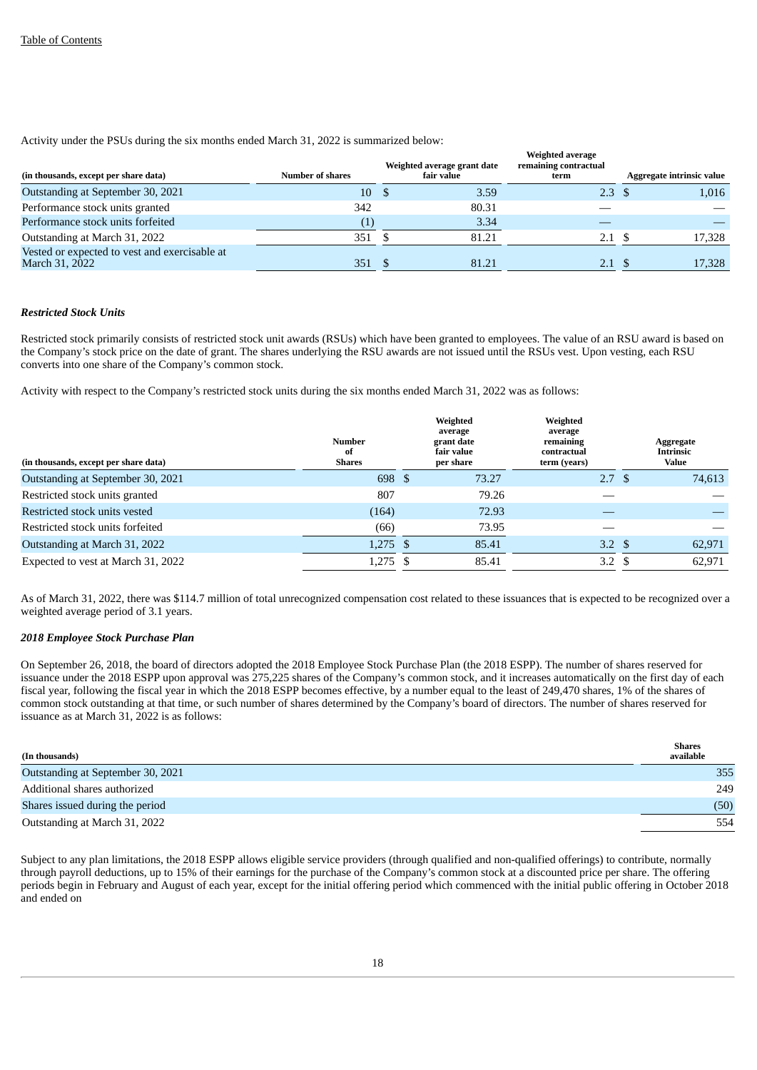Activity under the PSUs during the six months ended March 31, 2022 is summarized below:

| (in thousands, except per share data)                           | <b>Number of shares</b> |    | Weighted average grant date<br>fair value | Weighted average<br>remaining contractual<br>term | Aggregate intrinsic value |
|-----------------------------------------------------------------|-------------------------|----|-------------------------------------------|---------------------------------------------------|---------------------------|
| Outstanding at September 30, 2021                               | 10                      | -S | 3.59                                      | 2.3 <sup>5</sup>                                  | 1,016                     |
| Performance stock units granted                                 | 342                     |    | 80.31                                     |                                                   |                           |
| Performance stock units forfeited                               | (1)                     |    | 3.34                                      |                                                   |                           |
| Outstanding at March 31, 2022                                   | 351                     |    | 81.21                                     | 2.1 <sup>5</sup>                                  | 17.328                    |
| Vested or expected to vest and exercisable at<br>March 31, 2022 | 351                     |    | 81.21                                     | 2.1 <sup>5</sup>                                  | 17,328                    |

## *Restricted Stock Units*

Restricted stock primarily consists of restricted stock unit awards (RSUs) which have been granted to employees. The value of an RSU award is based on the Company's stock price on the date of grant. The shares underlying the RSU awards are not issued until the RSUs vest. Upon vesting, each RSU converts into one share of the Company's common stock.

Activity with respect to the Company's restricted stock units during the six months ended March 31, 2022 was as follows:

| (in thousands, except per share data) | <b>Number</b><br>of<br><b>Shares</b> | Weighted<br>average<br>grant date<br>fair value<br>per share | Weighted<br>average<br>remaining<br>contractual<br>term (years) | Aggregate<br><b>Intrinsic</b><br>Value |
|---------------------------------------|--------------------------------------|--------------------------------------------------------------|-----------------------------------------------------------------|----------------------------------------|
| Outstanding at September 30, 2021     | 698 \$                               | 73.27                                                        | 2.7 <sup>5</sup>                                                | 74,613                                 |
| Restricted stock units granted        | 807                                  | 79.26                                                        |                                                                 |                                        |
| Restricted stock units vested         | (164)                                | 72.93                                                        |                                                                 |                                        |
| Restricted stock units forfeited      | (66)                                 | 73.95                                                        |                                                                 |                                        |
| Outstanding at March 31, 2022         | $1,275$ \$                           | 85.41                                                        | $3.2 \text{ } $$                                                | 62,971                                 |
| Expected to vest at March 31, 2022    | $1,275$ \$                           | 85.41                                                        | 3.2                                                             | 62,971                                 |

As of March 31, 2022, there was \$114.7 million of total unrecognized compensation cost related to these issuances that is expected to be recognized over a weighted average period of 3.1 years.

#### *2018 Employee Stock Purchase Plan*

On September 26, 2018, the board of directors adopted the 2018 Employee Stock Purchase Plan (the 2018 ESPP). The number of shares reserved for issuance under the 2018 ESPP upon approval was 275,225 shares of the Company's common stock, and it increases automatically on the first day of each fiscal year, following the fiscal year in which the 2018 ESPP becomes effective, by a number equal to the least of 249,470 shares, 1% of the shares of common stock outstanding at that time, or such number of shares determined by the Company's board of directors. The number of shares reserved for issuance as at March 31, 2022 is as follows:

| (In thousands)                    | <b>Shares</b><br>available |
|-----------------------------------|----------------------------|
| Outstanding at September 30, 2021 | 355                        |
| Additional shares authorized      | 249                        |
| Shares issued during the period   | (50)                       |
| Outstanding at March 31, 2022     | 554                        |

Subject to any plan limitations, the 2018 ESPP allows eligible service providers (through qualified and non-qualified offerings) to contribute, normally through payroll deductions, up to 15% of their earnings for the purchase of the Company's common stock at a discounted price per share. The offering periods begin in February and August of each year, except for the initial offering period which commenced with the initial public offering in October 2018 and ended on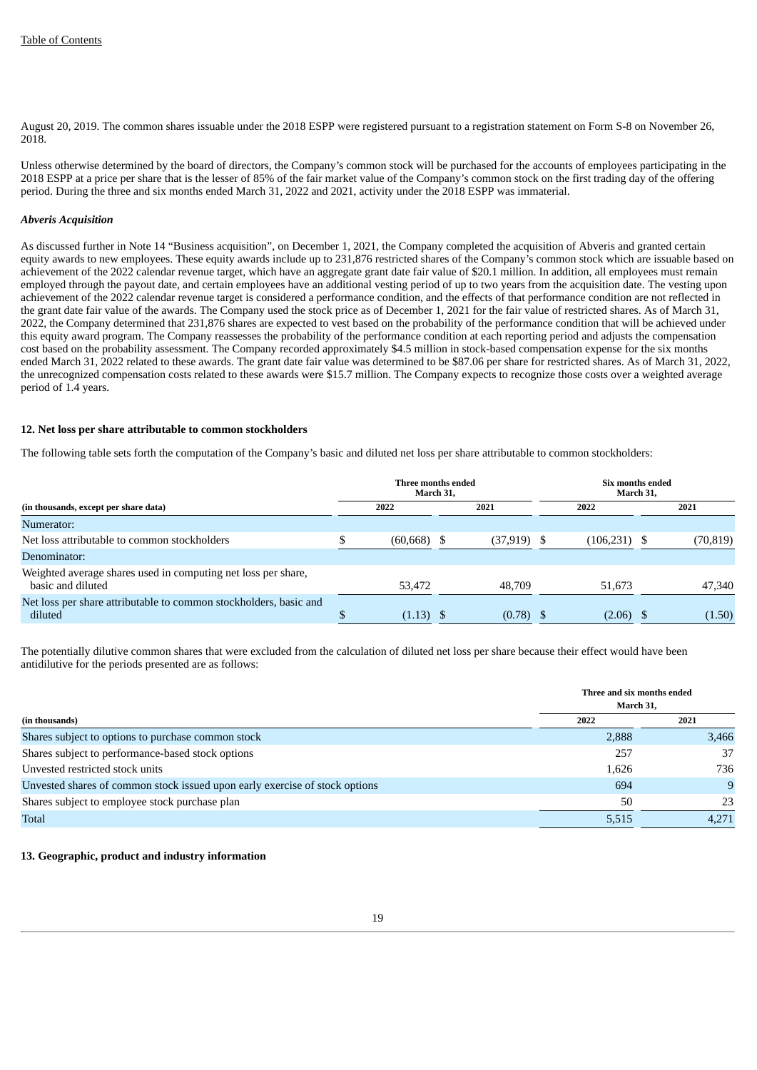August 20, 2019. The common shares issuable under the 2018 ESPP were registered pursuant to a registration statement on Form S-8 on November 26, 2018.

Unless otherwise determined by the board of directors, the Company's common stock will be purchased for the accounts of employees participating in the 2018 ESPP at a price per share that is the lesser of 85% of the fair market value of the Company's common stock on the first trading day of the offering period. During the three and six months ended March 31, 2022 and 2021, activity under the 2018 ESPP was immaterial.

#### *Abveris Acquisition*

As discussed further in Note 14 "Business acquisition", on December 1, 2021, the Company completed the acquisition of Abveris and granted certain equity awards to new employees. These equity awards include up to 231,876 restricted shares of the Company's common stock which are issuable based on achievement of the 2022 calendar revenue target, which have an aggregate grant date fair value of \$20.1 million. In addition, all employees must remain employed through the payout date, and certain employees have an additional vesting period of up to two years from the acquisition date. The vesting upon achievement of the 2022 calendar revenue target is considered a performance condition, and the effects of that performance condition are not reflected in the grant date fair value of the awards. The Company used the stock price as of December 1, 2021 for the fair value of restricted shares. As of March 31, 2022, the Company determined that 231,876 shares are expected to vest based on the probability of the performance condition that will be achieved under this equity award program. The Company reassesses the probability of the performance condition at each reporting period and adjusts the compensation cost based on the probability assessment. The Company recorded approximately \$4.5 million in stock-based compensation expense for the six months ended March 31, 2022 related to these awards. The grant date fair value was determined to be \$87.06 per share for restricted shares. As of March 31, 2022, the unrecognized compensation costs related to these awards were \$15.7 million. The Company expects to recognize those costs over a weighted average period of 1.4 years.

#### **12. Net loss per share attributable to common stockholders**

The following table sets forth the computation of the Company's basic and diluted net loss per share attributable to common stockholders:

|                                                                                    | Three months ended<br>Six months ended<br>March 31.<br>March 31. |                |               |  |                 |  |           |  |  |
|------------------------------------------------------------------------------------|------------------------------------------------------------------|----------------|---------------|--|-----------------|--|-----------|--|--|
| (in thousands, except per share data)                                              |                                                                  | 2022           | 2021          |  | 2022            |  | 2021      |  |  |
| Numerator:                                                                         |                                                                  |                |               |  |                 |  |           |  |  |
| Net loss attributable to common stockholders                                       |                                                                  | $(60, 668)$ \$ | $(37,919)$ \$ |  | $(106, 231)$ \$ |  | (70, 819) |  |  |
| Denominator:                                                                       |                                                                  |                |               |  |                 |  |           |  |  |
| Weighted average shares used in computing net loss per share,<br>basic and diluted |                                                                  | 53,472         | 48,709        |  | 51.673          |  | 47,340    |  |  |
| Net loss per share attributable to common stockholders, basic and<br>diluted       |                                                                  | $(1.13)$ \$    | $(0.78)$ \$   |  | (2.06)          |  | (1.50)    |  |  |

The potentially dilutive common shares that were excluded from the calculation of diluted net loss per share because their effect would have been antidilutive for the periods presented are as follows:

|                                                                             |       | Three and six months ended<br>March 31, |
|-----------------------------------------------------------------------------|-------|-----------------------------------------|
| (in thousands)                                                              | 2022  | 2021                                    |
| Shares subject to options to purchase common stock                          | 2,888 | 3,466                                   |
| Shares subject to performance-based stock options                           | 257   | 37                                      |
| Unvested restricted stock units                                             | 1,626 | 736                                     |
| Unvested shares of common stock issued upon early exercise of stock options | 694   | 9                                       |
| Shares subject to employee stock purchase plan                              | 50    | 23                                      |
| Total                                                                       | 5,515 | 4,271                                   |

## **13. Geographic, product and industry information**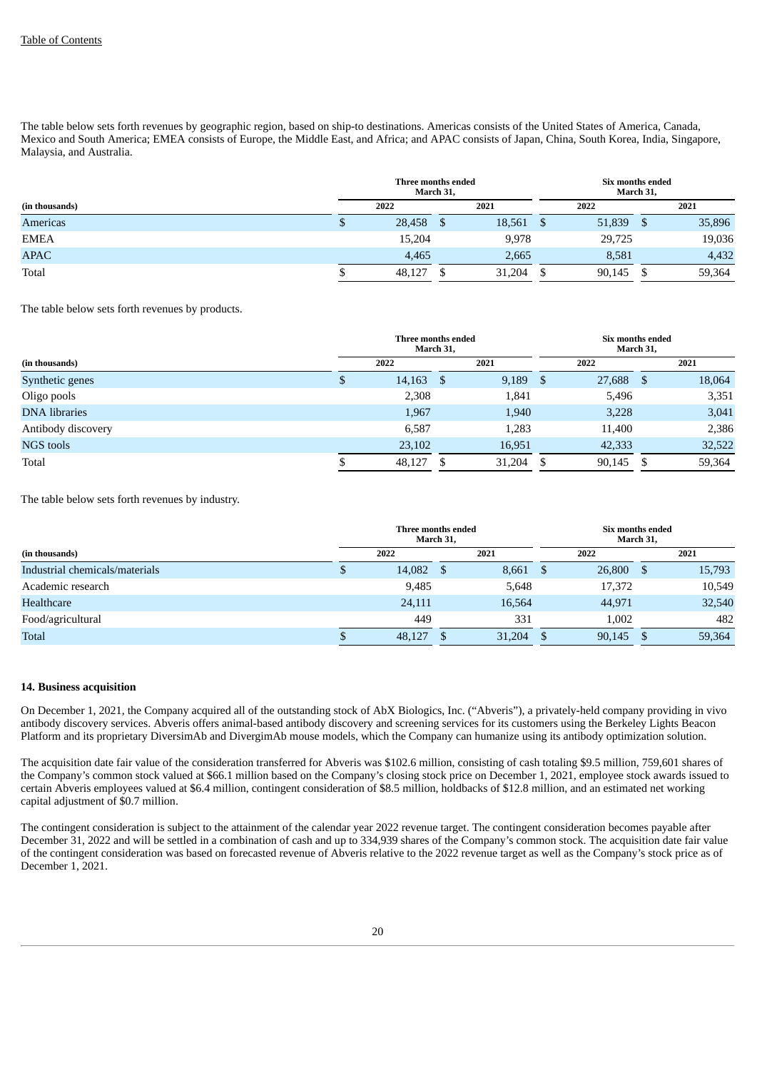The table below sets forth revenues by geographic region, based on ship-to destinations. Americas consists of the United States of America, Canada, Mexico and South America; EMEA consists of Europe, the Middle East, and Africa; and APAC consists of Japan, China, South Korea, India, Singapore, Malaysia, and Australia.

|                |   | Three months ended<br>March 31, |               | Six months ended<br>March 31, |     |        |    |        |
|----------------|---|---------------------------------|---------------|-------------------------------|-----|--------|----|--------|
| (in thousands) |   | 2022                            |               | 2021                          |     | 2022   |    | 2021   |
| Americas       | Ψ | 28,458                          | <sup>\$</sup> | 18,561                        | - S | 51,839 | \$ | 35,896 |
| EMEA           |   | 15,204                          |               | 9,978                         |     | 29,725 |    | 19,036 |
| <b>APAC</b>    |   | 4,465                           |               | 2,665                         |     | 8,581  |    | 4,432  |
| Total          |   | 48,127                          |               | 31,204                        |     | 90,145 |    | 59,364 |

The table below sets forth revenues by products.

|                      |   | Three months ended<br>March 31, |        | Six months ended<br>March 31, |        |     |        |
|----------------------|---|---------------------------------|--------|-------------------------------|--------|-----|--------|
| (in thousands)       |   | 2022                            | 2021   |                               | 2022   |     | 2021   |
| Synthetic genes      | D | $14,163$ \$                     | 9,189  | - \$                          | 27,688 | \$. | 18,064 |
| Oligo pools          |   | 2,308                           | 1,841  |                               | 5,496  |     | 3,351  |
| <b>DNA</b> libraries |   | 1,967                           | 1,940  |                               | 3,228  |     | 3,041  |
| Antibody discovery   |   | 6,587                           | 1,283  |                               | 11,400 |     | 2,386  |
| <b>NGS</b> tools     |   | 23,102                          | 16,951 |                               | 42,333 |     | 32,522 |
| Total                | J | 48,127                          | 31,204 |                               | 90,145 |     | 59,364 |

The table below sets forth revenues by industry.

|                                |    | Three months ended<br>March 31, |    |            | Six months ended<br>March 31, |        |    |        |
|--------------------------------|----|---------------------------------|----|------------|-------------------------------|--------|----|--------|
| (in thousands)                 |    | 2022                            |    | 2021       |                               | 2022   |    | 2021   |
| Industrial chemicals/materials | ۰D | 14,082                          | -S | $8,661$ \$ |                               | 26,800 | \$ | 15,793 |
| Academic research              |    | 9,485                           |    | 5,648      |                               | 17,372 |    | 10,549 |
| Healthcare                     |    | 24,111                          |    | 16,564     |                               | 44,971 |    | 32,540 |
| Food/agricultural              |    | 449                             |    | 331        |                               | 1,002  |    | 482    |
| <b>Total</b>                   |    | 48,127                          |    | 31,204     |                               | 90,145 |    | 59,364 |

## **14. Business acquisition**

On December 1, 2021, the Company acquired all of the outstanding stock of AbX Biologics, Inc. ("Abveris"), a privately-held company providing in vivo antibody discovery services. Abveris offers animal-based antibody discovery and screening services for its customers using the Berkeley Lights Beacon Platform and its proprietary DiversimAb and DivergimAb mouse models, which the Company can humanize using its antibody optimization solution.

The acquisition date fair value of the consideration transferred for Abveris was \$102.6 million, consisting of cash totaling \$9.5 million, 759,601 shares of the Company's common stock valued at \$66.1 million based on the Company's closing stock price on December 1, 2021, employee stock awards issued to certain Abveris employees valued at \$6.4 million, contingent consideration of \$8.5 million, holdbacks of \$12.8 million, and an estimated net working capital adjustment of \$0.7 million.

The contingent consideration is subject to the attainment of the calendar year 2022 revenue target. The contingent consideration becomes payable after December 31, 2022 and will be settled in a combination of cash and up to 334,939 shares of the Company's common stock. The acquisition date fair value of the contingent consideration was based on forecasted revenue of Abveris relative to the 2022 revenue target as well as the Company's stock price as of December 1, 2021.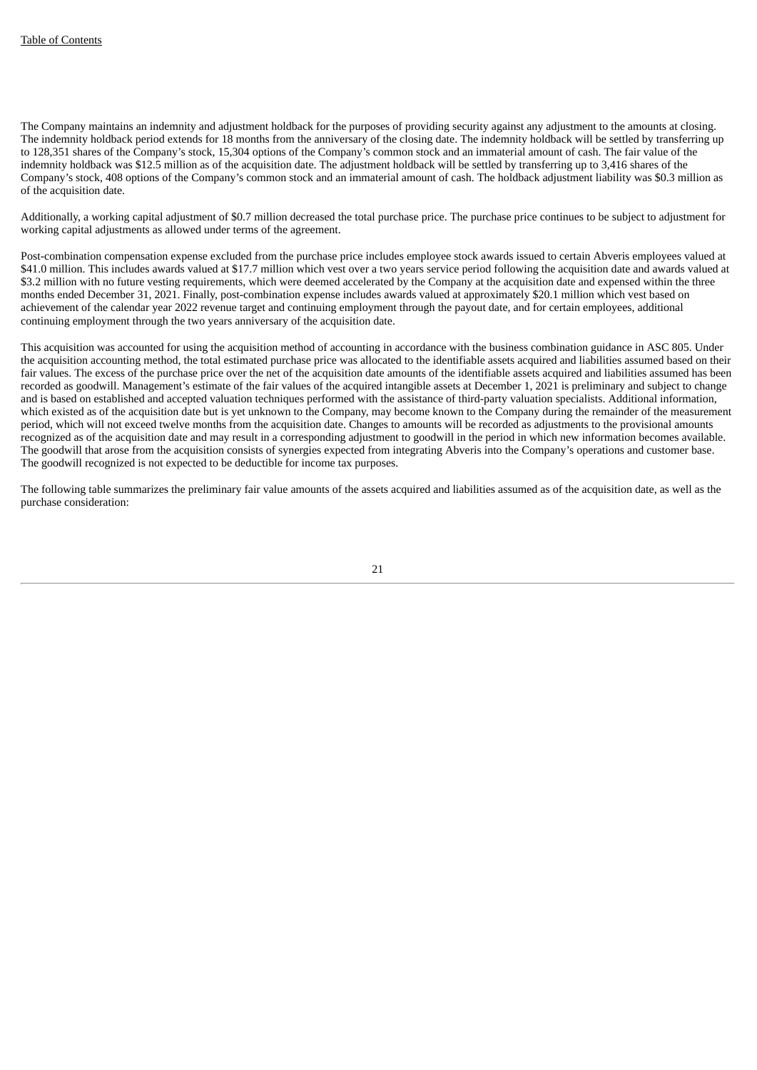The Company maintains an indemnity and adjustment holdback for the purposes of providing security against any adjustment to the amounts at closing. The indemnity holdback period extends for 18 months from the anniversary of the closing date. The indemnity holdback will be settled by transferring up to 128,351 shares of the Company's stock, 15,304 options of the Company's common stock and an immaterial amount of cash. The fair value of the indemnity holdback was \$12.5 million as of the acquisition date. The adjustment holdback will be settled by transferring up to 3,416 shares of the Company's stock, 408 options of the Company's common stock and an immaterial amount of cash. The holdback adjustment liability was \$0.3 million as of the acquisition date.

Additionally, a working capital adjustment of \$0.7 million decreased the total purchase price. The purchase price continues to be subject to adjustment for working capital adjustments as allowed under terms of the agreement.

Post-combination compensation expense excluded from the purchase price includes employee stock awards issued to certain Abveris employees valued at \$41.0 million. This includes awards valued at \$17.7 million which vest over a two years service period following the acquisition date and awards valued at \$3.2 million with no future vesting requirements, which were deemed accelerated by the Company at the acquisition date and expensed within the three months ended December 31, 2021. Finally, post-combination expense includes awards valued at approximately \$20.1 million which vest based on achievement of the calendar year 2022 revenue target and continuing employment through the payout date, and for certain employees, additional continuing employment through the two years anniversary of the acquisition date.

This acquisition was accounted for using the acquisition method of accounting in accordance with the business combination guidance in ASC 805. Under the acquisition accounting method, the total estimated purchase price was allocated to the identifiable assets acquired and liabilities assumed based on their fair values. The excess of the purchase price over the net of the acquisition date amounts of the identifiable assets acquired and liabilities assumed has been recorded as goodwill. Management's estimate of the fair values of the acquired intangible assets at December 1, 2021 is preliminary and subject to change and is based on established and accepted valuation techniques performed with the assistance of third-party valuation specialists. Additional information, which existed as of the acquisition date but is yet unknown to the Company, may become known to the Company during the remainder of the measurement period, which will not exceed twelve months from the acquisition date. Changes to amounts will be recorded as adjustments to the provisional amounts recognized as of the acquisition date and may result in a corresponding adjustment to goodwill in the period in which new information becomes available. The goodwill that arose from the acquisition consists of synergies expected from integrating Abveris into the Company's operations and customer base. The goodwill recognized is not expected to be deductible for income tax purposes.

The following table summarizes the preliminary fair value amounts of the assets acquired and liabilities assumed as of the acquisition date, as well as the purchase consideration:

21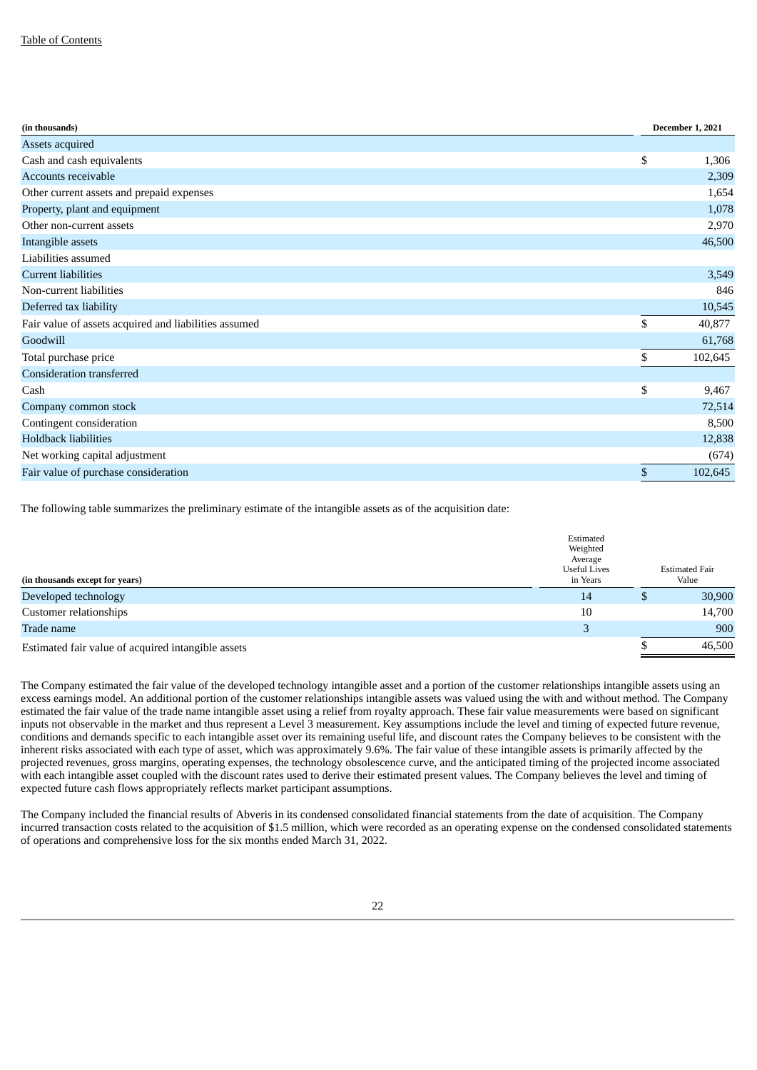| (in thousands)                                        | December 1, 2021 |
|-------------------------------------------------------|------------------|
| Assets acquired                                       |                  |
| Cash and cash equivalents                             | \$<br>1,306      |
| Accounts receivable                                   | 2,309            |
| Other current assets and prepaid expenses             | 1,654            |
| Property, plant and equipment                         | 1,078            |
| Other non-current assets                              | 2,970            |
| Intangible assets                                     | 46,500           |
| Liabilities assumed                                   |                  |
| <b>Current liabilities</b>                            | 3,549            |
| Non-current liabilities                               | 846              |
| Deferred tax liability                                | 10,545           |
| Fair value of assets acquired and liabilities assumed | \$<br>40,877     |
| Goodwill                                              | 61,768           |
| Total purchase price                                  | \$<br>102,645    |
| <b>Consideration transferred</b>                      |                  |
| Cash                                                  | \$<br>9,467      |
| Company common stock                                  | 72,514           |
| Contingent consideration                              | 8,500            |
| <b>Holdback liabilities</b>                           | 12,838           |
| Net working capital adjustment                        | (674)            |
| Fair value of purchase consideration                  | \$<br>102,645    |

The following table summarizes the preliminary estimate of the intangible assets as of the acquisition date:

| (in thousands except for years)                    | Estimated<br>Weighted<br>Average<br>Useful Lives<br>in Years |   | <b>Estimated Fair</b><br>Value |
|----------------------------------------------------|--------------------------------------------------------------|---|--------------------------------|
| Developed technology                               | 14                                                           | S | 30,900                         |
| Customer relationships                             | 10                                                           |   | 14,700                         |
| Trade name                                         |                                                              |   | 900                            |
| Estimated fair value of acquired intangible assets |                                                              |   | 46,500                         |

The Company estimated the fair value of the developed technology intangible asset and a portion of the customer relationships intangible assets using an excess earnings model. An additional portion of the customer relationships intangible assets was valued using the with and without method. The Company estimated the fair value of the trade name intangible asset using a relief from royalty approach. These fair value measurements were based on significant inputs not observable in the market and thus represent a Level 3 measurement. Key assumptions include the level and timing of expected future revenue, conditions and demands specific to each intangible asset over its remaining useful life, and discount rates the Company believes to be consistent with the inherent risks associated with each type of asset, which was approximately 9.6%. The fair value of these intangible assets is primarily affected by the projected revenues, gross margins, operating expenses, the technology obsolescence curve, and the anticipated timing of the projected income associated with each intangible asset coupled with the discount rates used to derive their estimated present values. The Company believes the level and timing of expected future cash flows appropriately reflects market participant assumptions.

The Company included the financial results of Abveris in its condensed consolidated financial statements from the date of acquisition. The Company incurred transaction costs related to the acquisition of \$1.5 million, which were recorded as an operating expense on the condensed consolidated statements of operations and comprehensive loss for the six months ended March 31, 2022.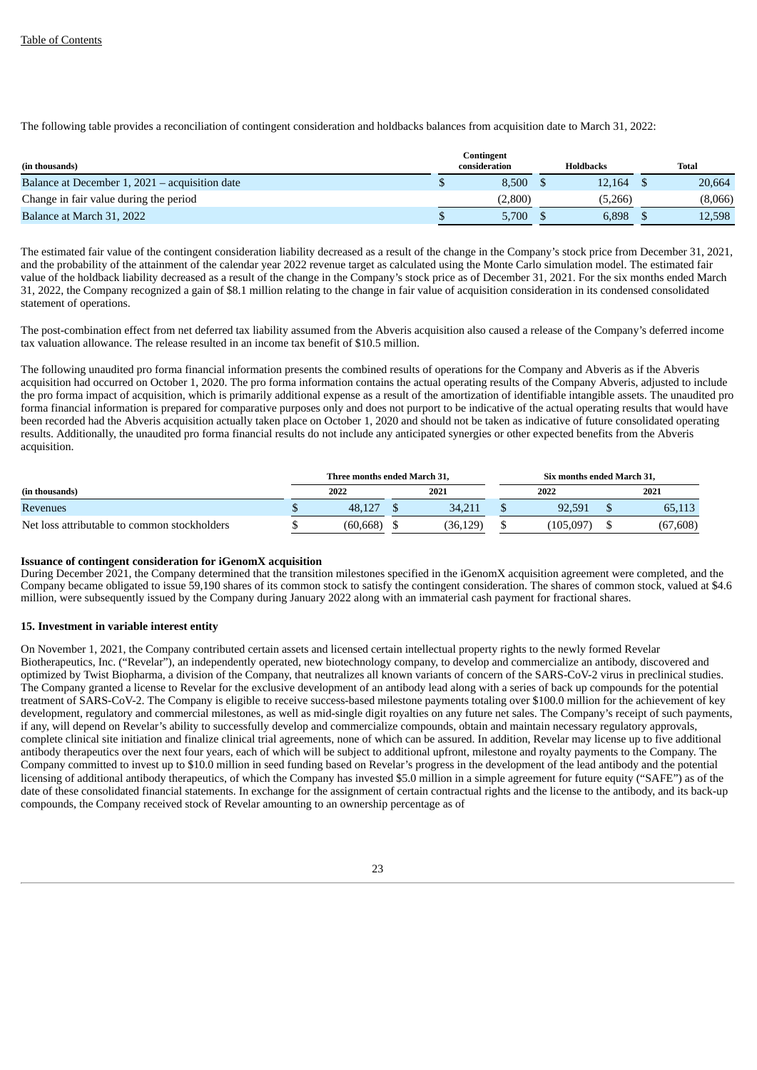The following table provides a reconciliation of contingent consideration and holdbacks balances from acquisition date to March 31, 2022:

| (in thousands)                                 | Contingent<br>consideration |         | <b>Holdbacks</b> | <b>Total</b> |
|------------------------------------------------|-----------------------------|---------|------------------|--------------|
| Balance at December 1, 2021 – acquisition date |                             | 8.500   | 12.164           | 20,664       |
| Change in fair value during the period         |                             | (2,800) | (5,266)          | (8,066)      |
| Balance at March 31, 2022                      |                             | 5.700   | 6.898            | 12,598       |

The estimated fair value of the contingent consideration liability decreased as a result of the change in the Company's stock price from December 31, 2021, and the probability of the attainment of the calendar year 2022 revenue target as calculated using the Monte Carlo simulation model. The estimated fair value of the holdback liability decreased as a result of the change in the Company's stock price as of December 31, 2021. For the six months ended March 31, 2022, the Company recognized a gain of \$8.1 million relating to the change in fair value of acquisition consideration in its condensed consolidated statement of operations.

The post-combination effect from net deferred tax liability assumed from the Abveris acquisition also caused a release of the Company's deferred income tax valuation allowance. The release resulted in an income tax benefit of \$10.5 million.

The following unaudited pro forma financial information presents the combined results of operations for the Company and Abveris as if the Abveris acquisition had occurred on October 1, 2020. The pro forma information contains the actual operating results of the Company Abveris, adjusted to include the pro forma impact of acquisition, which is primarily additional expense as a result of the amortization of identifiable intangible assets. The unaudited pro forma financial information is prepared for comparative purposes only and does not purport to be indicative of the actual operating results that would have been recorded had the Abveris acquisition actually taken place on October 1, 2020 and should not be taken as indicative of future consolidated operating results. Additionally, the unaudited pro forma financial results do not include any anticipated synergies or other expected benefits from the Abveris acquisition.

|                                              | Three months ended March 31. |          | Six months ended March 31, |         |  |           |  |  |
|----------------------------------------------|------------------------------|----------|----------------------------|---------|--|-----------|--|--|
| (in thousands)                               | 2022                         | 2021     |                            | 2022    |  | 2021      |  |  |
| <b>Revenues</b>                              | 48,127                       | 34.211   |                            | 92.591  |  | 65,113    |  |  |
| Net loss attributable to common stockholders | (60.668)                     | (36.129) |                            | 105.097 |  | (67, 608) |  |  |

## **Issuance of contingent consideration for iGenomX acquisition**

During December 2021, the Company determined that the transition milestones specified in the iGenomX acquisition agreement were completed, and the Company became obligated to issue 59,190 shares of its common stock to satisfy the contingent consideration. The shares of common stock, valued at \$4.6 million, were subsequently issued by the Company during January 2022 along with an immaterial cash payment for fractional shares.

## **15. Investment in variable interest entity**

On November 1, 2021, the Company contributed certain assets and licensed certain intellectual property rights to the newly formed Revelar Biotherapeutics, Inc. ("Revelar"), an independently operated, new biotechnology company, to develop and commercialize an antibody, discovered and optimized by Twist Biopharma, a division of the Company, that neutralizes all known variants of concern of the SARS-CoV-2 virus in preclinical studies. The Company granted a license to Revelar for the exclusive development of an antibody lead along with a series of back up compounds for the potential treatment of SARS-CoV-2. The Company is eligible to receive success-based milestone payments totaling over \$100.0 million for the achievement of key development, regulatory and commercial milestones, as well as mid-single digit royalties on any future net sales. The Company's receipt of such payments, if any, will depend on Revelar's ability to successfully develop and commercialize compounds, obtain and maintain necessary regulatory approvals, complete clinical site initiation and finalize clinical trial agreements, none of which can be assured. In addition, Revelar may license up to five additional antibody therapeutics over the next four years, each of which will be subject to additional upfront, milestone and royalty payments to the Company. The Company committed to invest up to \$10.0 million in seed funding based on Revelar's progress in the development of the lead antibody and the potential licensing of additional antibody therapeutics, of which the Company has invested \$5.0 million in a simple agreement for future equity ("SAFE") as of the date of these consolidated financial statements. In exchange for the assignment of certain contractual rights and the license to the antibody, and its back-up compounds, the Company received stock of Revelar amounting to an ownership percentage as of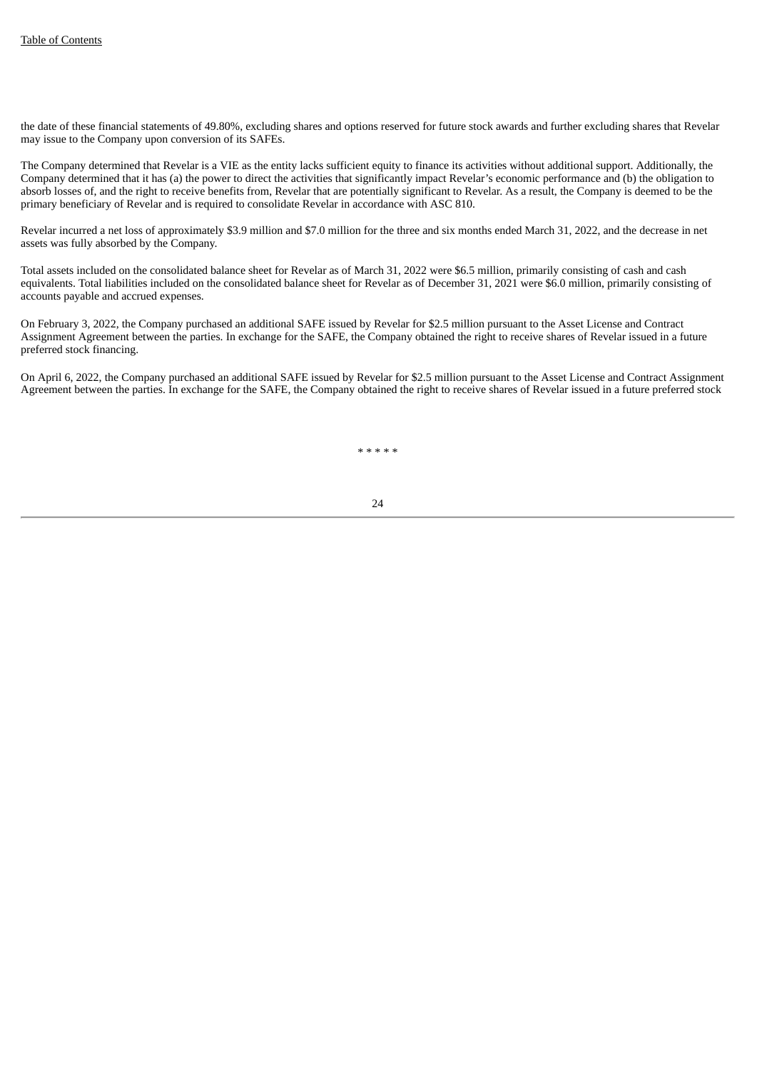the date of these financial statements of 49.80%, excluding shares and options reserved for future stock awards and further excluding shares that Revelar may issue to the Company upon conversion of its SAFEs.

The Company determined that Revelar is a VIE as the entity lacks sufficient equity to finance its activities without additional support. Additionally, the Company determined that it has (a) the power to direct the activities that significantly impact Revelar's economic performance and (b) the obligation to absorb losses of, and the right to receive benefits from, Revelar that are potentially significant to Revelar. As a result, the Company is deemed to be the primary beneficiary of Revelar and is required to consolidate Revelar in accordance with ASC 810.

Revelar incurred a net loss of approximately \$3.9 million and \$7.0 million for the three and six months ended March 31, 2022, and the decrease in net assets was fully absorbed by the Company.

Total assets included on the consolidated balance sheet for Revelar as of March 31, 2022 were \$6.5 million, primarily consisting of cash and cash equivalents. Total liabilities included on the consolidated balance sheet for Revelar as of December 31, 2021 were \$6.0 million, primarily consisting of accounts payable and accrued expenses.

On February 3, 2022, the Company purchased an additional SAFE issued by Revelar for \$2.5 million pursuant to the Asset License and Contract Assignment Agreement between the parties. In exchange for the SAFE, the Company obtained the right to receive shares of Revelar issued in a future preferred stock financing.

<span id="page-25-0"></span>On April 6, 2022, the Company purchased an additional SAFE issued by Revelar for \$2.5 million pursuant to the Asset License and Contract Assignment Agreement between the parties. In exchange for the SAFE, the Company obtained the right to receive shares of Revelar issued in a future preferred stock

\* \* \* \* \*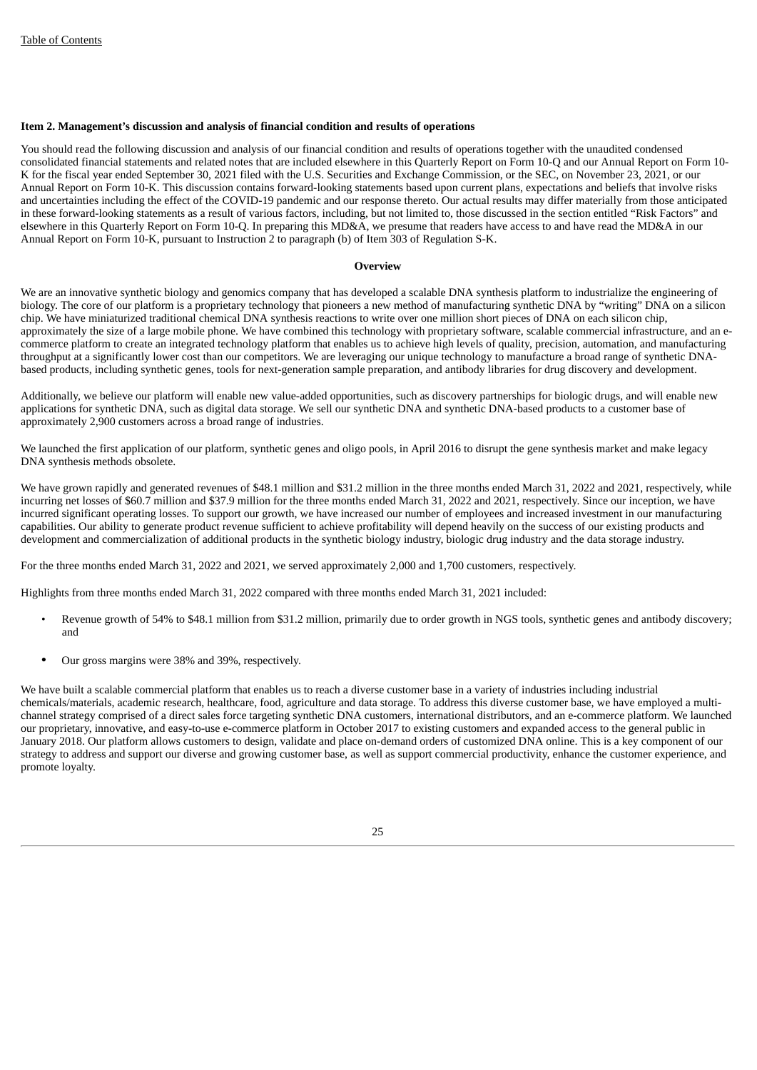#### **Item 2. Management's discussion and analysis of financial condition and results of operations**

You should read the following discussion and analysis of our financial condition and results of operations together with the unaudited condensed consolidated financial statements and related notes that are included elsewhere in this Quarterly Report on Form 10-Q and our Annual Report on Form 10- K for the fiscal year ended September 30, 2021 filed with the U.S. Securities and Exchange Commission, or the SEC, on November 23, 2021, or our Annual Report on Form 10-K. This discussion contains forward-looking statements based upon current plans, expectations and beliefs that involve risks and uncertainties including the effect of the COVID-19 pandemic and our response thereto. Our actual results may differ materially from those anticipated in these forward-looking statements as a result of various factors, including, but not limited to, those discussed in the section entitled "Risk Factors" and elsewhere in this Quarterly Report on Form 10-Q. In preparing this MD&A, we presume that readers have access to and have read the MD&A in our Annual Report on Form 10-K, pursuant to Instruction 2 to paragraph (b) of Item 303 of Regulation S-K.

#### **Overview**

We are an innovative synthetic biology and genomics company that has developed a scalable DNA synthesis platform to industrialize the engineering of biology. The core of our platform is a proprietary technology that pioneers a new method of manufacturing synthetic DNA by "writing" DNA on a silicon chip. We have miniaturized traditional chemical DNA synthesis reactions to write over one million short pieces of DNA on each silicon chip, approximately the size of a large mobile phone. We have combined this technology with proprietary software, scalable commercial infrastructure, and an ecommerce platform to create an integrated technology platform that enables us to achieve high levels of quality, precision, automation, and manufacturing throughput at a significantly lower cost than our competitors. We are leveraging our unique technology to manufacture a broad range of synthetic DNAbased products, including synthetic genes, tools for next-generation sample preparation, and antibody libraries for drug discovery and development.

Additionally, we believe our platform will enable new value-added opportunities, such as discovery partnerships for biologic drugs, and will enable new applications for synthetic DNA, such as digital data storage. We sell our synthetic DNA and synthetic DNA-based products to a customer base of approximately 2,900 customers across a broad range of industries.

We launched the first application of our platform, synthetic genes and oligo pools, in April 2016 to disrupt the gene synthesis market and make legacy DNA synthesis methods obsolete.

We have grown rapidly and generated revenues of \$48.1 million and \$31.2 million in the three months ended March 31, 2022 and 2021, respectively, while incurring net losses of \$60.7 million and \$37.9 million for the three months ended March 31, 2022 and 2021, respectively. Since our inception, we have incurred significant operating losses. To support our growth, we have increased our number of employees and increased investment in our manufacturing capabilities. Our ability to generate product revenue sufficient to achieve profitability will depend heavily on the success of our existing products and development and commercialization of additional products in the synthetic biology industry, biologic drug industry and the data storage industry.

For the three months ended March 31, 2022 and 2021, we served approximately 2,000 and 1,700 customers, respectively.

Highlights from three months ended March 31, 2022 compared with three months ended March 31, 2021 included:

- Revenue growth of 54% to \$48.1 million from \$31.2 million, primarily due to order growth in NGS tools, synthetic genes and antibody discovery; and
- Our gross margins were 38% and 39%, respectively.

We have built a scalable commercial platform that enables us to reach a diverse customer base in a variety of industries including industrial chemicals/materials, academic research, healthcare, food, agriculture and data storage. To address this diverse customer base, we have employed a multichannel strategy comprised of a direct sales force targeting synthetic DNA customers, international distributors, and an e-commerce platform. We launched our proprietary, innovative, and easy-to-use e-commerce platform in October 2017 to existing customers and expanded access to the general public in January 2018. Our platform allows customers to design, validate and place on-demand orders of customized DNA online. This is a key component of our strategy to address and support our diverse and growing customer base, as well as support commercial productivity, enhance the customer experience, and promote loyalty.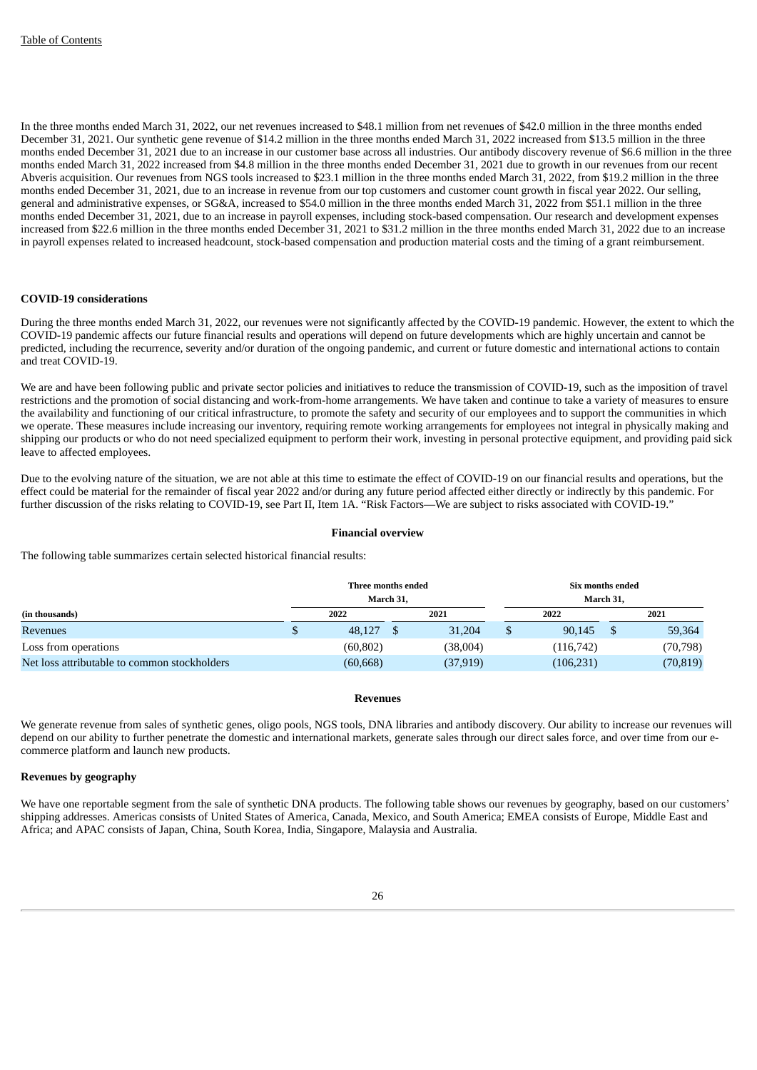In the three months ended March 31, 2022, our net revenues increased to \$48.1 million from net revenues of \$42.0 million in the three months ended December 31, 2021. Our synthetic gene revenue of \$14.2 million in the three months ended March 31, 2022 increased from \$13.5 million in the three months ended December 31, 2021 due to an increase in our customer base across all industries. Our antibody discovery revenue of \$6.6 million in the three months ended March 31, 2022 increased from \$4.8 million in the three months ended December 31, 2021 due to growth in our revenues from our recent Abveris acquisition. Our revenues from NGS tools increased to \$23.1 million in the three months ended March 31, 2022, from \$19.2 million in the three months ended December 31, 2021, due to an increase in revenue from our top customers and customer count growth in fiscal year 2022. Our selling, general and administrative expenses, or SG&A, increased to \$54.0 million in the three months ended March 31, 2022 from \$51.1 million in the three months ended December 31, 2021, due to an increase in payroll expenses, including stock-based compensation. Our research and development expenses increased from \$22.6 million in the three months ended December 31, 2021 to \$31.2 million in the three months ended March 31, 2022 due to an increase in payroll expenses related to increased headcount, stock-based compensation and production material costs and the timing of a grant reimbursement.

#### **COVID-19 considerations**

During the three months ended March 31, 2022, our revenues were not significantly affected by the COVID-19 pandemic. However, the extent to which the COVID-19 pandemic affects our future financial results and operations will depend on future developments which are highly uncertain and cannot be predicted, including the recurrence, severity and/or duration of the ongoing pandemic, and current or future domestic and international actions to contain and treat COVID-19.

We are and have been following public and private sector policies and initiatives to reduce the transmission of COVID-19, such as the imposition of travel restrictions and the promotion of social distancing and work-from-home arrangements. We have taken and continue to take a variety of measures to ensure the availability and functioning of our critical infrastructure, to promote the safety and security of our employees and to support the communities in which we operate. These measures include increasing our inventory, requiring remote working arrangements for employees not integral in physically making and shipping our products or who do not need specialized equipment to perform their work, investing in personal protective equipment, and providing paid sick leave to affected employees.

Due to the evolving nature of the situation, we are not able at this time to estimate the effect of COVID-19 on our financial results and operations, but the effect could be material for the remainder of fiscal year 2022 and/or during any future period affected either directly or indirectly by this pandemic. For further discussion of the risks relating to COVID-19, see Part II, Item 1A. "Risk Factors—We are subject to risks associated with COVID-19."

#### **Financial overview**

The following table summarizes certain selected historical financial results:

|                                              |  | Three months ended | March 31, |           | Six months ended<br>March 31, |            |      |           |  |
|----------------------------------------------|--|--------------------|-----------|-----------|-------------------------------|------------|------|-----------|--|
| (in thousands)                               |  | 2022               |           | 2021      |                               | 2022       | 2021 |           |  |
| <b>Revenues</b>                              |  | 48.127             |           | 31.204    |                               | 90,145     |      | 59,364    |  |
| Loss from operations                         |  | (60, 802)          |           | (38,004)  |                               | (116, 742) |      | (70, 798) |  |
| Net loss attributable to common stockholders |  | (60, 668)          |           | (37, 919) |                               | (106, 231) |      | (70, 819) |  |

#### **Revenues**

We generate revenue from sales of synthetic genes, oligo pools, NGS tools, DNA libraries and antibody discovery. Our ability to increase our revenues will depend on our ability to further penetrate the domestic and international markets, generate sales through our direct sales force, and over time from our ecommerce platform and launch new products.

## **Revenues by geography**

We have one reportable segment from the sale of synthetic DNA products. The following table shows our revenues by geography, based on our customers' shipping addresses. Americas consists of United States of America, Canada, Mexico, and South America; EMEA consists of Europe, Middle East and Africa; and APAC consists of Japan, China, South Korea, India, Singapore, Malaysia and Australia.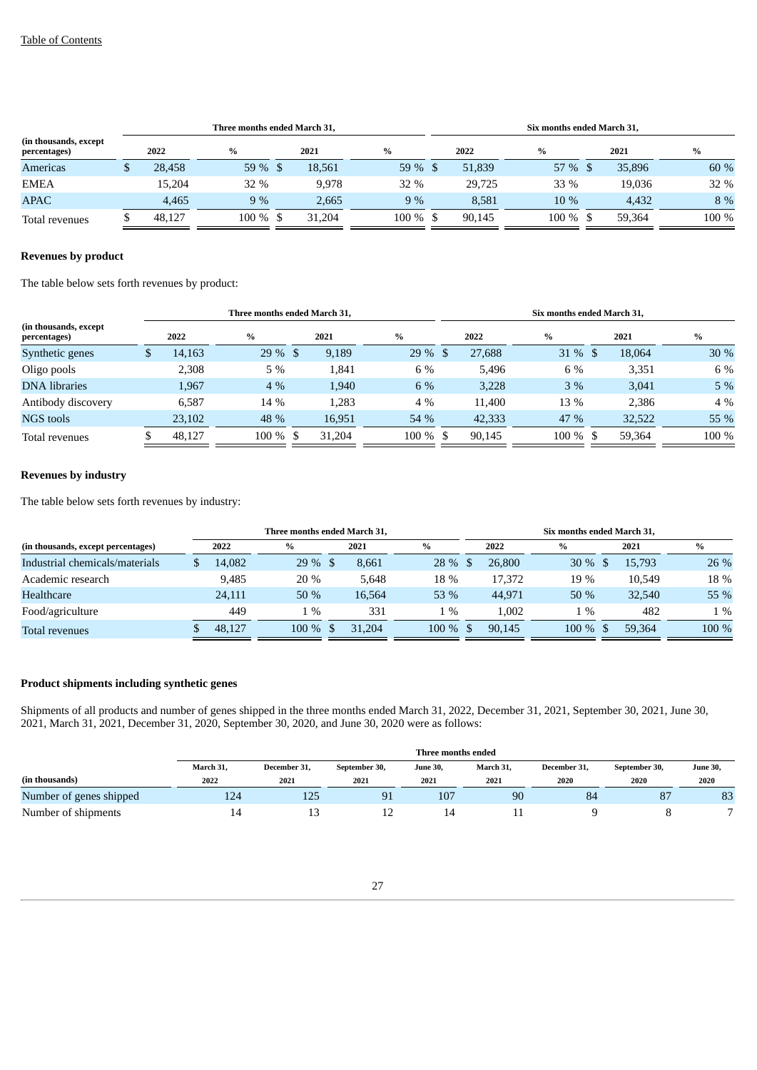| Three months ended March 31.           |  |        |               |  |        |               |  | Six months ended March 31. |           |  |        |       |  |  |  |  |  |  |
|----------------------------------------|--|--------|---------------|--|--------|---------------|--|----------------------------|-----------|--|--------|-------|--|--|--|--|--|--|
| (in thousands, except)<br>percentages) |  | 2022   | $\frac{9}{6}$ |  | 2021   | $\frac{0}{0}$ |  | 2022                       | $\%$      |  | 2021   | $\%$  |  |  |  |  |  |  |
| Americas                               |  | 28.458 | $59\%$ \$     |  | 18,561 | $59\%$ \$     |  | 51,839                     | $57\%$ \$ |  | 35,896 | 60 %  |  |  |  |  |  |  |
| EMEA                                   |  | 15.204 | 32 %          |  | 9.978  | 32 %          |  | 29,725                     | 33 %      |  | 19,036 | 32 %  |  |  |  |  |  |  |
| APAC                                   |  | 4.465  | 9%            |  | 2,665  | 9%            |  | 8,581                      | 10 %      |  | 4.432  | 8 %   |  |  |  |  |  |  |
| Total revenues                         |  | 48.127 | $100\%$ \$    |  | 31,204 | $100\%$ \$    |  | 90.145                     | 100 %     |  | 59.364 | 100 % |  |  |  |  |  |  |

## **Revenues by product**

The table below sets forth revenues by product:

|                                        | Three months ended March 31. |        |           |  |        |               |    | Six months ended March 31. |            |  |        |       |  |  |  |  |  |  |
|----------------------------------------|------------------------------|--------|-----------|--|--------|---------------|----|----------------------------|------------|--|--------|-------|--|--|--|--|--|--|
| (in thousands, except)<br>percentages) |                              | 2022   | $\%$      |  | 2021   | $\frac{0}{0}$ |    | 2022                       | $\%$       |  | 2021   | $\%$  |  |  |  |  |  |  |
| Synthetic genes                        |                              | 14,163 | $29\%$ \$ |  | 9,189  | 29 %          | -S | 27,688                     | $31\%$ \$  |  | 18.064 | 30%   |  |  |  |  |  |  |
| Oligo pools                            |                              | 2,308  | $5\%$     |  | 1,841  | 6 %           |    | 5,496                      | 6 %        |  | 3,351  | 6 %   |  |  |  |  |  |  |
| <b>DNA</b> libraries                   |                              | 1,967  | $4\%$     |  | 1,940  | $6\%$         |    | 3,228                      | 3%         |  | 3,041  | 5%    |  |  |  |  |  |  |
| Antibody discovery                     |                              | 6.587  | 14 %      |  | 1.283  | 4 %           |    | 11,400                     | 13 %       |  | 2,386  | $4\%$ |  |  |  |  |  |  |
| NGS tools                              |                              | 23,102 | 48 %      |  | 16,951 | 54 %          |    | 42,333                     | 47 %       |  | 32,522 | 55 %  |  |  |  |  |  |  |
| Total revenues                         |                              | 48,127 | 100 % \$  |  | 31.204 | 100 %         |    | 90,145                     | $100\%$ \$ |  | 59.364 | 100 % |  |  |  |  |  |  |

## **Revenues by industry**

The table below sets forth revenues by industry:

|                                    |        | Three months ended March 31, |        |               | Six months ended March 31. |           |  |        |       |  |  |  |
|------------------------------------|--------|------------------------------|--------|---------------|----------------------------|-----------|--|--------|-------|--|--|--|
| (in thousands, except percentages) | 2022   | $\%$                         | 2021   | $\frac{9}{6}$ | 2022                       | %         |  | 2021   | $\%$  |  |  |  |
| Industrial chemicals/materials     | 14.082 | $29\%$ \$                    | 8.661  | $28\%$ \$     | 26,800                     | $30\%$ \$ |  | 15,793 | 26 %  |  |  |  |
| Academic research                  | 9.485  | 20 %                         | 5.648  | 18 %          | 17,372                     | 19 %      |  | 10.549 | 18 %  |  |  |  |
| Healthcare                         | 24,111 | 50 %                         | 16.564 | 53 %          | 44.971                     | 50%       |  | 32,540 | 55 %  |  |  |  |
| Food/agriculture                   | 449    | 1 %                          | 331    | 1 %           | 1.002                      | 1 %       |  | 482    | $1\%$ |  |  |  |
| Total revenues                     | 48.127 | $100\%$ \$                   | 31,204 | $100\%$ \$    | 90.145                     | 100 %     |  | 59.364 | 100 % |  |  |  |

## **Product shipments including synthetic genes**

Shipments of all products and number of genes shipped in the three months ended March 31, 2022, December 31, 2021, September 30, 2021, June 30, 2021, March 31, 2021, December 31, 2020, September 30, 2020, and June 30, 2020 were as follows:

|                         |           | Three months ended |               |                 |           |              |               |          |  |  |  |  |  |  |
|-------------------------|-----------|--------------------|---------------|-----------------|-----------|--------------|---------------|----------|--|--|--|--|--|--|
|                         | March 31. | December 31.       | September 30, | <b>June 30.</b> | March 31, | December 31. | September 30, | June 30, |  |  |  |  |  |  |
| (in thousands)          | 2022      | 2021               | 2021          | 2021            | 2021      | 2020         | 2020          | 2020     |  |  |  |  |  |  |
| Number of genes shipped | 124       | 125                | 91            | 107             | 90        | 84           | 87            | 83       |  |  |  |  |  |  |
| Number of shipments     | 14        | ∸                  | ∸             |                 | ᅩ         |              |               | -        |  |  |  |  |  |  |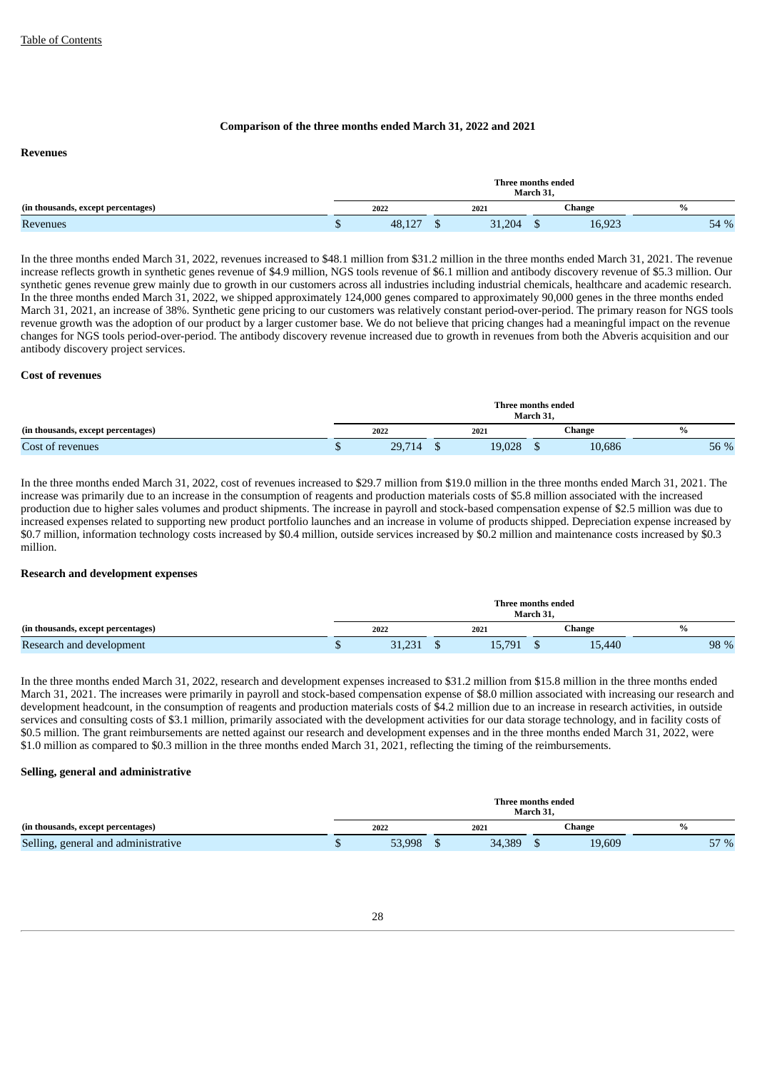#### **Comparison of the three months ended March 31, 2022 and 2021**

#### **Revenues**

|                                    |  |        |   | Three months ended | March 31,     |        |      |
|------------------------------------|--|--------|---|--------------------|---------------|--------|------|
| (in thousands, except percentages) |  | 2022   |   | 2021               | <b>Change</b> |        | $\%$ |
| <b>Revenues</b>                    |  | 48,127 | ω | 31,204             |               | 16,923 | 54 % |

In the three months ended March 31, 2022, revenues increased to \$48.1 million from \$31.2 million in the three months ended March 31, 2021. The revenue increase reflects growth in synthetic genes revenue of \$4.9 million, NGS tools revenue of \$6.1 million and antibody discovery revenue of \$5.3 million. Our synthetic genes revenue grew mainly due to growth in our customers across all industries including industrial chemicals, healthcare and academic research. In the three months ended March 31, 2022, we shipped approximately 124,000 genes compared to approximately 90,000 genes in the three months ended March 31, 2021, an increase of 38%. Synthetic gene pricing to our customers was relatively constant period-over-period. The primary reason for NGS tools revenue growth was the adoption of our product by a larger customer base. We do not believe that pricing changes had a meaningful impact on the revenue changes for NGS tools period-over-period. The antibody discovery revenue increased due to growth in revenues from both the Abveris acquisition and our antibody discovery project services.

#### **Cost of revenues**

|                                    |        | Three months ended | March 31. |               |      |
|------------------------------------|--------|--------------------|-----------|---------------|------|
| (in thousands, except percentages) | 2022   | 2021               |           | <b>Change</b> |      |
| Cost of revenues                   | 29,714 | 19,028             |           | 10,686        | 56 % |

In the three months ended March 31, 2022, cost of revenues increased to \$29.7 million from \$19.0 million in the three months ended March 31, 2021. The increase was primarily due to an increase in the consumption of reagents and production materials costs of \$5.8 million associated with the increased production due to higher sales volumes and product shipments. The increase in payroll and stock-based compensation expense of \$2.5 million was due to increased expenses related to supporting new product portfolio launches and an increase in volume of products shipped. Depreciation expense increased by \$0.7 million, information technology costs increased by \$0.4 million, outside services increased by \$0.2 million and maintenance costs increased by \$0.3 million.

#### **Research and development expenses**

| (in thousands, except percentages) | 2022   |  | 2021   | <b>Change</b> |      |
|------------------------------------|--------|--|--------|---------------|------|
| Research and development           | 31,231 |  | 15,791 | 15,440        | 98 % |

In the three months ended March 31, 2022, research and development expenses increased to \$31.2 million from \$15.8 million in the three months ended March 31, 2021. The increases were primarily in payroll and stock-based compensation expense of \$8.0 million associated with increasing our research and development headcount, in the consumption of reagents and production materials costs of \$4.2 million due to an increase in research activities, in outside services and consulting costs of \$3.1 million, primarily associated with the development activities for our data storage technology, and in facility costs of \$0.5 million. The grant reimbursements are netted against our research and development expenses and in the three months ended March 31, 2022, were \$1.0 million as compared to \$0.3 million in the three months ended March 31, 2021, reflecting the timing of the reimbursements.

#### **Selling, general and administrative**

| (in thousands, except percentages)  |  |        | Three months ended | March 31, |               |      |
|-------------------------------------|--|--------|--------------------|-----------|---------------|------|
|                                     |  | 2022   | 2021               |           | <b>Change</b> |      |
| Selling, general and administrative |  | 53,998 | 34,389             |           | 19,609        | 57 % |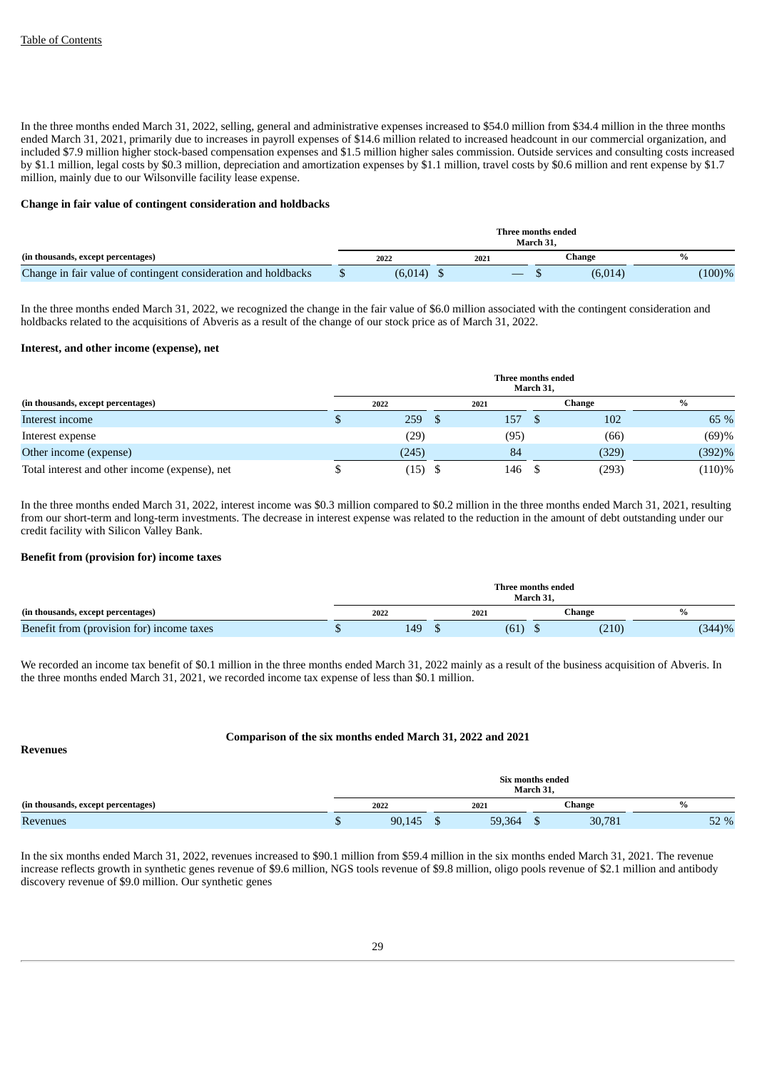In the three months ended March 31, 2022, selling, general and administrative expenses increased to \$54.0 million from \$34.4 million in the three months ended March 31, 2021, primarily due to increases in payroll expenses of \$14.6 million related to increased headcount in our commercial organization, and included \$7.9 million higher stock-based compensation expenses and \$1.5 million higher sales commission. Outside services and consulting costs increased by \$1.1 million, legal costs by \$0.3 million, depreciation and amortization expenses by \$1.1 million, travel costs by \$0.6 million and rent expense by \$1.7 million, mainly due to our Wilsonville facility lease expense.

## **Change in fair value of contingent consideration and holdbacks**

|                                                                | Three months ended<br>March 31. |      |  |        |           |  |  |  |  |  |
|----------------------------------------------------------------|---------------------------------|------|--|--------|-----------|--|--|--|--|--|
| (in thousands, except percentages)                             | 2022                            | 2021 |  | Change |           |  |  |  |  |  |
| Change in fair value of contingent consideration and holdbacks | (6,014)                         |      |  | (6,014 | $(100)\%$ |  |  |  |  |  |

In the three months ended March 31, 2022, we recognized the change in the fair value of \$6.0 million associated with the contingent consideration and holdbacks related to the acquisitions of Abveris as a result of the change of our stock price as of March 31, 2022.

#### **Interest, and other income (expense), net**

|                                                | Three months ended<br>March 31. |  |      |  |               |               |  |  |  |  |
|------------------------------------------------|---------------------------------|--|------|--|---------------|---------------|--|--|--|--|
| (in thousands, except percentages)             | 2022                            |  | 2021 |  | <b>Change</b> | $\frac{9}{6}$ |  |  |  |  |
| Interest income                                | 259                             |  | 157  |  | 102           | 65 %          |  |  |  |  |
| Interest expense                               | (29)                            |  | (95) |  | (66)          | (69)%         |  |  |  |  |
| Other income (expense)                         | (245)                           |  | 84   |  | (329)         | $(392)\%$     |  |  |  |  |
| Total interest and other income (expense), net | (15)                            |  | 146  |  | (293)         | $(110)\%$     |  |  |  |  |

In the three months ended March 31, 2022, interest income was \$0.3 million compared to \$0.2 million in the three months ended March 31, 2021, resulting from our short-term and long-term investments. The decrease in interest expense was related to the reduction in the amount of debt outstanding under our credit facility with Silicon Valley Bank.

#### **Benefit from (provision for) income taxes**

|                                           | Three months ended<br>March 31. |      |  |      |      |  |               |           |  |
|-------------------------------------------|---------------------------------|------|--|------|------|--|---------------|-----------|--|
| (in thousands, except percentages)        |                                 | 2022 |  | 2021 |      |  | <b>Change</b> |           |  |
| Benefit from (provision for) income taxes |                                 | 149  |  |      | (61) |  | (210)         | $(344)\%$ |  |

We recorded an income tax benefit of \$0.1 million in the three months ended March 31, 2022 mainly as a result of the business acquisition of Abveris. In the three months ended March 31, 2021, we recorded income tax expense of less than \$0.1 million.

#### **Comparison of the six months ended March 31, 2022 and 2021**

**Revenues**

|                                    | Six months ended<br>March 31. |        |  |        |   |        |      |  |  |
|------------------------------------|-------------------------------|--------|--|--------|---|--------|------|--|--|
| (in thousands, except percentages) |                               | 2022   |  | 2021   |   | Change | $\%$ |  |  |
| Revenues                           |                               | 90,145 |  | 59,364 | w | 30,781 | 52 % |  |  |

In the six months ended March 31, 2022, revenues increased to \$90.1 million from \$59.4 million in the six months ended March 31, 2021. The revenue increase reflects growth in synthetic genes revenue of \$9.6 million, NGS tools revenue of \$9.8 million, oligo pools revenue of \$2.1 million and antibody discovery revenue of \$9.0 million. Our synthetic genes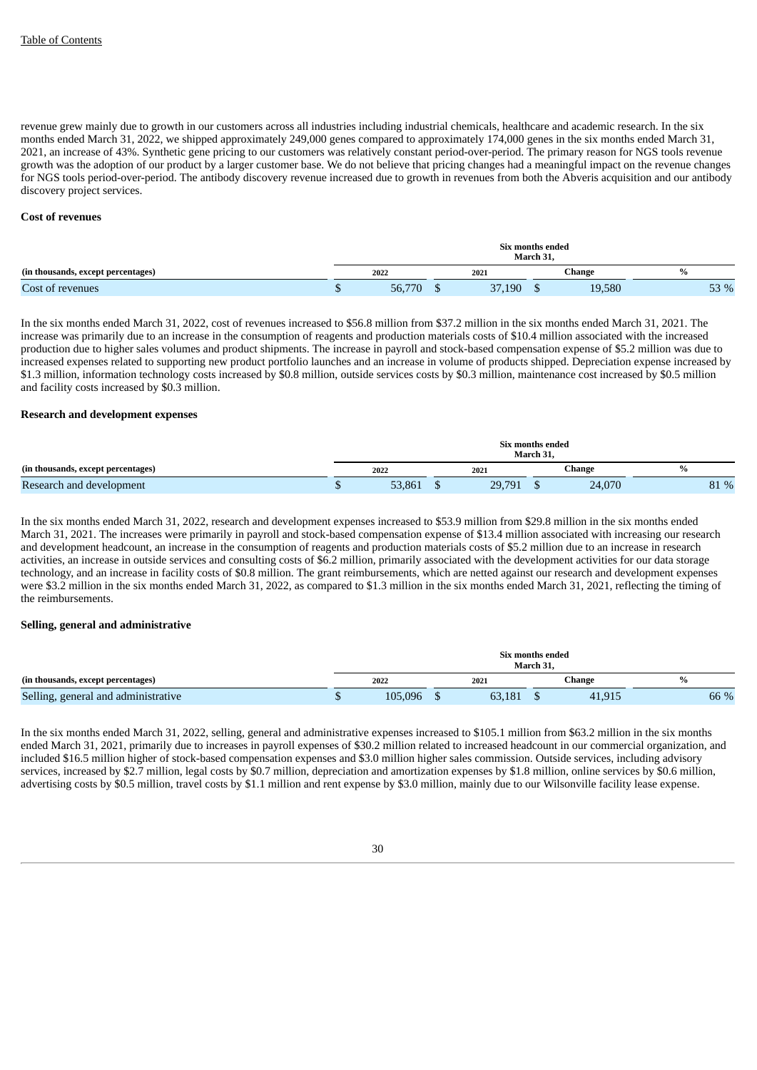revenue grew mainly due to growth in our customers across all industries including industrial chemicals, healthcare and academic research. In the six months ended March 31, 2022, we shipped approximately 249,000 genes compared to approximately 174,000 genes in the six months ended March 31, 2021, an increase of 43%. Synthetic gene pricing to our customers was relatively constant period-over-period. The primary reason for NGS tools revenue growth was the adoption of our product by a larger customer base. We do not believe that pricing changes had a meaningful impact on the revenue changes for NGS tools period-over-period. The antibody discovery revenue increased due to growth in revenues from both the Abveris acquisition and our antibody discovery project services.

## **Cost of revenues**

|                                    | Six months ended<br>March 31. |        |  |        |  |               |      |  |  |  |
|------------------------------------|-------------------------------|--------|--|--------|--|---------------|------|--|--|--|
| (in thousands, except percentages) |                               | 2022   |  | 2021   |  | <b>Change</b> |      |  |  |  |
| Cost of revenues                   |                               | 56,770 |  | 37,190 |  | 19,580        | 53 % |  |  |  |

In the six months ended March 31, 2022, cost of revenues increased to \$56.8 million from \$37.2 million in the six months ended March 31, 2021. The increase was primarily due to an increase in the consumption of reagents and production materials costs of \$10.4 million associated with the increased production due to higher sales volumes and product shipments. The increase in payroll and stock-based compensation expense of \$5.2 million was due to increased expenses related to supporting new product portfolio launches and an increase in volume of products shipped. Depreciation expense increased by \$1.3 million, information technology costs increased by \$0.8 million, outside services costs by \$0.3 million, maintenance cost increased by \$0.5 million and facility costs increased by \$0.3 million.

#### **Research and development expenses**

|                                    |  | Six months ended<br>March 31. |      |        |        |        |      |  |  |  |  |
|------------------------------------|--|-------------------------------|------|--------|--------|--------|------|--|--|--|--|
| (in thousands, except percentages) |  | 2022                          | 2021 |        | Change |        |      |  |  |  |  |
| Research and development           |  | 53,861                        |      | 29,791 |        | 24,070 | 81 % |  |  |  |  |

In the six months ended March 31, 2022, research and development expenses increased to \$53.9 million from \$29.8 million in the six months ended March 31, 2021. The increases were primarily in payroll and stock-based compensation expense of \$13.4 million associated with increasing our research and development headcount, an increase in the consumption of reagents and production materials costs of \$5.2 million due to an increase in research activities, an increase in outside services and consulting costs of \$6.2 million, primarily associated with the development activities for our data storage technology, and an increase in facility costs of \$0.8 million. The grant reimbursements, which are netted against our research and development expenses were \$3.2 million in the six months ended March 31, 2022, as compared to \$1.3 million in the six months ended March 31, 2021, reflecting the timing of the reimbursements.

#### **Selling, general and administrative**

| (in thousands, except percentages)  | 2022    | 2021 |        | Change |        |      |
|-------------------------------------|---------|------|--------|--------|--------|------|
| Selling, general and administrative | 105.096 |      | 63,181 |        | 41,915 | 66 % |

In the six months ended March 31, 2022, selling, general and administrative expenses increased to \$105.1 million from \$63.2 million in the six months ended March 31, 2021, primarily due to increases in payroll expenses of \$30.2 million related to increased headcount in our commercial organization, and included \$16.5 million higher of stock-based compensation expenses and \$3.0 million higher sales commission. Outside services, including advisory services, increased by \$2.7 million, legal costs by \$0.7 million, depreciation and amortization expenses by \$1.8 million, online services by \$0.6 million, advertising costs by \$0.5 million, travel costs by \$1.1 million and rent expense by \$3.0 million, mainly due to our Wilsonville facility lease expense.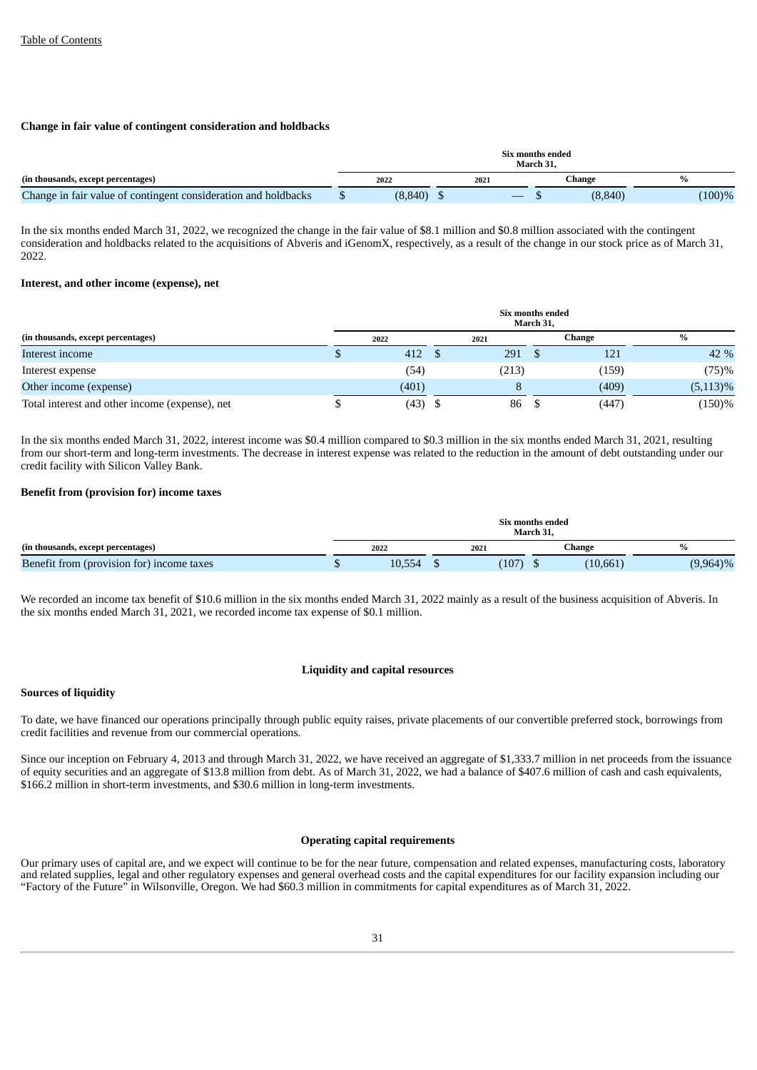#### **Change in fair value of contingent consideration and holdbacks**

|                                                                | Six months ended<br>March 31. |         |  |                                           |  |          |           |  |
|----------------------------------------------------------------|-------------------------------|---------|--|-------------------------------------------|--|----------|-----------|--|
| (in thousands, except percentages)                             |                               | 2022    |  | 2021                                      |  | Change   |           |  |
| Change in fair value of contingent consideration and holdbacks |                               | (8.840) |  | $\qquad \qquad \overline{\qquad \qquad }$ |  | (8, 840) | $(100)\%$ |  |

In the six months ended March 31, 2022, we recognized the change in the fair value of \$8.1 million and \$0.8 million associated with the contingent consideration and holdbacks related to the acquisitions of Abveris and iGenomX, respectively, as a result of the change in our stock price as of March 31, 2022.

## **Interest, and other income (expense), net**

|                                                | Six months ended<br>March 31. |  |       |        |       |               |  |  |  |
|------------------------------------------------|-------------------------------|--|-------|--------|-------|---------------|--|--|--|
| (in thousands, except percentages)             | 2022                          |  | 2021  | Change |       | $\frac{9}{6}$ |  |  |  |
| Interest income                                | 412                           |  | 291   |        | 121   | 42 %          |  |  |  |
| Interest expense                               | (54)                          |  | (213) |        | (159) | (75)%         |  |  |  |
| Other income (expense)                         | (401)                         |  |       |        | (409) | $(5,113)\%$   |  |  |  |
| Total interest and other income (expense), net | (43)                          |  | 86    |        | (447) | (150)%        |  |  |  |

In the six months ended March 31, 2022, interest income was \$0.4 million compared to \$0.3 million in the six months ended March 31, 2021, resulting from our short-term and long-term investments. The decrease in interest expense was related to the reduction in the amount of debt outstanding under our credit facility with Silicon Valley Bank.

## **Benefit from (provision for) income taxes**

|                                           |  | Six months ended<br>March 31. |        |  |       |  |           |             |  |  |
|-------------------------------------------|--|-------------------------------|--------|--|-------|--|-----------|-------------|--|--|
| (in thousands, except percentages)        |  | 2022                          |        |  | 2021  |  | Change    |             |  |  |
| Benefit from (provision for) income taxes |  |                               | 10,554 |  | (107) |  | (10, 661) | $(9,964)\%$ |  |  |

We recorded an income tax benefit of \$10.6 million in the six months ended March 31, 2022 mainly as a result of the business acquisition of Abveris. In the six months ended March 31, 2021, we recorded income tax expense of \$0.1 million.

#### **Liquidity and capital resources**

## **Sources of liquidity**

To date, we have financed our operations principally through public equity raises, private placements of our convertible preferred stock, borrowings from credit facilities and revenue from our commercial operations.

Since our inception on February 4, 2013 and through March 31, 2022, we have received an aggregate of \$1,333.7 million in net proceeds from the issuance of equity securities and an aggregate of \$13.8 million from debt. As of March 31, 2022, we had a balance of \$407.6 million of cash and cash equivalents, \$166.2 million in short-term investments, and \$30.6 million in long-term investments.

## **Operating capital requirements**

Our primary uses of capital are, and we expect will continue to be for the near future, compensation and related expenses, manufacturing costs, laboratory and related supplies, legal and other regulatory expenses and general overhead costs and the capital expenditures for our facility expansion including our "Factory of the Future" in Wilsonville, Oregon. We had \$60.3 million in commitments for capital expenditures as of March 31, 2022.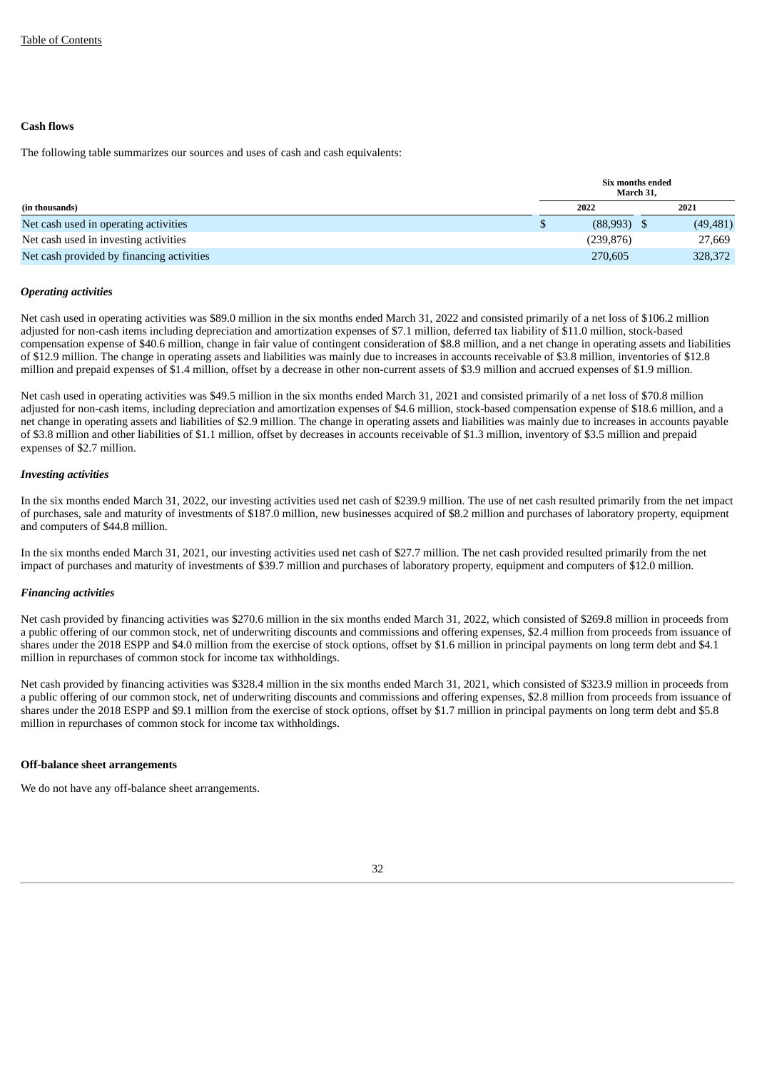#### **Cash flows**

The following table summarizes our sources and uses of cash and cash equivalents:

|                                           | Six months ended<br>March 31, |               |  |           |  |  |  |
|-------------------------------------------|-------------------------------|---------------|--|-----------|--|--|--|
| (in thousands)                            |                               | 2022          |  | 2021      |  |  |  |
| Net cash used in operating activities     |                               | $(88,993)$ \$ |  | (49, 481) |  |  |  |
| Net cash used in investing activities     |                               | (239, 876)    |  | 27,669    |  |  |  |
| Net cash provided by financing activities |                               | 270,605       |  | 328,372   |  |  |  |

#### *Operating activities*

Net cash used in operating activities was \$89.0 million in the six months ended March 31, 2022 and consisted primarily of a net loss of \$106.2 million adjusted for non-cash items including depreciation and amortization expenses of \$7.1 million, deferred tax liability of \$11.0 million, stock-based compensation expense of \$40.6 million, change in fair value of contingent consideration of \$8.8 million, and a net change in operating assets and liabilities of \$12.9 million. The change in operating assets and liabilities was mainly due to increases in accounts receivable of \$3.8 million, inventories of \$12.8 million and prepaid expenses of \$1.4 million, offset by a decrease in other non-current assets of \$3.9 million and accrued expenses of \$1.9 million.

Net cash used in operating activities was \$49.5 million in the six months ended March 31, 2021 and consisted primarily of a net loss of \$70.8 million adjusted for non-cash items, including depreciation and amortization expenses of \$4.6 million, stock-based compensation expense of \$18.6 million, and a net change in operating assets and liabilities of \$2.9 million. The change in operating assets and liabilities was mainly due to increases in accounts payable of \$3.8 million and other liabilities of \$1.1 million, offset by decreases in accounts receivable of \$1.3 million, inventory of \$3.5 million and prepaid expenses of \$2.7 million.

#### *Investing activities*

In the six months ended March 31, 2022, our investing activities used net cash of \$239.9 million. The use of net cash resulted primarily from the net impact of purchases, sale and maturity of investments of \$187.0 million, new businesses acquired of \$8.2 million and purchases of laboratory property, equipment and computers of \$44.8 million.

In the six months ended March 31, 2021, our investing activities used net cash of \$27.7 million. The net cash provided resulted primarily from the net impact of purchases and maturity of investments of \$39.7 million and purchases of laboratory property, equipment and computers of \$12.0 million.

#### *Financing activities*

Net cash provided by financing activities was \$270.6 million in the six months ended March 31, 2022, which consisted of \$269.8 million in proceeds from a public offering of our common stock, net of underwriting discounts and commissions and offering expenses, \$2.4 million from proceeds from issuance of shares under the 2018 ESPP and \$4.0 million from the exercise of stock options, offset by \$1.6 million in principal payments on long term debt and \$4.1 million in repurchases of common stock for income tax withholdings.

Net cash provided by financing activities was \$328.4 million in the six months ended March 31, 2021, which consisted of \$323.9 million in proceeds from a public offering of our common stock, net of underwriting discounts and commissions and offering expenses, \$2.8 million from proceeds from issuance of shares under the 2018 ESPP and \$9.1 million from the exercise of stock options, offset by \$1.7 million in principal payments on long term debt and \$5.8 million in repurchases of common stock for income tax withholdings.

#### **Off-balance sheet arrangements**

We do not have any off-balance sheet arrangements.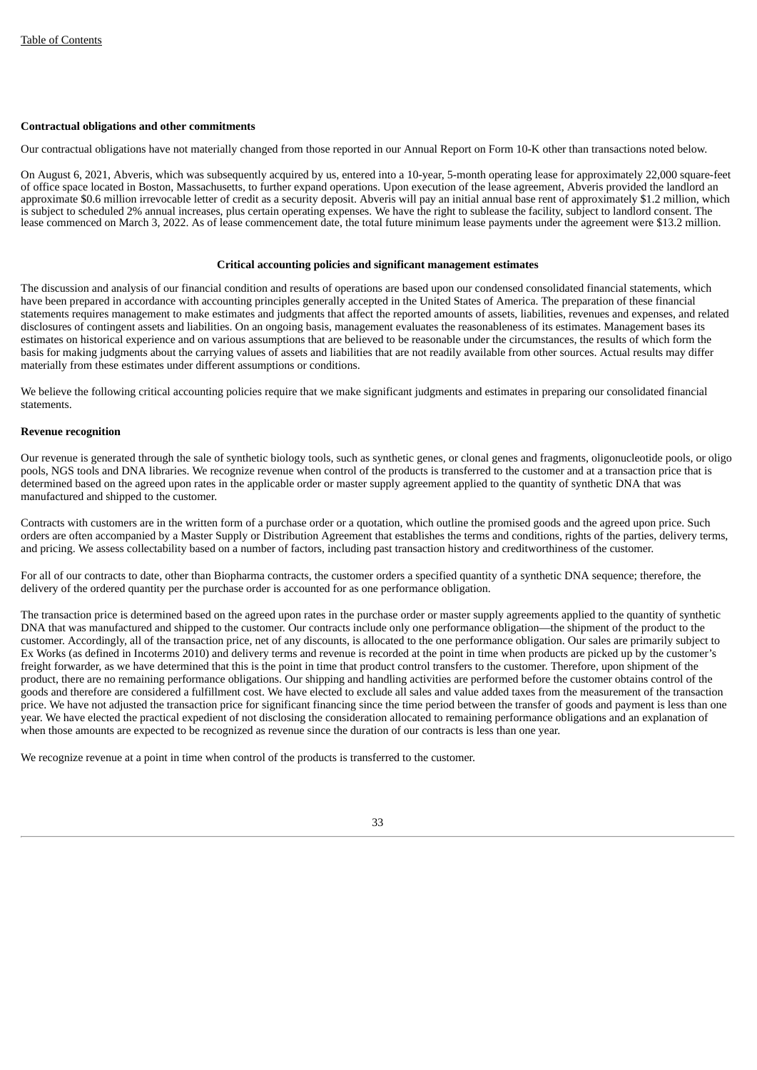#### **Contractual obligations and other commitments**

Our contractual obligations have not materially changed from those reported in our Annual Report on Form 10-K other than transactions noted below.

On August 6, 2021, Abveris, which was subsequently acquired by us, entered into a 10-year, 5-month operating lease for approximately 22,000 square-feet of office space located in Boston, Massachusetts, to further expand operations. Upon execution of the lease agreement, Abveris provided the landlord an approximate \$0.6 million irrevocable letter of credit as a security deposit. Abveris will pay an initial annual base rent of approximately \$1.2 million, which is subject to scheduled 2% annual increases, plus certain operating expenses. We have the right to sublease the facility, subject to landlord consent. The lease commenced on March 3, 2022. As of lease commencement date, the total future minimum lease payments under the agreement were \$13.2 million.

#### **Critical accounting policies and significant management estimates**

The discussion and analysis of our financial condition and results of operations are based upon our condensed consolidated financial statements, which have been prepared in accordance with accounting principles generally accepted in the United States of America. The preparation of these financial statements requires management to make estimates and judgments that affect the reported amounts of assets, liabilities, revenues and expenses, and related disclosures of contingent assets and liabilities. On an ongoing basis, management evaluates the reasonableness of its estimates. Management bases its estimates on historical experience and on various assumptions that are believed to be reasonable under the circumstances, the results of which form the basis for making judgments about the carrying values of assets and liabilities that are not readily available from other sources. Actual results may differ materially from these estimates under different assumptions or conditions.

We believe the following critical accounting policies require that we make significant judgments and estimates in preparing our consolidated financial statements.

#### **Revenue recognition**

Our revenue is generated through the sale of synthetic biology tools, such as synthetic genes, or clonal genes and fragments, oligonucleotide pools, or oligo pools, NGS tools and DNA libraries. We recognize revenue when control of the products is transferred to the customer and at a transaction price that is determined based on the agreed upon rates in the applicable order or master supply agreement applied to the quantity of synthetic DNA that was manufactured and shipped to the customer.

Contracts with customers are in the written form of a purchase order or a quotation, which outline the promised goods and the agreed upon price. Such orders are often accompanied by a Master Supply or Distribution Agreement that establishes the terms and conditions, rights of the parties, delivery terms, and pricing. We assess collectability based on a number of factors, including past transaction history and creditworthiness of the customer.

For all of our contracts to date, other than Biopharma contracts, the customer orders a specified quantity of a synthetic DNA sequence; therefore, the delivery of the ordered quantity per the purchase order is accounted for as one performance obligation.

The transaction price is determined based on the agreed upon rates in the purchase order or master supply agreements applied to the quantity of synthetic DNA that was manufactured and shipped to the customer. Our contracts include only one performance obligation—the shipment of the product to the customer. Accordingly, all of the transaction price, net of any discounts, is allocated to the one performance obligation. Our sales are primarily subject to Ex Works (as defined in Incoterms 2010) and delivery terms and revenue is recorded at the point in time when products are picked up by the customer's freight forwarder, as we have determined that this is the point in time that product control transfers to the customer. Therefore, upon shipment of the product, there are no remaining performance obligations. Our shipping and handling activities are performed before the customer obtains control of the goods and therefore are considered a fulfillment cost. We have elected to exclude all sales and value added taxes from the measurement of the transaction price. We have not adjusted the transaction price for significant financing since the time period between the transfer of goods and payment is less than one year. We have elected the practical expedient of not disclosing the consideration allocated to remaining performance obligations and an explanation of when those amounts are expected to be recognized as revenue since the duration of our contracts is less than one year.

We recognize revenue at a point in time when control of the products is transferred to the customer.

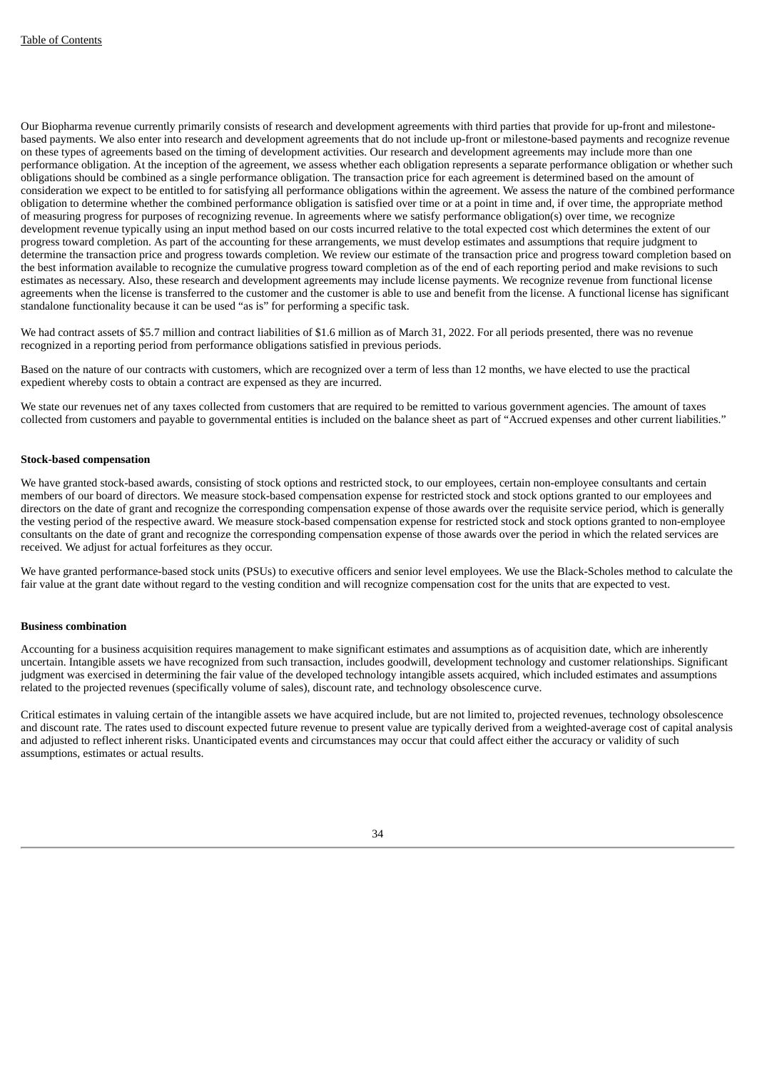Our Biopharma revenue currently primarily consists of research and development agreements with third parties that provide for up-front and milestonebased payments. We also enter into research and development agreements that do not include up-front or milestone-based payments and recognize revenue on these types of agreements based on the timing of development activities. Our research and development agreements may include more than one performance obligation. At the inception of the agreement, we assess whether each obligation represents a separate performance obligation or whether such obligations should be combined as a single performance obligation. The transaction price for each agreement is determined based on the amount of consideration we expect to be entitled to for satisfying all performance obligations within the agreement. We assess the nature of the combined performance obligation to determine whether the combined performance obligation is satisfied over time or at a point in time and, if over time, the appropriate method of measuring progress for purposes of recognizing revenue. In agreements where we satisfy performance obligation(s) over time, we recognize development revenue typically using an input method based on our costs incurred relative to the total expected cost which determines the extent of our progress toward completion. As part of the accounting for these arrangements, we must develop estimates and assumptions that require judgment to determine the transaction price and progress towards completion. We review our estimate of the transaction price and progress toward completion based on the best information available to recognize the cumulative progress toward completion as of the end of each reporting period and make revisions to such estimates as necessary. Also, these research and development agreements may include license payments. We recognize revenue from functional license agreements when the license is transferred to the customer and the customer is able to use and benefit from the license. A functional license has significant standalone functionality because it can be used "as is" for performing a specific task.

We had contract assets of \$5.7 million and contract liabilities of \$1.6 million as of March 31, 2022. For all periods presented, there was no revenue recognized in a reporting period from performance obligations satisfied in previous periods.

Based on the nature of our contracts with customers, which are recognized over a term of less than 12 months, we have elected to use the practical expedient whereby costs to obtain a contract are expensed as they are incurred.

We state our revenues net of any taxes collected from customers that are required to be remitted to various government agencies. The amount of taxes collected from customers and payable to governmental entities is included on the balance sheet as part of "Accrued expenses and other current liabilities."

#### **Stock-based compensation**

We have granted stock-based awards, consisting of stock options and restricted stock, to our employees, certain non-employee consultants and certain members of our board of directors. We measure stock-based compensation expense for restricted stock and stock options granted to our employees and directors on the date of grant and recognize the corresponding compensation expense of those awards over the requisite service period, which is generally the vesting period of the respective award. We measure stock-based compensation expense for restricted stock and stock options granted to non-employee consultants on the date of grant and recognize the corresponding compensation expense of those awards over the period in which the related services are received. We adjust for actual forfeitures as they occur.

We have granted performance-based stock units (PSUs) to executive officers and senior level employees. We use the Black-Scholes method to calculate the fair value at the grant date without regard to the vesting condition and will recognize compensation cost for the units that are expected to vest.

#### **Business combination**

Accounting for a business acquisition requires management to make significant estimates and assumptions as of acquisition date, which are inherently uncertain. Intangible assets we have recognized from such transaction, includes goodwill, development technology and customer relationships. Significant judgment was exercised in determining the fair value of the developed technology intangible assets acquired, which included estimates and assumptions related to the projected revenues (specifically volume of sales), discount rate, and technology obsolescence curve.

Critical estimates in valuing certain of the intangible assets we have acquired include, but are not limited to, projected revenues, technology obsolescence and discount rate. The rates used to discount expected future revenue to present value are typically derived from a weighted-average cost of capital analysis and adjusted to reflect inherent risks. Unanticipated events and circumstances may occur that could affect either the accuracy or validity of such assumptions, estimates or actual results.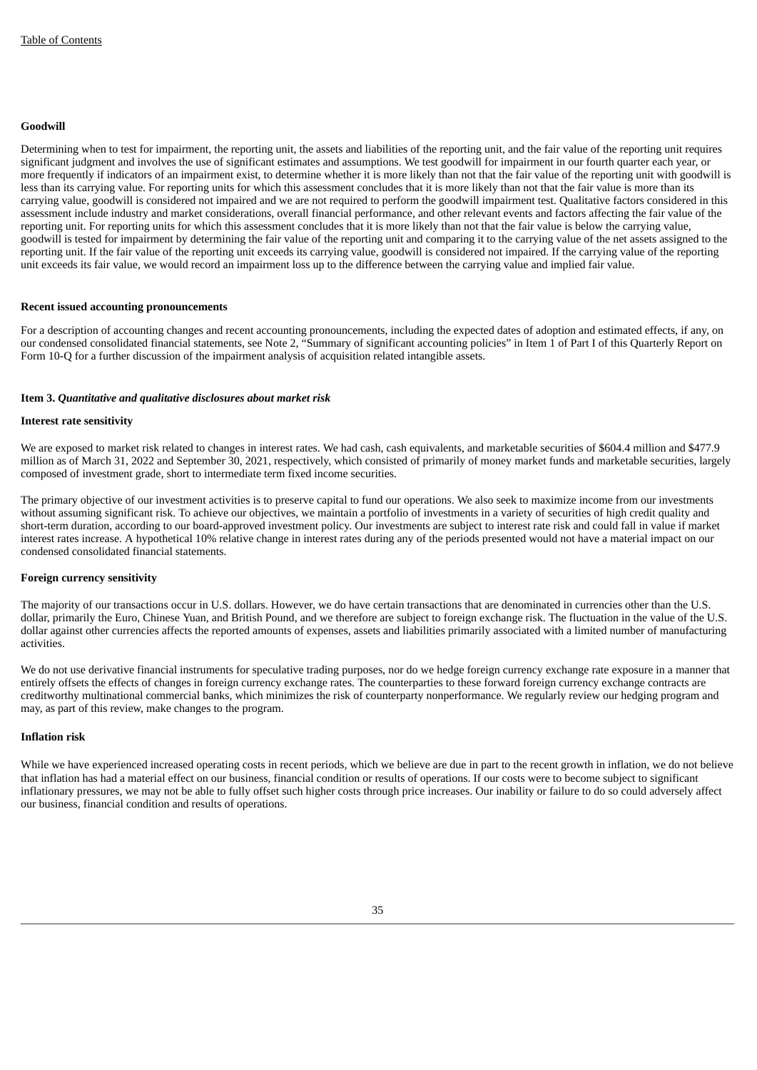#### **Goodwill**

Determining when to test for impairment, the reporting unit, the assets and liabilities of the reporting unit, and the fair value of the reporting unit requires significant judgment and involves the use of significant estimates and assumptions. We test goodwill for impairment in our fourth quarter each year, or more frequently if indicators of an impairment exist, to determine whether it is more likely than not that the fair value of the reporting unit with goodwill is less than its carrying value. For reporting units for which this assessment concludes that it is more likely than not that the fair value is more than its carrying value, goodwill is considered not impaired and we are not required to perform the goodwill impairment test. Qualitative factors considered in this assessment include industry and market considerations, overall financial performance, and other relevant events and factors affecting the fair value of the reporting unit. For reporting units for which this assessment concludes that it is more likely than not that the fair value is below the carrying value, goodwill is tested for impairment by determining the fair value of the reporting unit and comparing it to the carrying value of the net assets assigned to the reporting unit. If the fair value of the reporting unit exceeds its carrying value, goodwill is considered not impaired. If the carrying value of the reporting unit exceeds its fair value, we would record an impairment loss up to the difference between the carrying value and implied fair value.

#### **Recent issued accounting pronouncements**

For a description of accounting changes and recent accounting pronouncements, including the expected dates of adoption and estimated effects, if any, on our condensed consolidated financial statements, see Note 2, "Summary of significant accounting policies" in Item 1 of Part I of this Quarterly Report on Form 10-Q for a further discussion of the impairment analysis of acquisition related intangible assets.

#### <span id="page-36-0"></span>**Item 3.** *Quantitative and qualitative disclosures about market risk*

#### **Interest rate sensitivity**

We are exposed to market risk related to changes in interest rates. We had cash, cash equivalents, and marketable securities of \$604.4 million and \$477.9 million as of March 31, 2022 and September 30, 2021, respectively, which consisted of primarily of money market funds and marketable securities, largely composed of investment grade, short to intermediate term fixed income securities.

The primary objective of our investment activities is to preserve capital to fund our operations. We also seek to maximize income from our investments without assuming significant risk. To achieve our objectives, we maintain a portfolio of investments in a variety of securities of high credit quality and short-term duration, according to our board-approved investment policy. Our investments are subject to interest rate risk and could fall in value if market interest rates increase. A hypothetical 10% relative change in interest rates during any of the periods presented would not have a material impact on our condensed consolidated financial statements.

## **Foreign currency sensitivity**

The majority of our transactions occur in U.S. dollars. However, we do have certain transactions that are denominated in currencies other than the U.S. dollar, primarily the Euro, Chinese Yuan, and British Pound, and we therefore are subject to foreign exchange risk. The fluctuation in the value of the U.S. dollar against other currencies affects the reported amounts of expenses, assets and liabilities primarily associated with a limited number of manufacturing activities.

We do not use derivative financial instruments for speculative trading purposes, nor do we hedge foreign currency exchange rate exposure in a manner that entirely offsets the effects of changes in foreign currency exchange rates. The counterparties to these forward foreign currency exchange contracts are creditworthy multinational commercial banks, which minimizes the risk of counterparty nonperformance. We regularly review our hedging program and may, as part of this review, make changes to the program.

#### **Inflation risk**

<span id="page-36-1"></span>While we have experienced increased operating costs in recent periods, which we believe are due in part to the recent growth in inflation, we do not believe that inflation has had a material effect on our business, financial condition or results of operations. If our costs were to become subject to significant inflationary pressures, we may not be able to fully offset such higher costs through price increases. Our inability or failure to do so could adversely affect our business, financial condition and results of operations.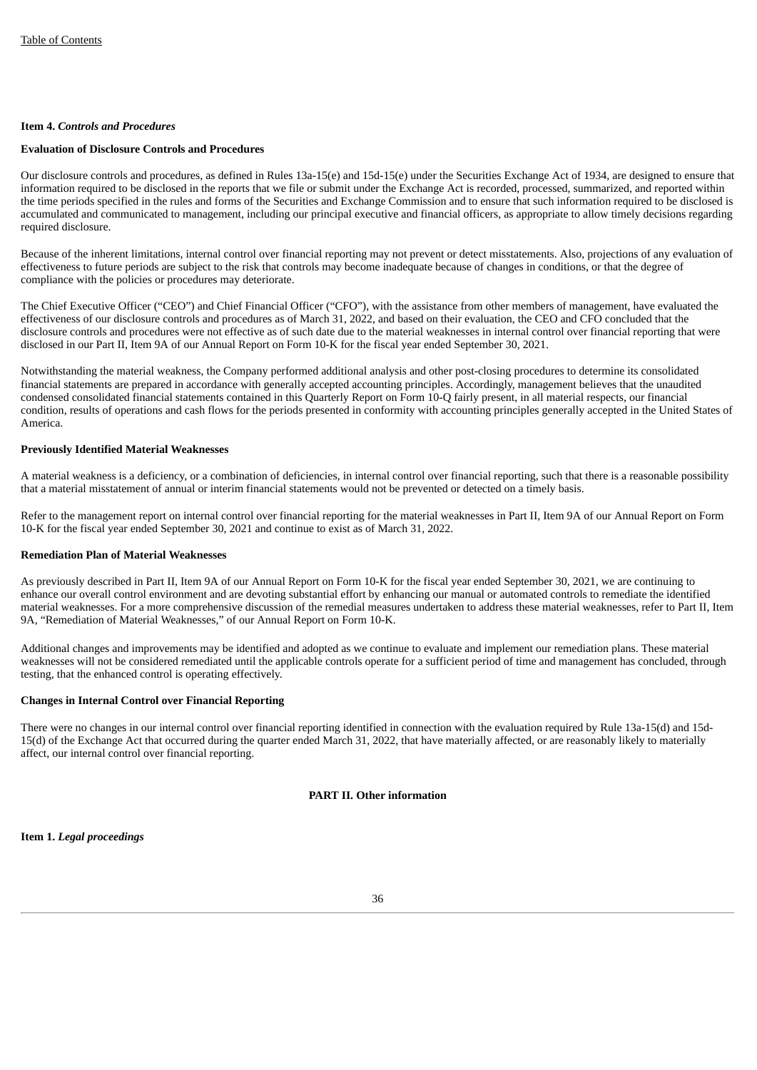#### **Item 4.** *Controls and Procedures*

#### **Evaluation of Disclosure Controls and Procedures**

Our disclosure controls and procedures, as defined in Rules 13a-15(e) and 15d-15(e) under the Securities Exchange Act of 1934, are designed to ensure that information required to be disclosed in the reports that we file or submit under the Exchange Act is recorded, processed, summarized, and reported within the time periods specified in the rules and forms of the Securities and Exchange Commission and to ensure that such information required to be disclosed is accumulated and communicated to management, including our principal executive and financial officers, as appropriate to allow timely decisions regarding required disclosure.

Because of the inherent limitations, internal control over financial reporting may not prevent or detect misstatements. Also, projections of any evaluation of effectiveness to future periods are subject to the risk that controls may become inadequate because of changes in conditions, or that the degree of compliance with the policies or procedures may deteriorate.

The Chief Executive Officer ("CEO") and Chief Financial Officer ("CFO"), with the assistance from other members of management, have evaluated the effectiveness of our disclosure controls and procedures as of March 31, 2022, and based on their evaluation, the CEO and CFO concluded that the disclosure controls and procedures were not effective as of such date due to the material weaknesses in internal control over financial reporting that were disclosed in our Part II, Item 9A of our Annual Report on Form 10-K for the fiscal year ended September 30, 2021.

Notwithstanding the material weakness, the Company performed additional analysis and other post-closing procedures to determine its consolidated financial statements are prepared in accordance with generally accepted accounting principles. Accordingly, management believes that the unaudited condensed consolidated financial statements contained in this Quarterly Report on Form 10-Q fairly present, in all material respects, our financial condition, results of operations and cash flows for the periods presented in conformity with accounting principles generally accepted in the United States of America.

#### **Previously Identified Material Weaknesses**

A material weakness is a deficiency, or a combination of deficiencies, in internal control over financial reporting, such that there is a reasonable possibility that a material misstatement of annual or interim financial statements would not be prevented or detected on a timely basis.

Refer to the management report on internal control over financial reporting for the material weaknesses in Part II, Item 9A of our Annual Report on Form 10-K for the fiscal year ended September 30, 2021 and continue to exist as of March 31, 2022.

#### **Remediation Plan of Material Weaknesses**

As previously described in Part II, Item 9A of our Annual Report on Form 10-K for the fiscal year ended September 30, 2021, we are continuing to enhance our overall control environment and are devoting substantial effort by enhancing our manual or automated controls to remediate the identified material weaknesses. For a more comprehensive discussion of the remedial measures undertaken to address these material weaknesses, refer to Part II, Item 9A, "Remediation of Material Weaknesses," of our Annual Report on Form 10-K.

Additional changes and improvements may be identified and adopted as we continue to evaluate and implement our remediation plans. These material weaknesses will not be considered remediated until the applicable controls operate for a sufficient period of time and management has concluded, through testing, that the enhanced control is operating effectively.

#### **Changes in Internal Control over Financial Reporting**

There were no changes in our internal control over financial reporting identified in connection with the evaluation required by Rule 13a-15(d) and 15d-15(d) of the Exchange Act that occurred during the quarter ended March 31, 2022, that have materially affected, or are reasonably likely to materially affect, our internal control over financial reporting.

#### **PART II. Other information**

<span id="page-37-1"></span><span id="page-37-0"></span>**Item 1.** *Legal proceedings*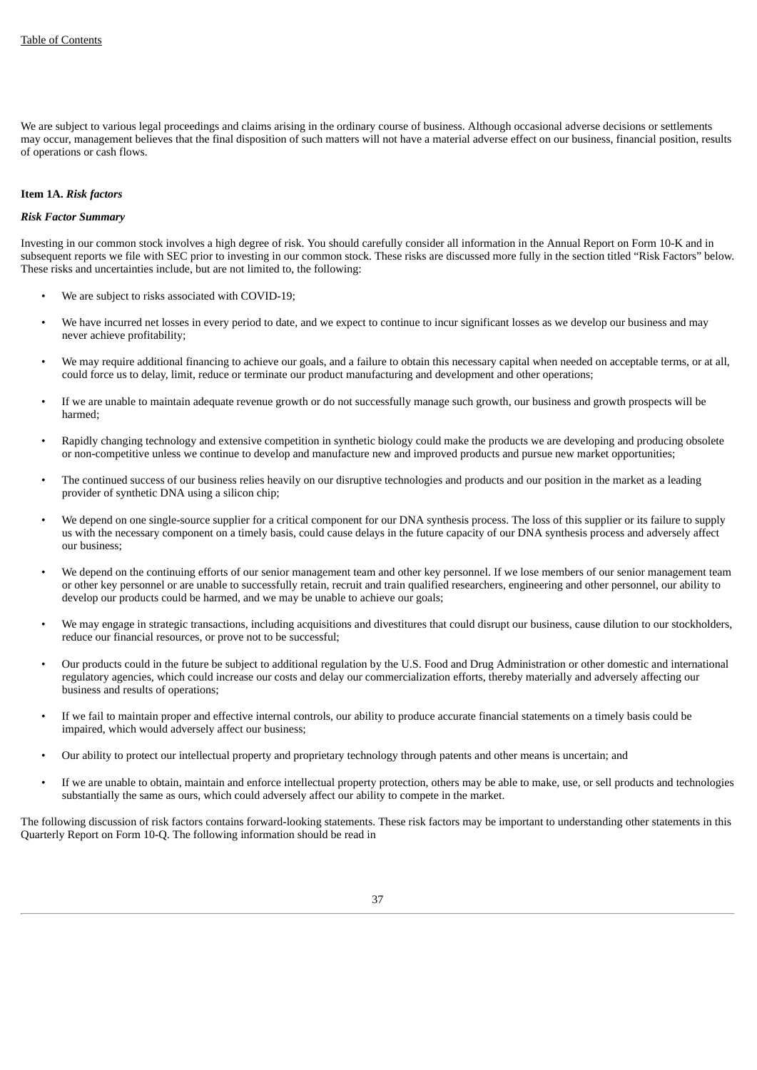We are subject to various legal proceedings and claims arising in the ordinary course of business. Although occasional adverse decisions or settlements may occur, management believes that the final disposition of such matters will not have a material adverse effect on our business, financial position, results of operations or cash flows.

## <span id="page-38-0"></span>**Item 1A.** *Risk factors*

#### *Risk Factor Summary*

Investing in our common stock involves a high degree of risk. You should carefully consider all information in the Annual Report on Form 10-K and in subsequent reports we file with SEC prior to investing in our common stock. These risks are discussed more fully in the section titled "Risk Factors" below. These risks and uncertainties include, but are not limited to, the following:

- We are subject to risks associated with COVID-19;
- We have incurred net losses in every period to date, and we expect to continue to incur significant losses as we develop our business and may never achieve profitability;
- We may require additional financing to achieve our goals, and a failure to obtain this necessary capital when needed on acceptable terms, or at all, could force us to delay, limit, reduce or terminate our product manufacturing and development and other operations;
- If we are unable to maintain adequate revenue growth or do not successfully manage such growth, our business and growth prospects will be harmed;
- Rapidly changing technology and extensive competition in synthetic biology could make the products we are developing and producing obsolete or non-competitive unless we continue to develop and manufacture new and improved products and pursue new market opportunities;
- The continued success of our business relies heavily on our disruptive technologies and products and our position in the market as a leading provider of synthetic DNA using a silicon chip;
- We depend on one single-source supplier for a critical component for our DNA synthesis process. The loss of this supplier or its failure to supply us with the necessary component on a timely basis, could cause delays in the future capacity of our DNA synthesis process and adversely affect our business;
- We depend on the continuing efforts of our senior management team and other key personnel. If we lose members of our senior management team or other key personnel or are unable to successfully retain, recruit and train qualified researchers, engineering and other personnel, our ability to develop our products could be harmed, and we may be unable to achieve our goals;
- We may engage in strategic transactions, including acquisitions and divestitures that could disrupt our business, cause dilution to our stockholders, reduce our financial resources, or prove not to be successful;
- Our products could in the future be subject to additional regulation by the U.S. Food and Drug Administration or other domestic and international regulatory agencies, which could increase our costs and delay our commercialization efforts, thereby materially and adversely affecting our business and results of operations;
- If we fail to maintain proper and effective internal controls, our ability to produce accurate financial statements on a timely basis could be impaired, which would adversely affect our business;
- Our ability to protect our intellectual property and proprietary technology through patents and other means is uncertain; and
- If we are unable to obtain, maintain and enforce intellectual property protection, others may be able to make, use, or sell products and technologies substantially the same as ours, which could adversely affect our ability to compete in the market.

The following discussion of risk factors contains forward-looking statements. These risk factors may be important to understanding other statements in this Quarterly Report on Form 10-Q. The following information should be read in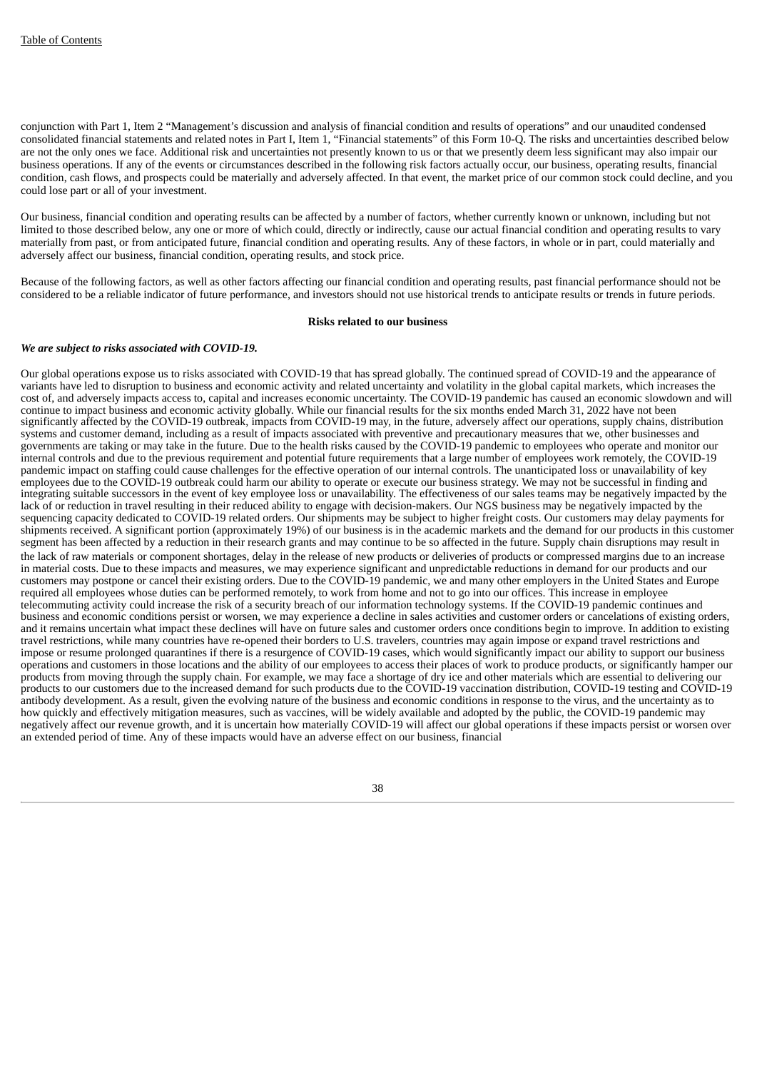conjunction with Part 1, Item 2 "Management's discussion and analysis of financial condition and results of operations" and our unaudited condensed consolidated financial statements and related notes in Part I, Item 1, "Financial statements" of this Form 10-Q. The risks and uncertainties described below are not the only ones we face. Additional risk and uncertainties not presently known to us or that we presently deem less significant may also impair our business operations. If any of the events or circumstances described in the following risk factors actually occur, our business, operating results, financial condition, cash flows, and prospects could be materially and adversely affected. In that event, the market price of our common stock could decline, and you could lose part or all of your investment.

Our business, financial condition and operating results can be affected by a number of factors, whether currently known or unknown, including but not limited to those described below, any one or more of which could, directly or indirectly, cause our actual financial condition and operating results to vary materially from past, or from anticipated future, financial condition and operating results. Any of these factors, in whole or in part, could materially and adversely affect our business, financial condition, operating results, and stock price.

Because of the following factors, as well as other factors affecting our financial condition and operating results, past financial performance should not be considered to be a reliable indicator of future performance, and investors should not use historical trends to anticipate results or trends in future periods.

#### **Risks related to our business**

#### *We are subject to risks associated with COVID-19.*

Our global operations expose us to risks associated with COVID-19 that has spread globally. The continued spread of COVID-19 and the appearance of variants have led to disruption to business and economic activity and related uncertainty and volatility in the global capital markets, which increases the cost of, and adversely impacts access to, capital and increases economic uncertainty. The COVID-19 pandemic has caused an economic slowdown and will continue to impact business and economic activity globally. While our financial results for the six months ended March 31, 2022 have not been significantly affected by the COVID-19 outbreak, impacts from COVID-19 may, in the future, adversely affect our operations, supply chains, distribution systems and customer demand, including as a result of impacts associated with preventive and precautionary measures that we, other businesses and governments are taking or may take in the future. Due to the health risks caused by the COVID-19 pandemic to employees who operate and monitor our internal controls and due to the previous requirement and potential future requirements that a large number of employees work remotely, the COVID-19 pandemic impact on staffing could cause challenges for the effective operation of our internal controls. The unanticipated loss or unavailability of key employees due to the COVID-19 outbreak could harm our ability to operate or execute our business strategy. We may not be successful in finding and integrating suitable successors in the event of key employee loss or unavailability. The effectiveness of our sales teams may be negatively impacted by the lack of or reduction in travel resulting in their reduced ability to engage with decision-makers. Our NGS business may be negatively impacted by the sequencing capacity dedicated to COVID-19 related orders. Our shipments may be subject to higher freight costs. Our customers may delay payments for shipments received. A significant portion (approximately 19%) of our business is in the academic markets and the demand for our products in this customer segment has been affected by a reduction in their research grants and may continue to be so affected in the future. Supply chain disruptions may result in the lack of raw materials or component shortages, delay in the release of new products or deliveries of products or compressed margins due to an increase in material costs. Due to these impacts and measures, we may experience significant and unpredictable reductions in demand for our products and our customers may postpone or cancel their existing orders. Due to the COVID-19 pandemic, we and many other employers in the United States and Europe required all employees whose duties can be performed remotely, to work from home and not to go into our offices. This increase in employee telecommuting activity could increase the risk of a security breach of our information technology systems. If the COVID-19 pandemic continues and business and economic conditions persist or worsen, we may experience a decline in sales activities and customer orders or cancelations of existing orders, and it remains uncertain what impact these declines will have on future sales and customer orders once conditions begin to improve. In addition to existing travel restrictions, while many countries have re-opened their borders to U.S. travelers, countries may again impose or expand travel restrictions and impose or resume prolonged quarantines if there is a resurgence of COVID-19 cases, which would significantly impact our ability to support our business operations and customers in those locations and the ability of our employees to access their places of work to produce products, or significantly hamper our products from moving through the supply chain. For example, we may face a shortage of dry ice and other materials which are essential to delivering our products to our customers due to the increased demand for such products due to the COVID-19 vaccination distribution, COVID-19 testing and COVID-19 antibody development. As a result, given the evolving nature of the business and economic conditions in response to the virus, and the uncertainty as to how quickly and effectively mitigation measures, such as vaccines, will be widely available and adopted by the public, the COVID-19 pandemic may negatively affect our revenue growth, and it is uncertain how materially COVID-19 will affect our global operations if these impacts persist or worsen over an extended period of time. Any of these impacts would have an adverse effect on our business, financial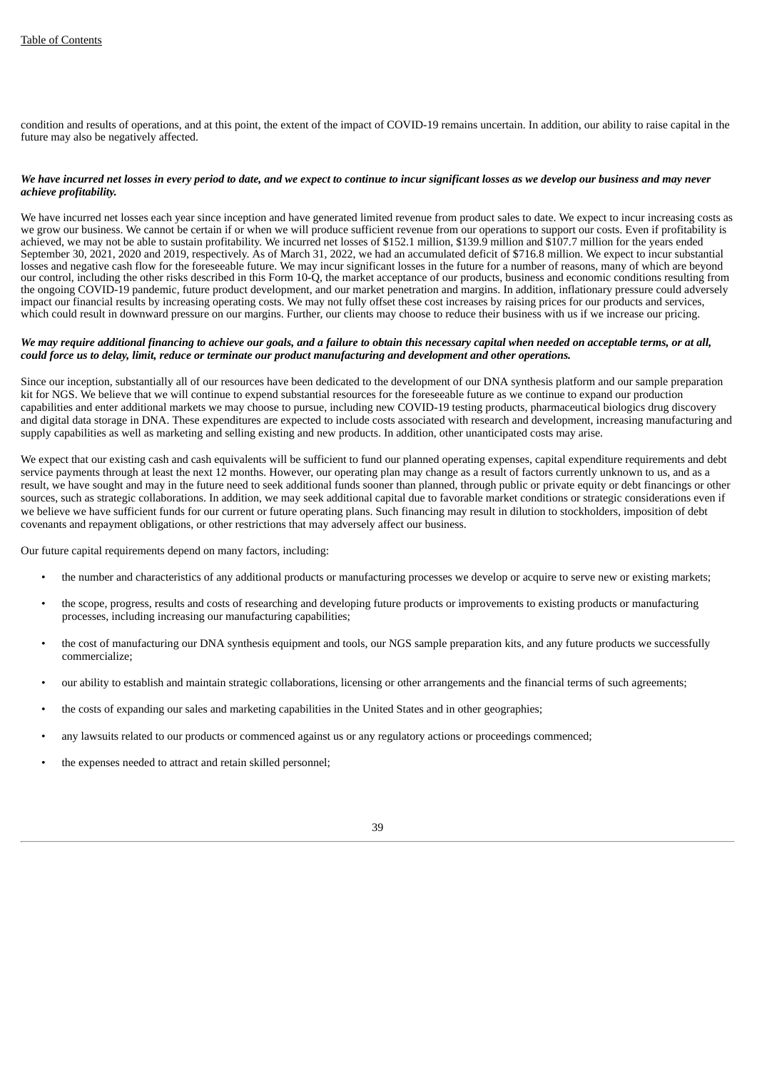condition and results of operations, and at this point, the extent of the impact of COVID-19 remains uncertain. In addition, our ability to raise capital in the future may also be negatively affected.

#### We have incurred net losses in every period to date, and we expect to continue to incur significant losses as we develop our business and may never *achieve profitability.*

We have incurred net losses each year since inception and have generated limited revenue from product sales to date. We expect to incur increasing costs as we grow our business. We cannot be certain if or when we will produce sufficient revenue from our operations to support our costs. Even if profitability is achieved, we may not be able to sustain profitability. We incurred net losses of \$152.1 million, \$139.9 million and \$107.7 million for the years ended September 30, 2021, 2020 and 2019, respectively. As of March 31, 2022, we had an accumulated deficit of \$716.8 million. We expect to incur substantial losses and negative cash flow for the foreseeable future. We may incur significant losses in the future for a number of reasons, many of which are beyond our control, including the other risks described in this Form 10-Q, the market acceptance of our products, business and economic conditions resulting from the ongoing COVID-19 pandemic, future product development, and our market penetration and margins. In addition, inflationary pressure could adversely impact our financial results by increasing operating costs. We may not fully offset these cost increases by raising prices for our products and services, which could result in downward pressure on our margins. Further, our clients may choose to reduce their business with us if we increase our pricing.

#### We may require additional financing to achieve our goals, and a failure to obtain this necessary capital when needed on acceptable terms, or at all, could force us to delay, limit, reduce or terminate our product manufacturing and development and other operations.

Since our inception, substantially all of our resources have been dedicated to the development of our DNA synthesis platform and our sample preparation kit for NGS. We believe that we will continue to expend substantial resources for the foreseeable future as we continue to expand our production capabilities and enter additional markets we may choose to pursue, including new COVID-19 testing products, pharmaceutical biologics drug discovery and digital data storage in DNA. These expenditures are expected to include costs associated with research and development, increasing manufacturing and supply capabilities as well as marketing and selling existing and new products. In addition, other unanticipated costs may arise.

We expect that our existing cash and cash equivalents will be sufficient to fund our planned operating expenses, capital expenditure requirements and debt service payments through at least the next 12 months. However, our operating plan may change as a result of factors currently unknown to us, and as a result, we have sought and may in the future need to seek additional funds sooner than planned, through public or private equity or debt financings or other sources, such as strategic collaborations. In addition, we may seek additional capital due to favorable market conditions or strategic considerations even if we believe we have sufficient funds for our current or future operating plans. Such financing may result in dilution to stockholders, imposition of debt covenants and repayment obligations, or other restrictions that may adversely affect our business.

Our future capital requirements depend on many factors, including:

- the number and characteristics of any additional products or manufacturing processes we develop or acquire to serve new or existing markets;
- the scope, progress, results and costs of researching and developing future products or improvements to existing products or manufacturing processes, including increasing our manufacturing capabilities;
- the cost of manufacturing our DNA synthesis equipment and tools, our NGS sample preparation kits, and any future products we successfully commercialize;
- our ability to establish and maintain strategic collaborations, licensing or other arrangements and the financial terms of such agreements;
- the costs of expanding our sales and marketing capabilities in the United States and in other geographies;
- any lawsuits related to our products or commenced against us or any regulatory actions or proceedings commenced;
- the expenses needed to attract and retain skilled personnel;

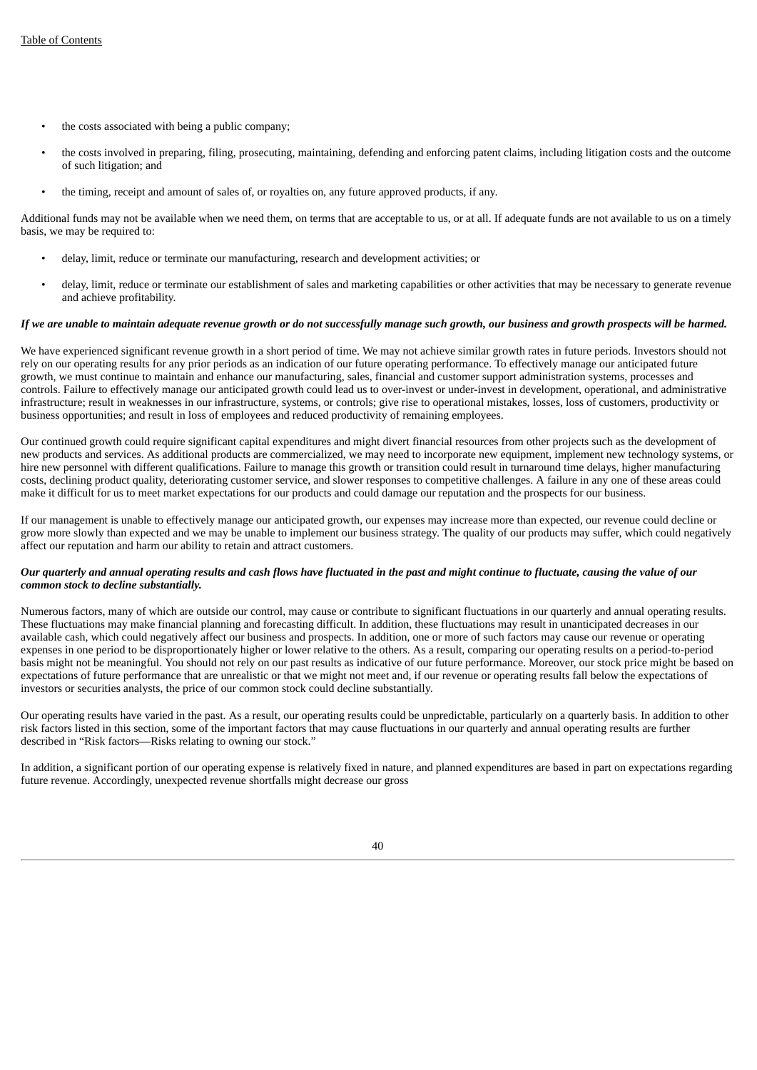- the costs associated with being a public company;
- the costs involved in preparing, filing, prosecuting, maintaining, defending and enforcing patent claims, including litigation costs and the outcome of such litigation; and
- the timing, receipt and amount of sales of, or royalties on, any future approved products, if any.

Additional funds may not be available when we need them, on terms that are acceptable to us, or at all. If adequate funds are not available to us on a timely basis, we may be required to:

- delay, limit, reduce or terminate our manufacturing, research and development activities; or
- delay, limit, reduce or terminate our establishment of sales and marketing capabilities or other activities that may be necessary to generate revenue and achieve profitability.

#### If we are unable to maintain adequate revenue growth or do not successfully manage such growth, our business and growth prospects will be harmed.

We have experienced significant revenue growth in a short period of time. We may not achieve similar growth rates in future periods. Investors should not rely on our operating results for any prior periods as an indication of our future operating performance. To effectively manage our anticipated future growth, we must continue to maintain and enhance our manufacturing, sales, financial and customer support administration systems, processes and controls. Failure to effectively manage our anticipated growth could lead us to over-invest or under-invest in development, operational, and administrative infrastructure; result in weaknesses in our infrastructure, systems, or controls; give rise to operational mistakes, losses, loss of customers, productivity or business opportunities; and result in loss of employees and reduced productivity of remaining employees.

Our continued growth could require significant capital expenditures and might divert financial resources from other projects such as the development of new products and services. As additional products are commercialized, we may need to incorporate new equipment, implement new technology systems, or hire new personnel with different qualifications. Failure to manage this growth or transition could result in turnaround time delays, higher manufacturing costs, declining product quality, deteriorating customer service, and slower responses to competitive challenges. A failure in any one of these areas could make it difficult for us to meet market expectations for our products and could damage our reputation and the prospects for our business.

If our management is unable to effectively manage our anticipated growth, our expenses may increase more than expected, our revenue could decline or grow more slowly than expected and we may be unable to implement our business strategy. The quality of our products may suffer, which could negatively affect our reputation and harm our ability to retain and attract customers.

## Our quarterly and annual operating results and cash flows have fluctuated in the past and might continue to fluctuate, causing the value of our *common stock to decline substantially.*

Numerous factors, many of which are outside our control, may cause or contribute to significant fluctuations in our quarterly and annual operating results. These fluctuations may make financial planning and forecasting difficult. In addition, these fluctuations may result in unanticipated decreases in our available cash, which could negatively affect our business and prospects. In addition, one or more of such factors may cause our revenue or operating expenses in one period to be disproportionately higher or lower relative to the others. As a result, comparing our operating results on a period-to-period basis might not be meaningful. You should not rely on our past results as indicative of our future performance. Moreover, our stock price might be based on expectations of future performance that are unrealistic or that we might not meet and, if our revenue or operating results fall below the expectations of investors or securities analysts, the price of our common stock could decline substantially.

Our operating results have varied in the past. As a result, our operating results could be unpredictable, particularly on a quarterly basis. In addition to other risk factors listed in this section, some of the important factors that may cause fluctuations in our quarterly and annual operating results are further described in "Risk factors—Risks relating to owning our stock."

In addition, a significant portion of our operating expense is relatively fixed in nature, and planned expenditures are based in part on expectations regarding future revenue. Accordingly, unexpected revenue shortfalls might decrease our gross

40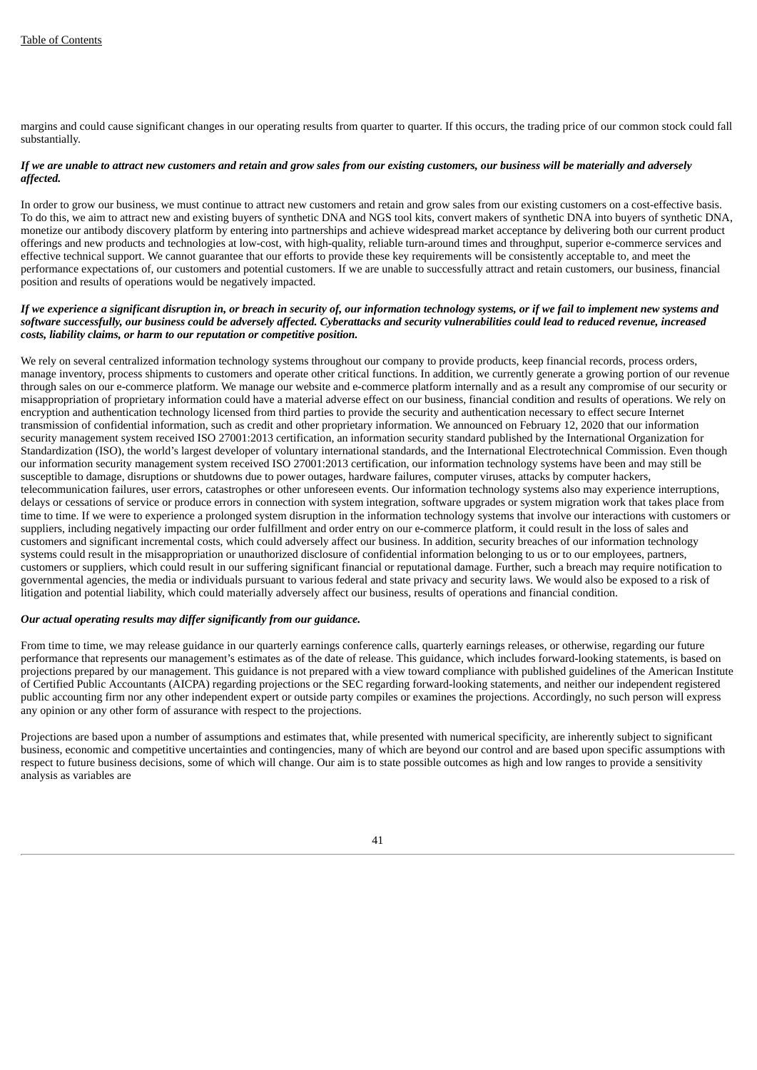margins and could cause significant changes in our operating results from quarter to quarter. If this occurs, the trading price of our common stock could fall substantially.

#### If we are unable to attract new customers and retain and grow sales from our existing customers, our business will be materially and adversely *affected.*

In order to grow our business, we must continue to attract new customers and retain and grow sales from our existing customers on a cost-effective basis. To do this, we aim to attract new and existing buyers of synthetic DNA and NGS tool kits, convert makers of synthetic DNA into buyers of synthetic DNA, monetize our antibody discovery platform by entering into partnerships and achieve widespread market acceptance by delivering both our current product offerings and new products and technologies at low-cost, with high-quality, reliable turn-around times and throughput, superior e-commerce services and effective technical support. We cannot guarantee that our efforts to provide these key requirements will be consistently acceptable to, and meet the performance expectations of, our customers and potential customers. If we are unable to successfully attract and retain customers, our business, financial position and results of operations would be negatively impacted.

#### If we experience a significant disruption in, or breach in security of, our information technology systems, or if we fail to implement new systems and software successfully, our business could be adversely affected. Cyberattacks and security vulnerabilities could lead to reduced revenue, increased *costs, liability claims, or harm to our reputation or competitive position.*

We rely on several centralized information technology systems throughout our company to provide products, keep financial records, process orders, manage inventory, process shipments to customers and operate other critical functions. In addition, we currently generate a growing portion of our revenue through sales on our e-commerce platform. We manage our website and e-commerce platform internally and as a result any compromise of our security or misappropriation of proprietary information could have a material adverse effect on our business, financial condition and results of operations. We rely on encryption and authentication technology licensed from third parties to provide the security and authentication necessary to effect secure Internet transmission of confidential information, such as credit and other proprietary information. We announced on February 12, 2020 that our information security management system received ISO 27001:2013 certification, an information security standard published by the International Organization for Standardization (ISO), the world's largest developer of voluntary international standards, and the International Electrotechnical Commission. Even though our information security management system received ISO 27001:2013 certification, our information technology systems have been and may still be susceptible to damage, disruptions or shutdowns due to power outages, hardware failures, computer viruses, attacks by computer hackers, telecommunication failures, user errors, catastrophes or other unforeseen events. Our information technology systems also may experience interruptions, delays or cessations of service or produce errors in connection with system integration, software upgrades or system migration work that takes place from time to time. If we were to experience a prolonged system disruption in the information technology systems that involve our interactions with customers or suppliers, including negatively impacting our order fulfillment and order entry on our e-commerce platform, it could result in the loss of sales and customers and significant incremental costs, which could adversely affect our business. In addition, security breaches of our information technology systems could result in the misappropriation or unauthorized disclosure of confidential information belonging to us or to our employees, partners, customers or suppliers, which could result in our suffering significant financial or reputational damage. Further, such a breach may require notification to governmental agencies, the media or individuals pursuant to various federal and state privacy and security laws. We would also be exposed to a risk of litigation and potential liability, which could materially adversely affect our business, results of operations and financial condition.

#### *Our actual operating results may differ significantly from our guidance.*

From time to time, we may release guidance in our quarterly earnings conference calls, quarterly earnings releases, or otherwise, regarding our future performance that represents our management's estimates as of the date of release. This guidance, which includes forward-looking statements, is based on projections prepared by our management. This guidance is not prepared with a view toward compliance with published guidelines of the American Institute of Certified Public Accountants (AICPA) regarding projections or the SEC regarding forward-looking statements, and neither our independent registered public accounting firm nor any other independent expert or outside party compiles or examines the projections. Accordingly, no such person will express any opinion or any other form of assurance with respect to the projections.

Projections are based upon a number of assumptions and estimates that, while presented with numerical specificity, are inherently subject to significant business, economic and competitive uncertainties and contingencies, many of which are beyond our control and are based upon specific assumptions with respect to future business decisions, some of which will change. Our aim is to state possible outcomes as high and low ranges to provide a sensitivity analysis as variables are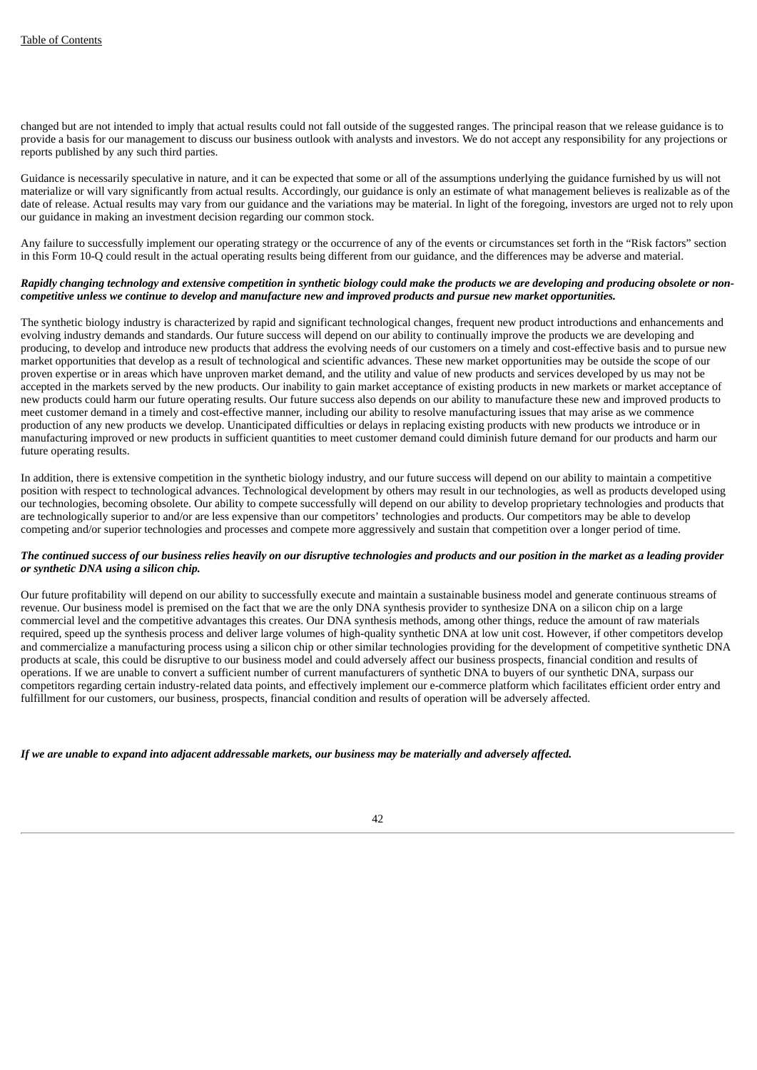changed but are not intended to imply that actual results could not fall outside of the suggested ranges. The principal reason that we release guidance is to provide a basis for our management to discuss our business outlook with analysts and investors. We do not accept any responsibility for any projections or reports published by any such third parties.

Guidance is necessarily speculative in nature, and it can be expected that some or all of the assumptions underlying the guidance furnished by us will not materialize or will vary significantly from actual results. Accordingly, our guidance is only an estimate of what management believes is realizable as of the date of release. Actual results may vary from our guidance and the variations may be material. In light of the foregoing, investors are urged not to rely upon our guidance in making an investment decision regarding our common stock.

Any failure to successfully implement our operating strategy or the occurrence of any of the events or circumstances set forth in the "Risk factors" section in this Form 10-Q could result in the actual operating results being different from our guidance, and the differences may be adverse and material.

#### Rapidly changing technology and extensive competition in synthetic biology could make the products we are developing and producing obsolete or noncompetitive unless we continue to develop and manufacture new and improved products and pursue new market opportunities.

The synthetic biology industry is characterized by rapid and significant technological changes, frequent new product introductions and enhancements and evolving industry demands and standards. Our future success will depend on our ability to continually improve the products we are developing and producing, to develop and introduce new products that address the evolving needs of our customers on a timely and cost-effective basis and to pursue new market opportunities that develop as a result of technological and scientific advances. These new market opportunities may be outside the scope of our proven expertise or in areas which have unproven market demand, and the utility and value of new products and services developed by us may not be accepted in the markets served by the new products. Our inability to gain market acceptance of existing products in new markets or market acceptance of new products could harm our future operating results. Our future success also depends on our ability to manufacture these new and improved products to meet customer demand in a timely and cost-effective manner, including our ability to resolve manufacturing issues that may arise as we commence production of any new products we develop. Unanticipated difficulties or delays in replacing existing products with new products we introduce or in manufacturing improved or new products in sufficient quantities to meet customer demand could diminish future demand for our products and harm our future operating results.

In addition, there is extensive competition in the synthetic biology industry, and our future success will depend on our ability to maintain a competitive position with respect to technological advances. Technological development by others may result in our technologies, as well as products developed using our technologies, becoming obsolete. Our ability to compete successfully will depend on our ability to develop proprietary technologies and products that are technologically superior to and/or are less expensive than our competitors' technologies and products. Our competitors may be able to develop competing and/or superior technologies and processes and compete more aggressively and sustain that competition over a longer period of time.

#### The continued success of our business relies heavily on our disruptive technologies and products and our position in the market as a leading provider *or synthetic DNA using a silicon chip.*

Our future profitability will depend on our ability to successfully execute and maintain a sustainable business model and generate continuous streams of revenue. Our business model is premised on the fact that we are the only DNA synthesis provider to synthesize DNA on a silicon chip on a large commercial level and the competitive advantages this creates. Our DNA synthesis methods, among other things, reduce the amount of raw materials required, speed up the synthesis process and deliver large volumes of high-quality synthetic DNA at low unit cost. However, if other competitors develop and commercialize a manufacturing process using a silicon chip or other similar technologies providing for the development of competitive synthetic DNA products at scale, this could be disruptive to our business model and could adversely affect our business prospects, financial condition and results of operations. If we are unable to convert a sufficient number of current manufacturers of synthetic DNA to buyers of our synthetic DNA, surpass our competitors regarding certain industry-related data points, and effectively implement our e-commerce platform which facilitates efficient order entry and fulfillment for our customers, our business, prospects, financial condition and results of operation will be adversely affected.

If we are unable to expand into adjacent addressable markets, our business may be materially and adversely affected.

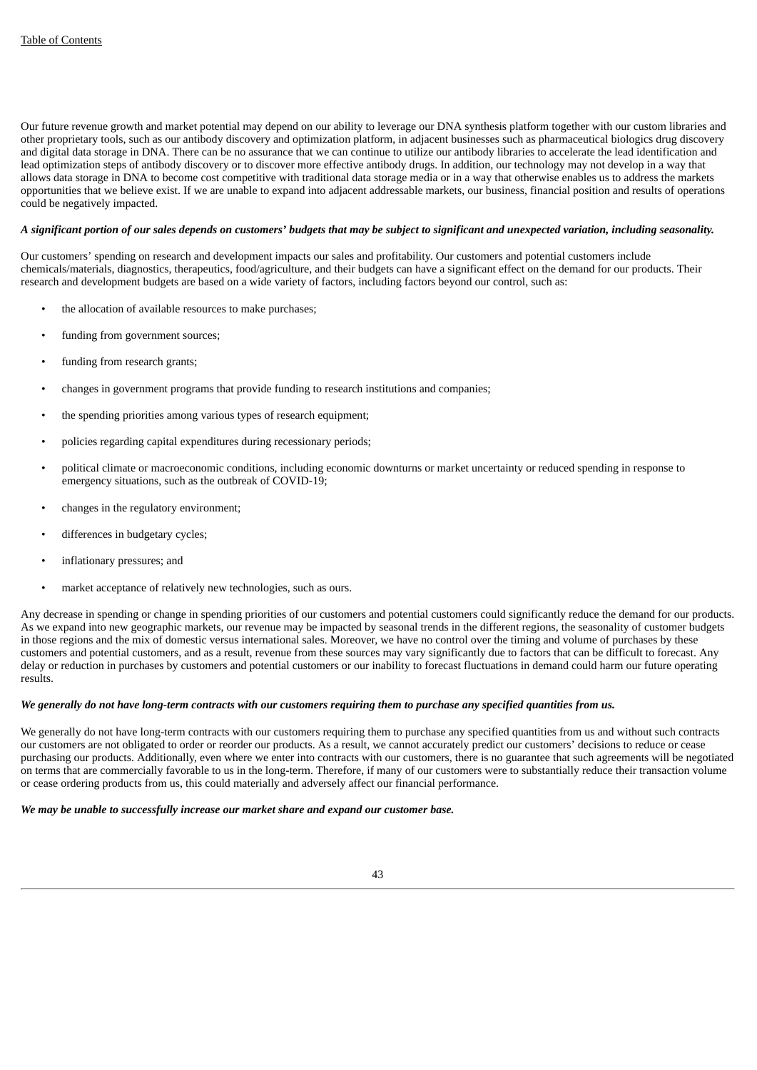Our future revenue growth and market potential may depend on our ability to leverage our DNA synthesis platform together with our custom libraries and other proprietary tools, such as our antibody discovery and optimization platform, in adjacent businesses such as pharmaceutical biologics drug discovery and digital data storage in DNA. There can be no assurance that we can continue to utilize our antibody libraries to accelerate the lead identification and lead optimization steps of antibody discovery or to discover more effective antibody drugs. In addition, our technology may not develop in a way that allows data storage in DNA to become cost competitive with traditional data storage media or in a way that otherwise enables us to address the markets opportunities that we believe exist. If we are unable to expand into adjacent addressable markets, our business, financial position and results of operations could be negatively impacted.

#### A significant portion of our sales depends on customers' budgets that may be subject to significant and unexpected variation, including seasonality.

Our customers' spending on research and development impacts our sales and profitability. Our customers and potential customers include chemicals/materials, diagnostics, therapeutics, food/agriculture, and their budgets can have a significant effect on the demand for our products. Their research and development budgets are based on a wide variety of factors, including factors beyond our control, such as:

- the allocation of available resources to make purchases;
- funding from government sources;
- funding from research grants;
- changes in government programs that provide funding to research institutions and companies;
- the spending priorities among various types of research equipment;
- policies regarding capital expenditures during recessionary periods;
- political climate or macroeconomic conditions, including economic downturns or market uncertainty or reduced spending in response to emergency situations, such as the outbreak of COVID-19;
- changes in the regulatory environment;
- differences in budgetary cycles;
- inflationary pressures; and
- market acceptance of relatively new technologies, such as ours.

Any decrease in spending or change in spending priorities of our customers and potential customers could significantly reduce the demand for our products. As we expand into new geographic markets, our revenue may be impacted by seasonal trends in the different regions, the seasonality of customer budgets in those regions and the mix of domestic versus international sales. Moreover, we have no control over the timing and volume of purchases by these customers and potential customers, and as a result, revenue from these sources may vary significantly due to factors that can be difficult to forecast. Any delay or reduction in purchases by customers and potential customers or our inability to forecast fluctuations in demand could harm our future operating results.

#### We generally do not have long-term contracts with our customers requiring them to purchase any specified quantities from us.

We generally do not have long-term contracts with our customers requiring them to purchase any specified quantities from us and without such contracts our customers are not obligated to order or reorder our products. As a result, we cannot accurately predict our customers' decisions to reduce or cease purchasing our products. Additionally, even where we enter into contracts with our customers, there is no guarantee that such agreements will be negotiated on terms that are commercially favorable to us in the long-term. Therefore, if many of our customers were to substantially reduce their transaction volume or cease ordering products from us, this could materially and adversely affect our financial performance.

#### *We may be unable to successfully increase our market share and expand our customer base.*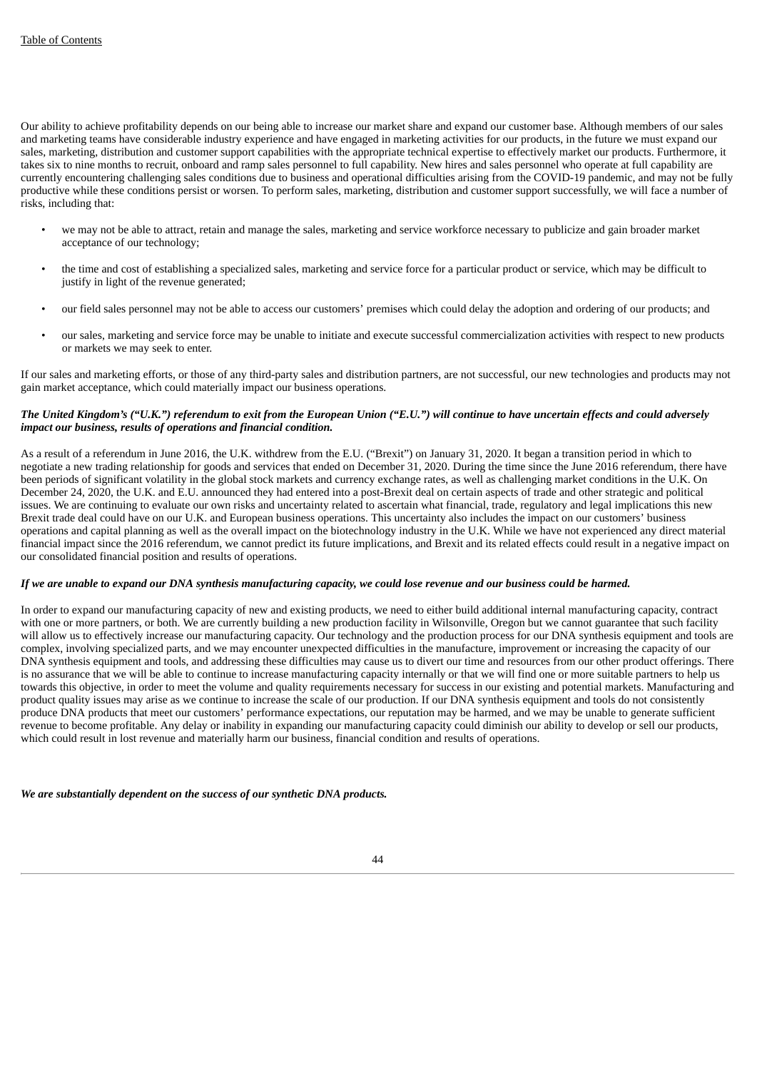Our ability to achieve profitability depends on our being able to increase our market share and expand our customer base. Although members of our sales and marketing teams have considerable industry experience and have engaged in marketing activities for our products, in the future we must expand our sales, marketing, distribution and customer support capabilities with the appropriate technical expertise to effectively market our products. Furthermore, it takes six to nine months to recruit, onboard and ramp sales personnel to full capability. New hires and sales personnel who operate at full capability are currently encountering challenging sales conditions due to business and operational difficulties arising from the COVID-19 pandemic, and may not be fully productive while these conditions persist or worsen. To perform sales, marketing, distribution and customer support successfully, we will face a number of risks, including that:

- we may not be able to attract, retain and manage the sales, marketing and service workforce necessary to publicize and gain broader market acceptance of our technology;
- the time and cost of establishing a specialized sales, marketing and service force for a particular product or service, which may be difficult to justify in light of the revenue generated;
- our field sales personnel may not be able to access our customers' premises which could delay the adoption and ordering of our products; and
- our sales, marketing and service force may be unable to initiate and execute successful commercialization activities with respect to new products or markets we may seek to enter.

If our sales and marketing efforts, or those of any third-party sales and distribution partners, are not successful, our new technologies and products may not gain market acceptance, which could materially impact our business operations.

#### The United Kingdom's ("U.K.") referendum to exit from the European Union ("E.U.") will continue to have uncertain effects and could adversely *impact our business, results of operations and financial condition.*

As a result of a referendum in June 2016, the U.K. withdrew from the E.U. ("Brexit") on January 31, 2020. It began a transition period in which to negotiate a new trading relationship for goods and services that ended on December 31, 2020. During the time since the June 2016 referendum, there have been periods of significant volatility in the global stock markets and currency exchange rates, as well as challenging market conditions in the U.K. On December 24, 2020, the U.K. and E.U. announced they had entered into a post-Brexit deal on certain aspects of trade and other strategic and political issues. We are continuing to evaluate our own risks and uncertainty related to ascertain what financial, trade, regulatory and legal implications this new Brexit trade deal could have on our U.K. and European business operations. This uncertainty also includes the impact on our customers' business operations and capital planning as well as the overall impact on the biotechnology industry in the U.K. While we have not experienced any direct material financial impact since the 2016 referendum, we cannot predict its future implications, and Brexit and its related effects could result in a negative impact on our consolidated financial position and results of operations.

#### If we are unable to expand our DNA synthesis manufacturing capacity, we could lose revenue and our business could be harmed.

In order to expand our manufacturing capacity of new and existing products, we need to either build additional internal manufacturing capacity, contract with one or more partners, or both. We are currently building a new production facility in Wilsonville, Oregon but we cannot guarantee that such facility will allow us to effectively increase our manufacturing capacity. Our technology and the production process for our DNA synthesis equipment and tools are complex, involving specialized parts, and we may encounter unexpected difficulties in the manufacture, improvement or increasing the capacity of our DNA synthesis equipment and tools, and addressing these difficulties may cause us to divert our time and resources from our other product offerings. There is no assurance that we will be able to continue to increase manufacturing capacity internally or that we will find one or more suitable partners to help us towards this objective, in order to meet the volume and quality requirements necessary for success in our existing and potential markets. Manufacturing and product quality issues may arise as we continue to increase the scale of our production. If our DNA synthesis equipment and tools do not consistently produce DNA products that meet our customers' performance expectations, our reputation may be harmed, and we may be unable to generate sufficient revenue to become profitable. Any delay or inability in expanding our manufacturing capacity could diminish our ability to develop or sell our products, which could result in lost revenue and materially harm our business, financial condition and results of operations.

*We are substantially dependent on the success of our synthetic DNA products.*

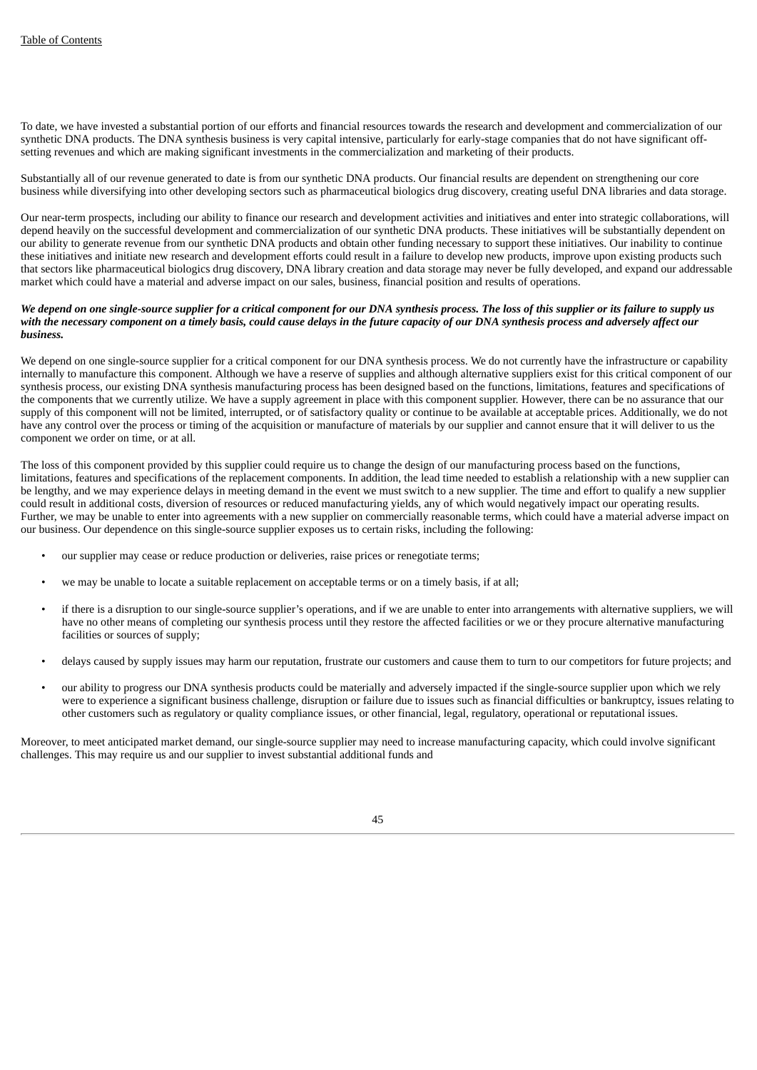To date, we have invested a substantial portion of our efforts and financial resources towards the research and development and commercialization of our synthetic DNA products. The DNA synthesis business is very capital intensive, particularly for early-stage companies that do not have significant offsetting revenues and which are making significant investments in the commercialization and marketing of their products.

Substantially all of our revenue generated to date is from our synthetic DNA products. Our financial results are dependent on strengthening our core business while diversifying into other developing sectors such as pharmaceutical biologics drug discovery, creating useful DNA libraries and data storage.

Our near-term prospects, including our ability to finance our research and development activities and initiatives and enter into strategic collaborations, will depend heavily on the successful development and commercialization of our synthetic DNA products. These initiatives will be substantially dependent on our ability to generate revenue from our synthetic DNA products and obtain other funding necessary to support these initiatives. Our inability to continue these initiatives and initiate new research and development efforts could result in a failure to develop new products, improve upon existing products such that sectors like pharmaceutical biologics drug discovery, DNA library creation and data storage may never be fully developed, and expand our addressable market which could have a material and adverse impact on our sales, business, financial position and results of operations.

#### We depend on one single-source supplier for a critical component for our DNA synthesis process. The loss of this supplier or its failure to supply us with the necessary component on a timely basis, could cause delays in the future capacity of our DNA synthesis process and adversely affect our *business.*

We depend on one single-source supplier for a critical component for our DNA synthesis process. We do not currently have the infrastructure or capability internally to manufacture this component. Although we have a reserve of supplies and although alternative suppliers exist for this critical component of our synthesis process, our existing DNA synthesis manufacturing process has been designed based on the functions, limitations, features and specifications of the components that we currently utilize. We have a supply agreement in place with this component supplier. However, there can be no assurance that our supply of this component will not be limited, interrupted, or of satisfactory quality or continue to be available at acceptable prices. Additionally, we do not have any control over the process or timing of the acquisition or manufacture of materials by our supplier and cannot ensure that it will deliver to us the component we order on time, or at all.

The loss of this component provided by this supplier could require us to change the design of our manufacturing process based on the functions, limitations, features and specifications of the replacement components. In addition, the lead time needed to establish a relationship with a new supplier can be lengthy, and we may experience delays in meeting demand in the event we must switch to a new supplier. The time and effort to qualify a new supplier could result in additional costs, diversion of resources or reduced manufacturing yields, any of which would negatively impact our operating results. Further, we may be unable to enter into agreements with a new supplier on commercially reasonable terms, which could have a material adverse impact on our business. Our dependence on this single-source supplier exposes us to certain risks, including the following:

- our supplier may cease or reduce production or deliveries, raise prices or renegotiate terms;
- we may be unable to locate a suitable replacement on acceptable terms or on a timely basis, if at all;
- if there is a disruption to our single-source supplier's operations, and if we are unable to enter into arrangements with alternative suppliers, we will have no other means of completing our synthesis process until they restore the affected facilities or we or they procure alternative manufacturing facilities or sources of supply;
- delays caused by supply issues may harm our reputation, frustrate our customers and cause them to turn to our competitors for future projects; and
- our ability to progress our DNA synthesis products could be materially and adversely impacted if the single-source supplier upon which we rely were to experience a significant business challenge, disruption or failure due to issues such as financial difficulties or bankruptcy, issues relating to other customers such as regulatory or quality compliance issues, or other financial, legal, regulatory, operational or reputational issues.

Moreover, to meet anticipated market demand, our single-source supplier may need to increase manufacturing capacity, which could involve significant challenges. This may require us and our supplier to invest substantial additional funds and

45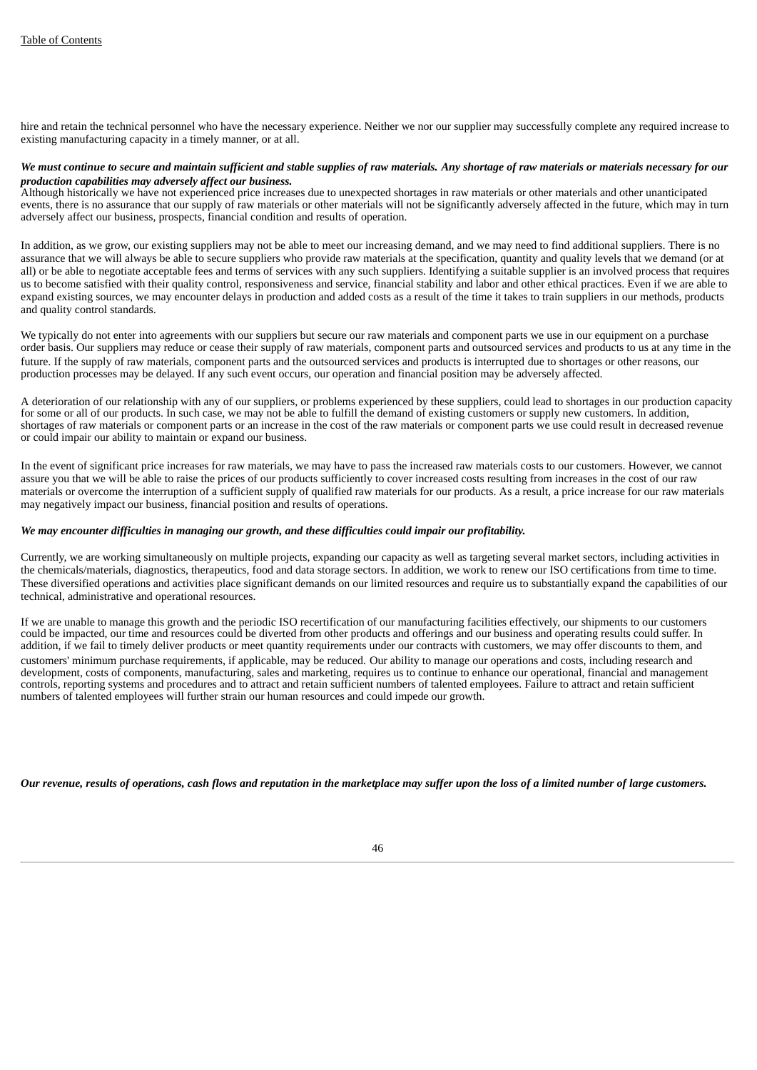hire and retain the technical personnel who have the necessary experience. Neither we nor our supplier may successfully complete any required increase to existing manufacturing capacity in a timely manner, or at all.

#### We must continue to secure and maintain sufficient and stable supplies of raw materials. Any shortage of raw materials or materials necessary for our *production capabilities may adversely affect our business.*

Although historically we have not experienced price increases due to unexpected shortages in raw materials or other materials and other unanticipated events, there is no assurance that our supply of raw materials or other materials will not be significantly adversely affected in the future, which may in turn adversely affect our business, prospects, financial condition and results of operation.

In addition, as we grow, our existing suppliers may not be able to meet our increasing demand, and we may need to find additional suppliers. There is no assurance that we will always be able to secure suppliers who provide raw materials at the specification, quantity and quality levels that we demand (or at all) or be able to negotiate acceptable fees and terms of services with any such suppliers. Identifying a suitable supplier is an involved process that requires us to become satisfied with their quality control, responsiveness and service, financial stability and labor and other ethical practices. Even if we are able to expand existing sources, we may encounter delays in production and added costs as a result of the time it takes to train suppliers in our methods, products and quality control standards.

We typically do not enter into agreements with our suppliers but secure our raw materials and component parts we use in our equipment on a purchase order basis. Our suppliers may reduce or cease their supply of raw materials, component parts and outsourced services and products to us at any time in the future. If the supply of raw materials, component parts and the outsourced services and products is interrupted due to shortages or other reasons, our production processes may be delayed. If any such event occurs, our operation and financial position may be adversely affected.

A deterioration of our relationship with any of our suppliers, or problems experienced by these suppliers, could lead to shortages in our production capacity for some or all of our products. In such case, we may not be able to fulfill the demand of existing customers or supply new customers. In addition, shortages of raw materials or component parts or an increase in the cost of the raw materials or component parts we use could result in decreased revenue or could impair our ability to maintain or expand our business.

In the event of significant price increases for raw materials, we may have to pass the increased raw materials costs to our customers. However, we cannot assure you that we will be able to raise the prices of our products sufficiently to cover increased costs resulting from increases in the cost of our raw materials or overcome the interruption of a sufficient supply of qualified raw materials for our products. As a result, a price increase for our raw materials may negatively impact our business, financial position and results of operations.

#### *We may encounter difficulties in managing our growth, and these difficulties could impair our profitability.*

Currently, we are working simultaneously on multiple projects, expanding our capacity as well as targeting several market sectors, including activities in the chemicals/materials, diagnostics, therapeutics, food and data storage sectors. In addition, we work to renew our ISO certifications from time to time. These diversified operations and activities place significant demands on our limited resources and require us to substantially expand the capabilities of our technical, administrative and operational resources.

If we are unable to manage this growth and the periodic ISO recertification of our manufacturing facilities effectively, our shipments to our customers could be impacted, our time and resources could be diverted from other products and offerings and our business and operating results could suffer. In addition, if we fail to timely deliver products or meet quantity requirements under our contracts with customers, we may offer discounts to them, and customers' minimum purchase requirements, if applicable, may be reduced. Our ability to manage our operations and costs, including research and development, costs of components, manufacturing, sales and marketing, requires us to continue to enhance our operational, financial and management controls, reporting systems and procedures and to attract and retain sufficient numbers of talented employees. Failure to attract and retain sufficient numbers of talented employees will further strain our human resources and could impede our growth.

Our revenue, results of operations, cash flows and reputation in the marketplace may suffer upon the loss of a limited number of large customers.

46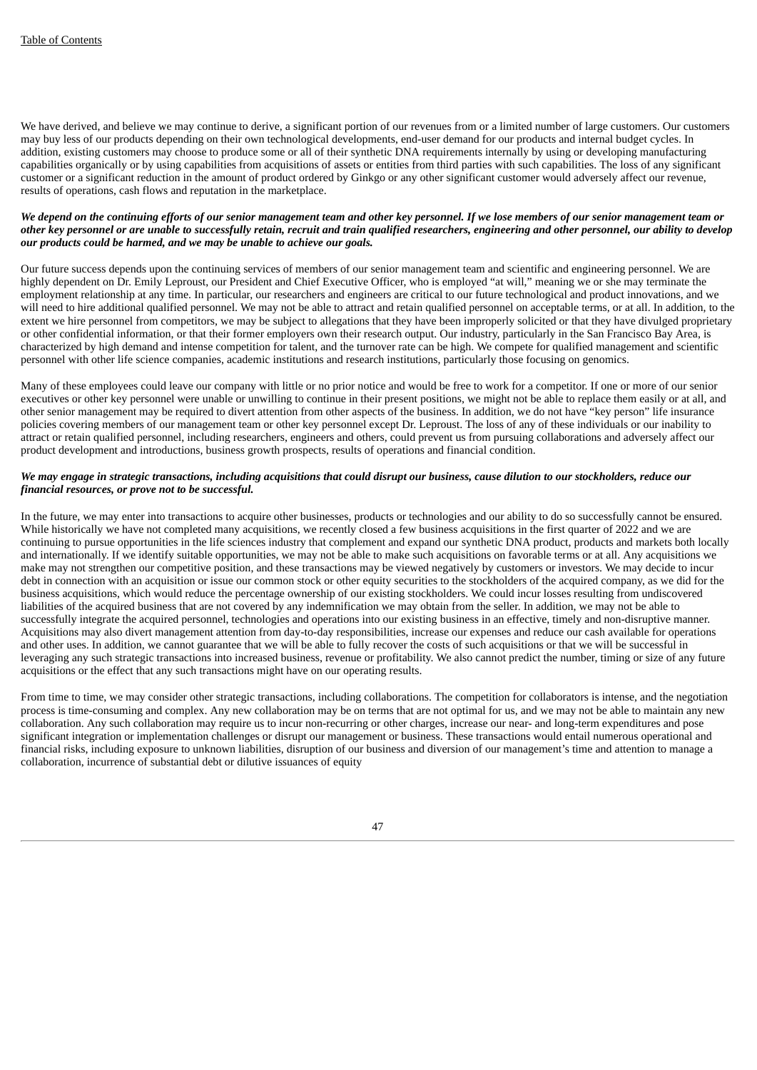We have derived, and believe we may continue to derive, a significant portion of our revenues from or a limited number of large customers. Our customers may buy less of our products depending on their own technological developments, end-user demand for our products and internal budget cycles. In addition, existing customers may choose to produce some or all of their synthetic DNA requirements internally by using or developing manufacturing capabilities organically or by using capabilities from acquisitions of assets or entities from third parties with such capabilities. The loss of any significant customer or a significant reduction in the amount of product ordered by Ginkgo or any other significant customer would adversely affect our revenue, results of operations, cash flows and reputation in the marketplace.

#### We depend on the continuing efforts of our senior management team and other key personnel. If we lose members of our senior management team or other key personnel or are unable to successfully retain, recruit and train qualified researchers, engineering and other personnel, our ability to develop *our products could be harmed, and we may be unable to achieve our goals.*

Our future success depends upon the continuing services of members of our senior management team and scientific and engineering personnel. We are highly dependent on Dr. Emily Leproust, our President and Chief Executive Officer, who is employed "at will," meaning we or she may terminate the employment relationship at any time. In particular, our researchers and engineers are critical to our future technological and product innovations, and we will need to hire additional qualified personnel. We may not be able to attract and retain qualified personnel on acceptable terms, or at all. In addition, to the extent we hire personnel from competitors, we may be subject to allegations that they have been improperly solicited or that they have divulged proprietary or other confidential information, or that their former employers own their research output. Our industry, particularly in the San Francisco Bay Area, is characterized by high demand and intense competition for talent, and the turnover rate can be high. We compete for qualified management and scientific personnel with other life science companies, academic institutions and research institutions, particularly those focusing on genomics.

Many of these employees could leave our company with little or no prior notice and would be free to work for a competitor. If one or more of our senior executives or other key personnel were unable or unwilling to continue in their present positions, we might not be able to replace them easily or at all, and other senior management may be required to divert attention from other aspects of the business. In addition, we do not have "key person" life insurance policies covering members of our management team or other key personnel except Dr. Leproust. The loss of any of these individuals or our inability to attract or retain qualified personnel, including researchers, engineers and others, could prevent us from pursuing collaborations and adversely affect our product development and introductions, business growth prospects, results of operations and financial condition.

#### We may engage in strategic transactions, including acquisitions that could disrupt our business, cause dilution to our stockholders, reduce our *financial resources, or prove not to be successful.*

In the future, we may enter into transactions to acquire other businesses, products or technologies and our ability to do so successfully cannot be ensured. While historically we have not completed many acquisitions, we recently closed a few business acquisitions in the first quarter of 2022 and we are continuing to pursue opportunities in the life sciences industry that complement and expand our synthetic DNA product, products and markets both locally and internationally. If we identify suitable opportunities, we may not be able to make such acquisitions on favorable terms or at all. Any acquisitions we make may not strengthen our competitive position, and these transactions may be viewed negatively by customers or investors. We may decide to incur debt in connection with an acquisition or issue our common stock or other equity securities to the stockholders of the acquired company, as we did for the business acquisitions, which would reduce the percentage ownership of our existing stockholders. We could incur losses resulting from undiscovered liabilities of the acquired business that are not covered by any indemnification we may obtain from the seller. In addition, we may not be able to successfully integrate the acquired personnel, technologies and operations into our existing business in an effective, timely and non-disruptive manner. Acquisitions may also divert management attention from day-to-day responsibilities, increase our expenses and reduce our cash available for operations and other uses. In addition, we cannot guarantee that we will be able to fully recover the costs of such acquisitions or that we will be successful in leveraging any such strategic transactions into increased business, revenue or profitability. We also cannot predict the number, timing or size of any future acquisitions or the effect that any such transactions might have on our operating results.

From time to time, we may consider other strategic transactions, including collaborations. The competition for collaborators is intense, and the negotiation process is time-consuming and complex. Any new collaboration may be on terms that are not optimal for us, and we may not be able to maintain any new collaboration. Any such collaboration may require us to incur non-recurring or other charges, increase our near- and long-term expenditures and pose significant integration or implementation challenges or disrupt our management or business. These transactions would entail numerous operational and financial risks, including exposure to unknown liabilities, disruption of our business and diversion of our management's time and attention to manage a collaboration, incurrence of substantial debt or dilutive issuances of equity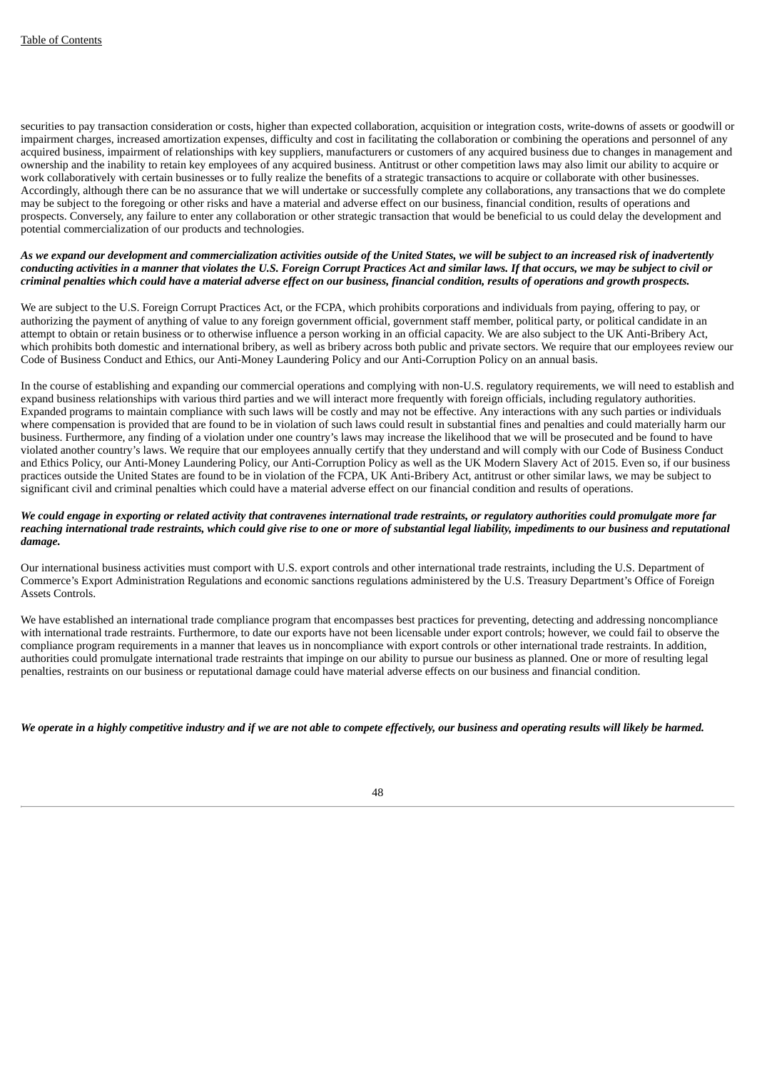securities to pay transaction consideration or costs, higher than expected collaboration, acquisition or integration costs, write-downs of assets or goodwill or impairment charges, increased amortization expenses, difficulty and cost in facilitating the collaboration or combining the operations and personnel of any acquired business, impairment of relationships with key suppliers, manufacturers or customers of any acquired business due to changes in management and ownership and the inability to retain key employees of any acquired business. Antitrust or other competition laws may also limit our ability to acquire or work collaboratively with certain businesses or to fully realize the benefits of a strategic transactions to acquire or collaborate with other businesses. Accordingly, although there can be no assurance that we will undertake or successfully complete any collaborations, any transactions that we do complete may be subject to the foregoing or other risks and have a material and adverse effect on our business, financial condition, results of operations and prospects. Conversely, any failure to enter any collaboration or other strategic transaction that would be beneficial to us could delay the development and potential commercialization of our products and technologies.

## As we expand our development and commercialization activities outside of the United States, we will be subject to an increased risk of inadvertently conducting activities in a manner that violates the U.S. Foreign Corrupt Practices Act and similar laws. If that occurs, we may be subject to civil or criminal penalties which could have a material adverse effect on our business, financial condition, results of operations and growth prospects.

We are subject to the U.S. Foreign Corrupt Practices Act, or the FCPA, which prohibits corporations and individuals from paying, offering to pay, or authorizing the payment of anything of value to any foreign government official, government staff member, political party, or political candidate in an attempt to obtain or retain business or to otherwise influence a person working in an official capacity. We are also subject to the UK Anti-Bribery Act, which prohibits both domestic and international bribery, as well as bribery across both public and private sectors. We require that our employees review our Code of Business Conduct and Ethics, our Anti-Money Laundering Policy and our Anti-Corruption Policy on an annual basis.

In the course of establishing and expanding our commercial operations and complying with non-U.S. regulatory requirements, we will need to establish and expand business relationships with various third parties and we will interact more frequently with foreign officials, including regulatory authorities. Expanded programs to maintain compliance with such laws will be costly and may not be effective. Any interactions with any such parties or individuals where compensation is provided that are found to be in violation of such laws could result in substantial fines and penalties and could materially harm our business. Furthermore, any finding of a violation under one country's laws may increase the likelihood that we will be prosecuted and be found to have violated another country's laws. We require that our employees annually certify that they understand and will comply with our Code of Business Conduct and Ethics Policy, our Anti-Money Laundering Policy, our Anti-Corruption Policy as well as the UK Modern Slavery Act of 2015. Even so, if our business practices outside the United States are found to be in violation of the FCPA, UK Anti-Bribery Act, antitrust or other similar laws, we may be subject to significant civil and criminal penalties which could have a material adverse effect on our financial condition and results of operations.

#### We could engage in exporting or related activity that contravenes international trade restraints, or regulatory authorities could promulgate more far reaching international trade restraints, which could give rise to one or more of substantial legal liability, impediments to our business and reputational *damage.*

Our international business activities must comport with U.S. export controls and other international trade restraints, including the U.S. Department of Commerce's Export Administration Regulations and economic sanctions regulations administered by the U.S. Treasury Department's Office of Foreign Assets Controls.

We have established an international trade compliance program that encompasses best practices for preventing, detecting and addressing noncompliance with international trade restraints. Furthermore, to date our exports have not been licensable under export controls; however, we could fail to observe the compliance program requirements in a manner that leaves us in noncompliance with export controls or other international trade restraints. In addition, authorities could promulgate international trade restraints that impinge on our ability to pursue our business as planned. One or more of resulting legal penalties, restraints on our business or reputational damage could have material adverse effects on our business and financial condition.

#### We operate in a highly competitive industry and if we are not able to compete effectively, our business and operating results will likely be harmed.

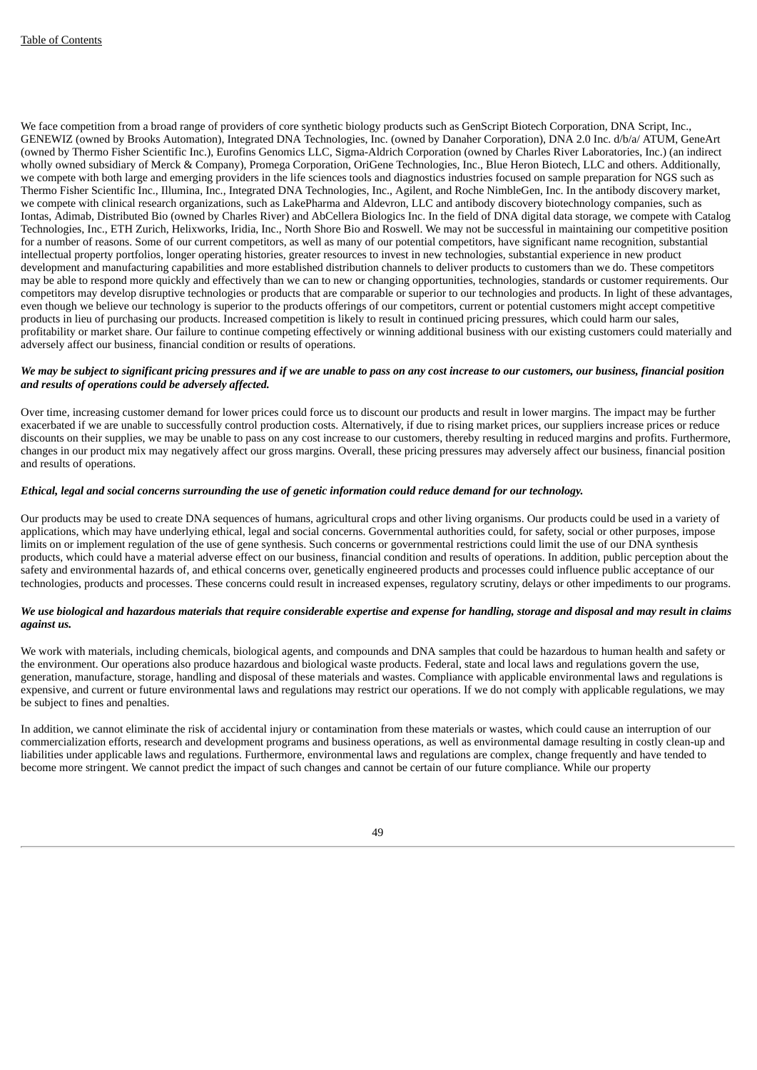We face competition from a broad range of providers of core synthetic biology products such as GenScript Biotech Corporation, DNA Script, Inc., GENEWIZ (owned by Brooks Automation), Integrated DNA Technologies, Inc. (owned by Danaher Corporation), DNA 2.0 Inc. d/b/a/ ATUM, GeneArt (owned by Thermo Fisher Scientific Inc.), Eurofins Genomics LLC, Sigma-Aldrich Corporation (owned by Charles River Laboratories, Inc.) (an indirect wholly owned subsidiary of Merck & Company), Promega Corporation, OriGene Technologies, Inc., Blue Heron Biotech, LLC and others. Additionally, we compete with both large and emerging providers in the life sciences tools and diagnostics industries focused on sample preparation for NGS such as Thermo Fisher Scientific Inc., Illumina, Inc., Integrated DNA Technologies, Inc., Agilent, and Roche NimbleGen, Inc. In the antibody discovery market, we compete with clinical research organizations, such as LakePharma and Aldevron, LLC and antibody discovery biotechnology companies, such as Iontas, Adimab, Distributed Bio (owned by Charles River) and AbCellera Biologics Inc. In the field of DNA digital data storage, we compete with Catalog Technologies, Inc., ETH Zurich, Helixworks, Iridia, Inc., North Shore Bio and Roswell. We may not be successful in maintaining our competitive position for a number of reasons. Some of our current competitors, as well as many of our potential competitors, have significant name recognition, substantial intellectual property portfolios, longer operating histories, greater resources to invest in new technologies, substantial experience in new product development and manufacturing capabilities and more established distribution channels to deliver products to customers than we do. These competitors may be able to respond more quickly and effectively than we can to new or changing opportunities, technologies, standards or customer requirements. Our competitors may develop disruptive technologies or products that are comparable or superior to our technologies and products. In light of these advantages, even though we believe our technology is superior to the products offerings of our competitors, current or potential customers might accept competitive products in lieu of purchasing our products. Increased competition is likely to result in continued pricing pressures, which could harm our sales, profitability or market share. Our failure to continue competing effectively or winning additional business with our existing customers could materially and adversely affect our business, financial condition or results of operations.

#### We may be subject to significant pricing pressures and if we are unable to pass on any cost increase to our customers, our business, financial position *and results of operations could be adversely affected.*

Over time, increasing customer demand for lower prices could force us to discount our products and result in lower margins. The impact may be further exacerbated if we are unable to successfully control production costs. Alternatively, if due to rising market prices, our suppliers increase prices or reduce discounts on their supplies, we may be unable to pass on any cost increase to our customers, thereby resulting in reduced margins and profits. Furthermore, changes in our product mix may negatively affect our gross margins. Overall, these pricing pressures may adversely affect our business, financial position and results of operations.

#### Ethical, legal and social concerns surrounding the use of genetic information could reduce demand for our technology.

Our products may be used to create DNA sequences of humans, agricultural crops and other living organisms. Our products could be used in a variety of applications, which may have underlying ethical, legal and social concerns. Governmental authorities could, for safety, social or other purposes, impose limits on or implement regulation of the use of gene synthesis. Such concerns or governmental restrictions could limit the use of our DNA synthesis products, which could have a material adverse effect on our business, financial condition and results of operations. In addition, public perception about the safety and environmental hazards of, and ethical concerns over, genetically engineered products and processes could influence public acceptance of our technologies, products and processes. These concerns could result in increased expenses, regulatory scrutiny, delays or other impediments to our programs.

#### We use biological and hazardous materials that require considerable expertise and expense for handling, storage and disposal and may result in claims *against us.*

We work with materials, including chemicals, biological agents, and compounds and DNA samples that could be hazardous to human health and safety or the environment. Our operations also produce hazardous and biological waste products. Federal, state and local laws and regulations govern the use, generation, manufacture, storage, handling and disposal of these materials and wastes. Compliance with applicable environmental laws and regulations is expensive, and current or future environmental laws and regulations may restrict our operations. If we do not comply with applicable regulations, we may be subject to fines and penalties.

In addition, we cannot eliminate the risk of accidental injury or contamination from these materials or wastes, which could cause an interruption of our commercialization efforts, research and development programs and business operations, as well as environmental damage resulting in costly clean-up and liabilities under applicable laws and regulations. Furthermore, environmental laws and regulations are complex, change frequently and have tended to become more stringent. We cannot predict the impact of such changes and cannot be certain of our future compliance. While our property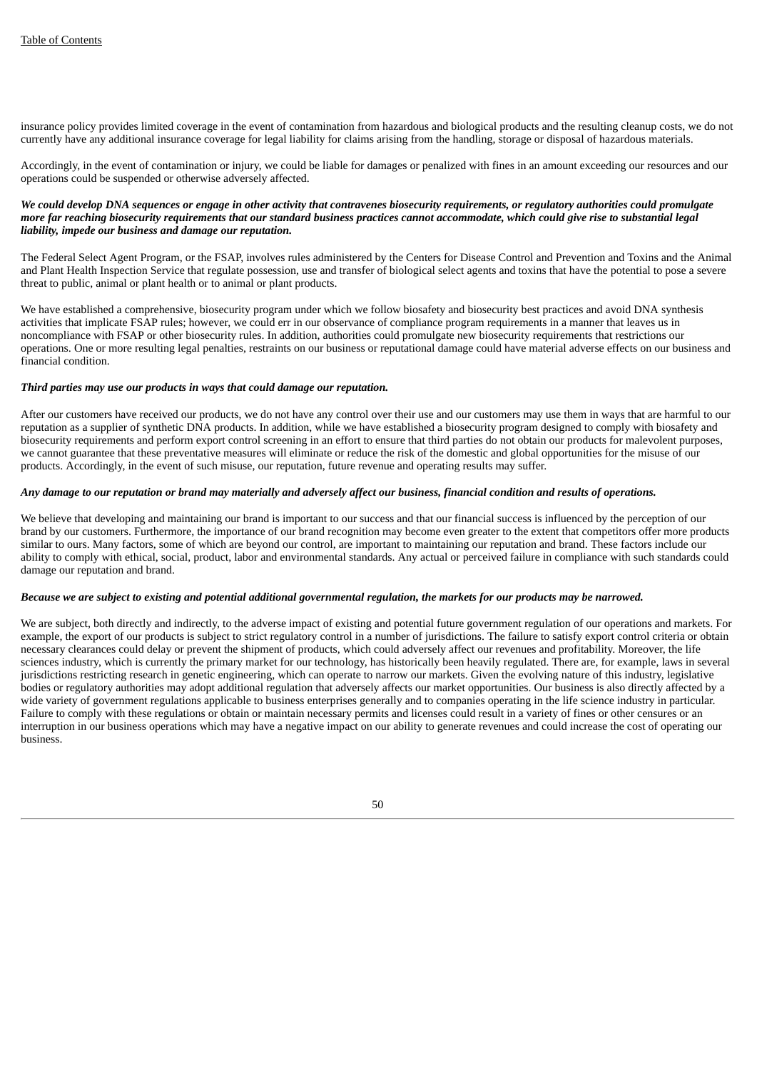insurance policy provides limited coverage in the event of contamination from hazardous and biological products and the resulting cleanup costs, we do not currently have any additional insurance coverage for legal liability for claims arising from the handling, storage or disposal of hazardous materials.

Accordingly, in the event of contamination or injury, we could be liable for damages or penalized with fines in an amount exceeding our resources and our operations could be suspended or otherwise adversely affected.

#### We could develop DNA sequences or engage in other activity that contravenes biosecurity requirements, or regulatory authorities could promulgate more far reaching biosecurity requirements that our standard business practices cannot accommodate, which could give rise to substantial legal *liability, impede our business and damage our reputation.*

The Federal Select Agent Program, or the FSAP, involves rules administered by the Centers for Disease Control and Prevention and Toxins and the Animal and Plant Health Inspection Service that regulate possession, use and transfer of biological select agents and toxins that have the potential to pose a severe threat to public, animal or plant health or to animal or plant products.

We have established a comprehensive, biosecurity program under which we follow biosafety and biosecurity best practices and avoid DNA synthesis activities that implicate FSAP rules; however, we could err in our observance of compliance program requirements in a manner that leaves us in noncompliance with FSAP or other biosecurity rules. In addition, authorities could promulgate new biosecurity requirements that restrictions our operations. One or more resulting legal penalties, restraints on our business or reputational damage could have material adverse effects on our business and financial condition.

#### *Third parties may use our products in ways that could damage our reputation.*

After our customers have received our products, we do not have any control over their use and our customers may use them in ways that are harmful to our reputation as a supplier of synthetic DNA products. In addition, while we have established a biosecurity program designed to comply with biosafety and biosecurity requirements and perform export control screening in an effort to ensure that third parties do not obtain our products for malevolent purposes, we cannot guarantee that these preventative measures will eliminate or reduce the risk of the domestic and global opportunities for the misuse of our products. Accordingly, in the event of such misuse, our reputation, future revenue and operating results may suffer.

#### Any damage to our reputation or brand may materially and adversely affect our business, financial condition and results of operations.

We believe that developing and maintaining our brand is important to our success and that our financial success is influenced by the perception of our brand by our customers. Furthermore, the importance of our brand recognition may become even greater to the extent that competitors offer more products similar to ours. Many factors, some of which are beyond our control, are important to maintaining our reputation and brand. These factors include our ability to comply with ethical, social, product, labor and environmental standards. Any actual or perceived failure in compliance with such standards could damage our reputation and brand.

#### Because we are subject to existing and potential additional governmental regulation, the markets for our products may be narrowed.

We are subject, both directly and indirectly, to the adverse impact of existing and potential future government regulation of our operations and markets. For example, the export of our products is subject to strict regulatory control in a number of jurisdictions. The failure to satisfy export control criteria or obtain necessary clearances could delay or prevent the shipment of products, which could adversely affect our revenues and profitability. Moreover, the life sciences industry, which is currently the primary market for our technology, has historically been heavily regulated. There are, for example, laws in several jurisdictions restricting research in genetic engineering, which can operate to narrow our markets. Given the evolving nature of this industry, legislative bodies or regulatory authorities may adopt additional regulation that adversely affects our market opportunities. Our business is also directly affected by a wide variety of government regulations applicable to business enterprises generally and to companies operating in the life science industry in particular. Failure to comply with these regulations or obtain or maintain necessary permits and licenses could result in a variety of fines or other censures or an interruption in our business operations which may have a negative impact on our ability to generate revenues and could increase the cost of operating our business.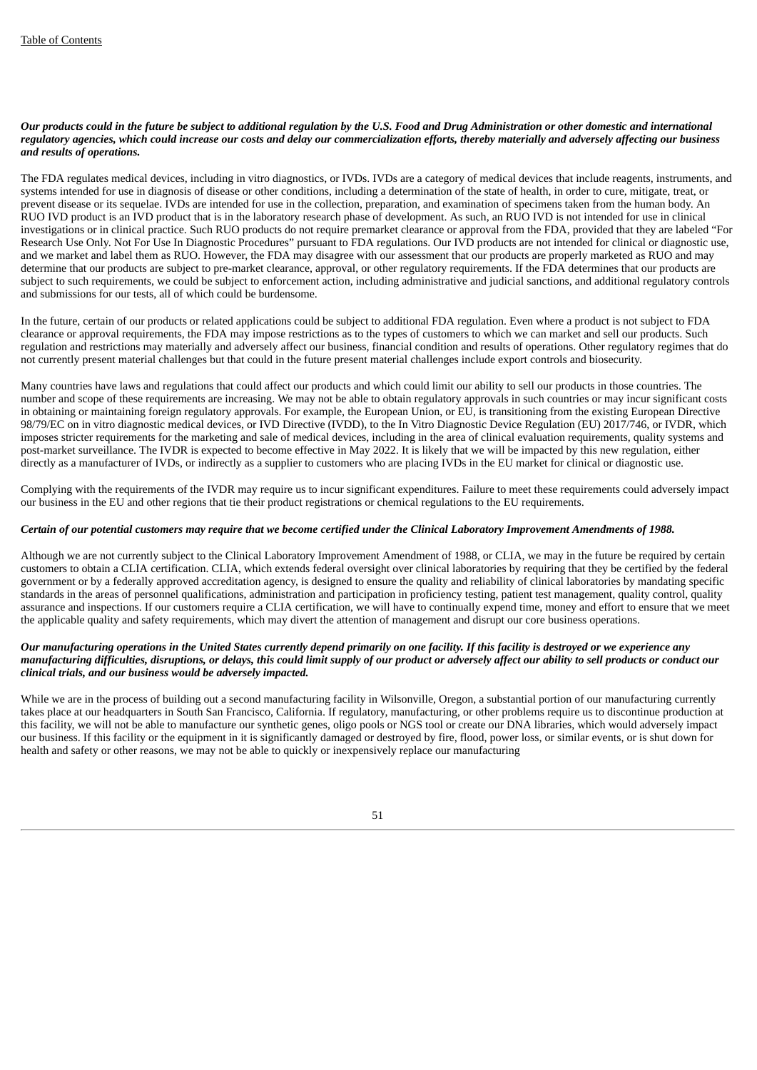## Our products could in the future be subiect to additional reaulation by the U.S. Food and Drua Administration or other domestic and international regulatory agencies, which could increase our costs and delay our commercialization efforts, thereby materially and adversely affecting our business *and results of operations.*

The FDA regulates medical devices, including in vitro diagnostics, or IVDs. IVDs are a category of medical devices that include reagents, instruments, and systems intended for use in diagnosis of disease or other conditions, including a determination of the state of health, in order to cure, mitigate, treat, or prevent disease or its sequelae. IVDs are intended for use in the collection, preparation, and examination of specimens taken from the human body. An RUO IVD product is an IVD product that is in the laboratory research phase of development. As such, an RUO IVD is not intended for use in clinical investigations or in clinical practice. Such RUO products do not require premarket clearance or approval from the FDA, provided that they are labeled "For Research Use Only. Not For Use In Diagnostic Procedures" pursuant to FDA regulations. Our IVD products are not intended for clinical or diagnostic use, and we market and label them as RUO. However, the FDA may disagree with our assessment that our products are properly marketed as RUO and may determine that our products are subject to pre-market clearance, approval, or other regulatory requirements. If the FDA determines that our products are subject to such requirements, we could be subject to enforcement action, including administrative and judicial sanctions, and additional regulatory controls and submissions for our tests, all of which could be burdensome.

In the future, certain of our products or related applications could be subject to additional FDA regulation. Even where a product is not subject to FDA clearance or approval requirements, the FDA may impose restrictions as to the types of customers to which we can market and sell our products. Such regulation and restrictions may materially and adversely affect our business, financial condition and results of operations. Other regulatory regimes that do not currently present material challenges but that could in the future present material challenges include export controls and biosecurity.

Many countries have laws and regulations that could affect our products and which could limit our ability to sell our products in those countries. The number and scope of these requirements are increasing. We may not be able to obtain regulatory approvals in such countries or may incur significant costs in obtaining or maintaining foreign regulatory approvals. For example, the European Union, or EU, is transitioning from the existing European Directive 98/79/EC on in vitro diagnostic medical devices, or IVD Directive (IVDD), to the In Vitro Diagnostic Device Regulation (EU) 2017/746, or IVDR, which imposes stricter requirements for the marketing and sale of medical devices, including in the area of clinical evaluation requirements, quality systems and post-market surveillance. The IVDR is expected to become effective in May 2022. It is likely that we will be impacted by this new regulation, either directly as a manufacturer of IVDs, or indirectly as a supplier to customers who are placing IVDs in the EU market for clinical or diagnostic use.

Complying with the requirements of the IVDR may require us to incur significant expenditures. Failure to meet these requirements could adversely impact our business in the EU and other regions that tie their product registrations or chemical regulations to the EU requirements.

#### Certain of our potential customers may reauire that we become certified under the Clinical Laboratory Improvement Amendments of 1988.

Although we are not currently subject to the Clinical Laboratory Improvement Amendment of 1988, or CLIA, we may in the future be required by certain customers to obtain a CLIA certification. CLIA, which extends federal oversight over clinical laboratories by requiring that they be certified by the federal government or by a federally approved accreditation agency, is designed to ensure the quality and reliability of clinical laboratories by mandating specific standards in the areas of personnel qualifications, administration and participation in proficiency testing, patient test management, quality control, quality assurance and inspections. If our customers require a CLIA certification, we will have to continually expend time, money and effort to ensure that we meet the applicable quality and safety requirements, which may divert the attention of management and disrupt our core business operations.

## Our manufacturing operations in the United States currently depend primarily on one facility. If this facility is destroyed or we experience any manufacturing difficulties, disruptions, or delays, this could limit supply of our product or adversely affect our ability to sell products or conduct our *clinical trials, and our business would be adversely impacted.*

While we are in the process of building out a second manufacturing facility in Wilsonville, Oregon, a substantial portion of our manufacturing currently takes place at our headquarters in South San Francisco, California. If regulatory, manufacturing, or other problems require us to discontinue production at this facility, we will not be able to manufacture our synthetic genes, oligo pools or NGS tool or create our DNA libraries, which would adversely impact our business. If this facility or the equipment in it is significantly damaged or destroyed by fire, flood, power loss, or similar events, or is shut down for health and safety or other reasons, we may not be able to quickly or inexpensively replace our manufacturing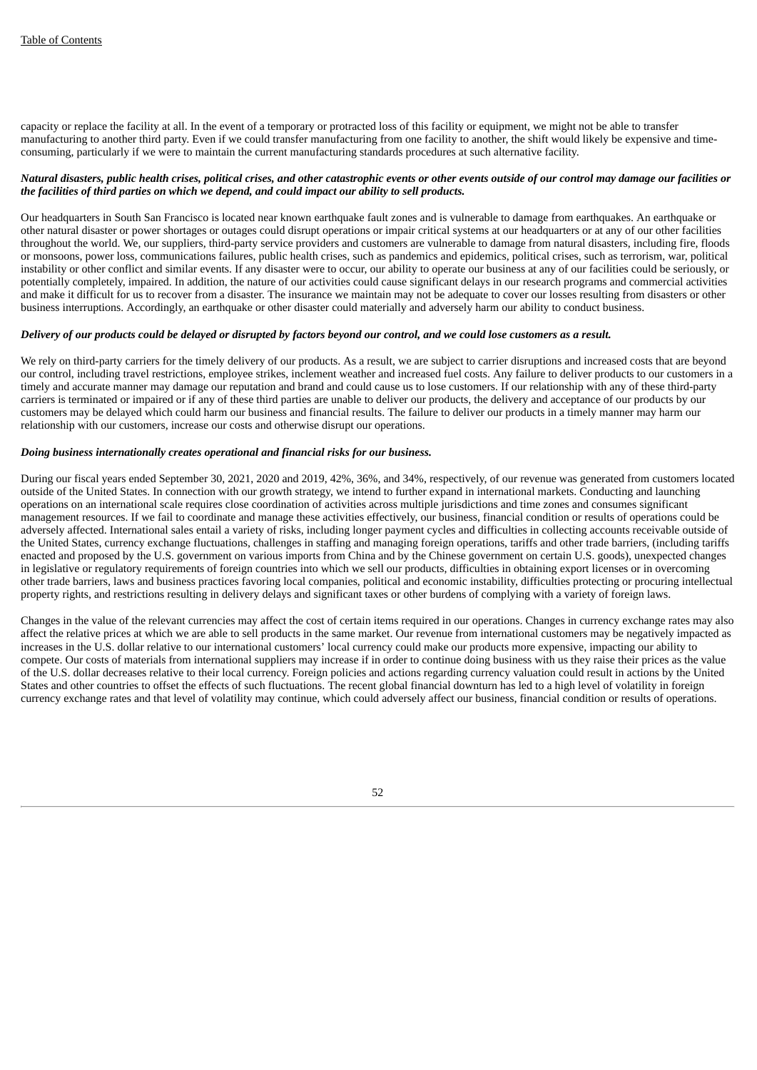capacity or replace the facility at all. In the event of a temporary or protracted loss of this facility or equipment, we might not be able to transfer manufacturing to another third party. Even if we could transfer manufacturing from one facility to another, the shift would likely be expensive and timeconsuming, particularly if we were to maintain the current manufacturing standards procedures at such alternative facility.

#### Natural disasters, public health crises, political crises, and other catastrophic events or other events outside of our control may damage our facilities or *the facilities of third parties on which we depend, and could impact our ability to sell products.*

Our headquarters in South San Francisco is located near known earthquake fault zones and is vulnerable to damage from earthquakes. An earthquake or other natural disaster or power shortages or outages could disrupt operations or impair critical systems at our headquarters or at any of our other facilities throughout the world. We, our suppliers, third-party service providers and customers are vulnerable to damage from natural disasters, including fire, floods or monsoons, power loss, communications failures, public health crises, such as pandemics and epidemics, political crises, such as terrorism, war, political instability or other conflict and similar events. If any disaster were to occur, our ability to operate our business at any of our facilities could be seriously, or potentially completely, impaired. In addition, the nature of our activities could cause significant delays in our research programs and commercial activities and make it difficult for us to recover from a disaster. The insurance we maintain may not be adequate to cover our losses resulting from disasters or other business interruptions. Accordingly, an earthquake or other disaster could materially and adversely harm our ability to conduct business.

#### Delivery of our products could be delayed or disrupted by factors beyond our control, and we could lose customers as a result.

We rely on third-party carriers for the timely delivery of our products. As a result, we are subject to carrier disruptions and increased costs that are beyond our control, including travel restrictions, employee strikes, inclement weather and increased fuel costs. Any failure to deliver products to our customers in a timely and accurate manner may damage our reputation and brand and could cause us to lose customers. If our relationship with any of these third-party carriers is terminated or impaired or if any of these third parties are unable to deliver our products, the delivery and acceptance of our products by our customers may be delayed which could harm our business and financial results. The failure to deliver our products in a timely manner may harm our relationship with our customers, increase our costs and otherwise disrupt our operations.

## *Doing business internationally creates operational and financial risks for our business.*

During our fiscal years ended September 30, 2021, 2020 and 2019, 42%, 36%, and 34%, respectively, of our revenue was generated from customers located outside of the United States. In connection with our growth strategy, we intend to further expand in international markets. Conducting and launching operations on an international scale requires close coordination of activities across multiple jurisdictions and time zones and consumes significant management resources. If we fail to coordinate and manage these activities effectively, our business, financial condition or results of operations could be adversely affected. International sales entail a variety of risks, including longer payment cycles and difficulties in collecting accounts receivable outside of the United States, currency exchange fluctuations, challenges in staffing and managing foreign operations, tariffs and other trade barriers, (including tariffs enacted and proposed by the U.S. government on various imports from China and by the Chinese government on certain U.S. goods), unexpected changes in legislative or regulatory requirements of foreign countries into which we sell our products, difficulties in obtaining export licenses or in overcoming other trade barriers, laws and business practices favoring local companies, political and economic instability, difficulties protecting or procuring intellectual property rights, and restrictions resulting in delivery delays and significant taxes or other burdens of complying with a variety of foreign laws.

Changes in the value of the relevant currencies may affect the cost of certain items required in our operations. Changes in currency exchange rates may also affect the relative prices at which we are able to sell products in the same market. Our revenue from international customers may be negatively impacted as increases in the U.S. dollar relative to our international customers' local currency could make our products more expensive, impacting our ability to compete. Our costs of materials from international suppliers may increase if in order to continue doing business with us they raise their prices as the value of the U.S. dollar decreases relative to their local currency. Foreign policies and actions regarding currency valuation could result in actions by the United States and other countries to offset the effects of such fluctuations. The recent global financial downturn has led to a high level of volatility in foreign currency exchange rates and that level of volatility may continue, which could adversely affect our business, financial condition or results of operations.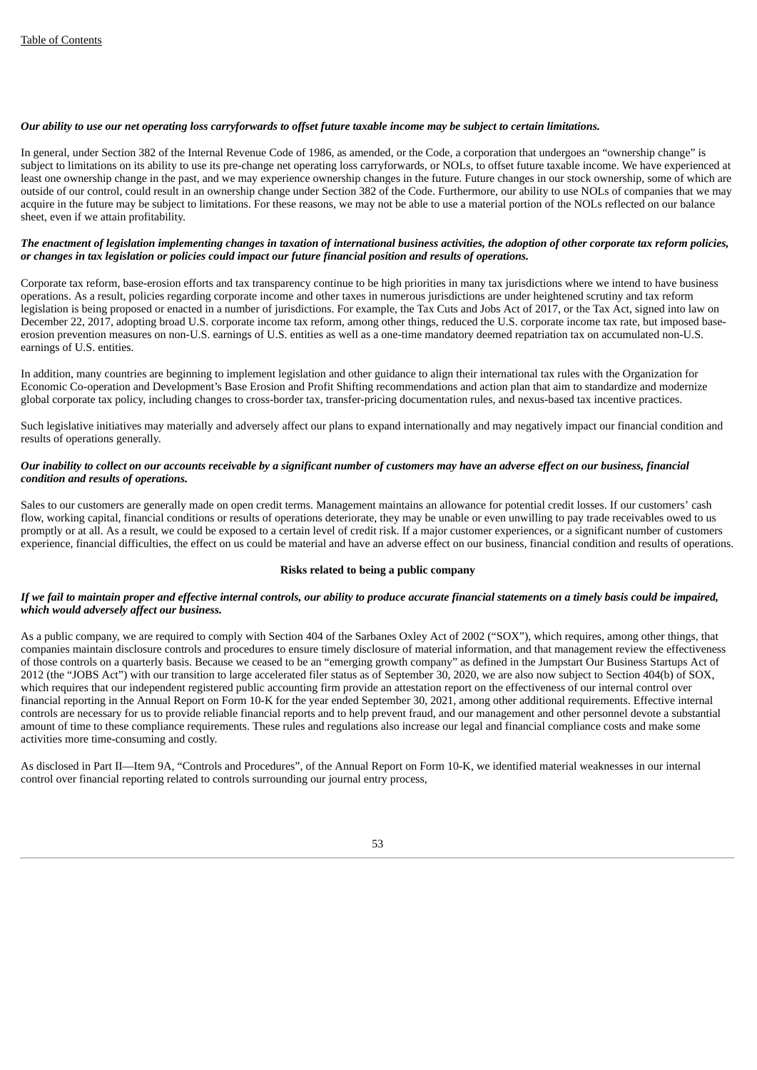#### Our ability to use our net operatina loss carryforwards to offset future taxable income may be subject to certain limitations.

In general, under Section 382 of the Internal Revenue Code of 1986, as amended, or the Code, a corporation that undergoes an "ownership change" is subject to limitations on its ability to use its pre-change net operating loss carryforwards, or NOLs, to offset future taxable income. We have experienced at least one ownership change in the past, and we may experience ownership changes in the future. Future changes in our stock ownership, some of which are outside of our control, could result in an ownership change under Section 382 of the Code. Furthermore, our ability to use NOLs of companies that we may acquire in the future may be subject to limitations. For these reasons, we may not be able to use a material portion of the NOLs reflected on our balance sheet, even if we attain profitability.

#### The enactment of legislation implementing changes in taxation of international business activities, the adoption of other corporate tax reform policies, or changes in tax legislation or policies could impact our future financial position and results of operations.

Corporate tax reform, base-erosion efforts and tax transparency continue to be high priorities in many tax jurisdictions where we intend to have business operations. As a result, policies regarding corporate income and other taxes in numerous jurisdictions are under heightened scrutiny and tax reform legislation is being proposed or enacted in a number of jurisdictions. For example, the Tax Cuts and Jobs Act of 2017, or the Tax Act, signed into law on December 22, 2017, adopting broad U.S. corporate income tax reform, among other things, reduced the U.S. corporate income tax rate, but imposed baseerosion prevention measures on non-U.S. earnings of U.S. entities as well as a one-time mandatory deemed repatriation tax on accumulated non-U.S. earnings of U.S. entities.

In addition, many countries are beginning to implement legislation and other guidance to align their international tax rules with the Organization for Economic Co-operation and Development's Base Erosion and Profit Shifting recommendations and action plan that aim to standardize and modernize global corporate tax policy, including changes to cross-border tax, transfer-pricing documentation rules, and nexus-based tax incentive practices.

Such legislative initiatives may materially and adversely affect our plans to expand internationally and may negatively impact our financial condition and results of operations generally.

## Our inability to collect on our accounts receivable by a significant number of customers may have an adverse effect on our business, financial *condition and results of operations.*

Sales to our customers are generally made on open credit terms. Management maintains an allowance for potential credit losses. If our customers' cash flow, working capital, financial conditions or results of operations deteriorate, they may be unable or even unwilling to pay trade receivables owed to us promptly or at all. As a result, we could be exposed to a certain level of credit risk. If a major customer experiences, or a significant number of customers experience, financial difficulties, the effect on us could be material and have an adverse effect on our business, financial condition and results of operations.

#### **Risks related to being a public company**

#### If we fail to maintain proper and effective internal controls, our ability to produce accurate financial statements on a timely basis could be impaired, *which would adversely affect our business.*

As a public company, we are required to comply with Section 404 of the Sarbanes Oxley Act of 2002 ("SOX"), which requires, among other things, that companies maintain disclosure controls and procedures to ensure timely disclosure of material information, and that management review the effectiveness of those controls on a quarterly basis. Because we ceased to be an "emerging growth company" as defined in the Jumpstart Our Business Startups Act of 2012 (the "JOBS Act") with our transition to large accelerated filer status as of September 30, 2020, we are also now subject to Section 404(b) of SOX, which requires that our independent registered public accounting firm provide an attestation report on the effectiveness of our internal control over financial reporting in the Annual Report on Form 10-K for the year ended September 30, 2021, among other additional requirements. Effective internal controls are necessary for us to provide reliable financial reports and to help prevent fraud, and our management and other personnel devote a substantial amount of time to these compliance requirements. These rules and regulations also increase our legal and financial compliance costs and make some activities more time-consuming and costly.

As disclosed in Part II—Item 9A, "Controls and Procedures", of the Annual Report on Form 10-K, we identified material weaknesses in our internal control over financial reporting related to controls surrounding our journal entry process,

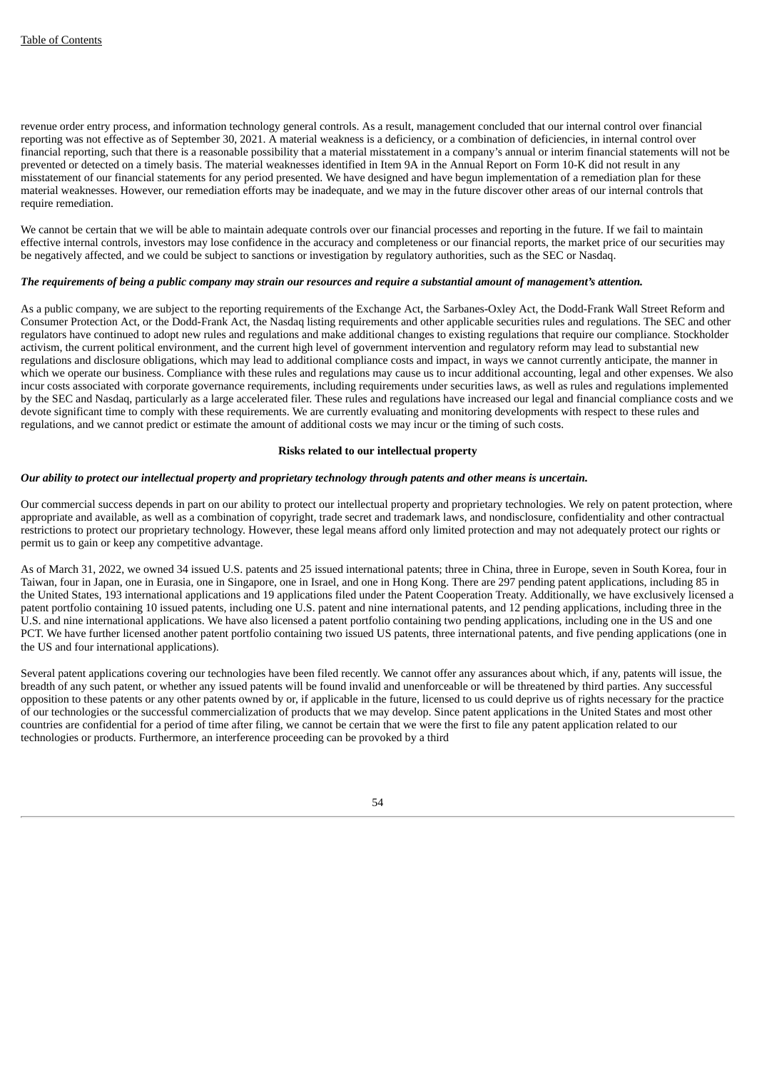revenue order entry process, and information technology general controls. As a result, management concluded that our internal control over financial reporting was not effective as of September 30, 2021. A material weakness is a deficiency, or a combination of deficiencies, in internal control over financial reporting, such that there is a reasonable possibility that a material misstatement in a company's annual or interim financial statements will not be prevented or detected on a timely basis. The material weaknesses identified in Item 9A in the Annual Report on Form 10-K did not result in any misstatement of our financial statements for any period presented. We have designed and have begun implementation of a remediation plan for these material weaknesses. However, our remediation efforts may be inadequate, and we may in the future discover other areas of our internal controls that require remediation.

We cannot be certain that we will be able to maintain adequate controls over our financial processes and reporting in the future. If we fail to maintain effective internal controls, investors may lose confidence in the accuracy and completeness or our financial reports, the market price of our securities may be negatively affected, and we could be subject to sanctions or investigation by regulatory authorities, such as the SEC or Nasdaq.

#### The requirements of being a public company may strain our resources and require a substantial amount of management's attention.

As a public company, we are subject to the reporting requirements of the Exchange Act, the Sarbanes-Oxley Act, the Dodd-Frank Wall Street Reform and Consumer Protection Act, or the Dodd-Frank Act, the Nasdaq listing requirements and other applicable securities rules and regulations. The SEC and other regulators have continued to adopt new rules and regulations and make additional changes to existing regulations that require our compliance. Stockholder activism, the current political environment, and the current high level of government intervention and regulatory reform may lead to substantial new regulations and disclosure obligations, which may lead to additional compliance costs and impact, in ways we cannot currently anticipate, the manner in which we operate our business. Compliance with these rules and regulations may cause us to incur additional accounting, legal and other expenses. We also incur costs associated with corporate governance requirements, including requirements under securities laws, as well as rules and regulations implemented by the SEC and Nasdaq, particularly as a large accelerated filer. These rules and regulations have increased our legal and financial compliance costs and we devote significant time to comply with these requirements. We are currently evaluating and monitoring developments with respect to these rules and regulations, and we cannot predict or estimate the amount of additional costs we may incur or the timing of such costs.

#### **Risks related to our intellectual property**

#### Our ability to protect our intellectual property and proprietary technology through patents and other means is uncertain.

Our commercial success depends in part on our ability to protect our intellectual property and proprietary technologies. We rely on patent protection, where appropriate and available, as well as a combination of copyright, trade secret and trademark laws, and nondisclosure, confidentiality and other contractual restrictions to protect our proprietary technology. However, these legal means afford only limited protection and may not adequately protect our rights or permit us to gain or keep any competitive advantage.

As of March 31, 2022, we owned 34 issued U.S. patents and 25 issued international patents; three in China, three in Europe, seven in South Korea, four in Taiwan, four in Japan, one in Eurasia, one in Singapore, one in Israel, and one in Hong Kong. There are 297 pending patent applications, including 85 in the United States, 193 international applications and 19 applications filed under the Patent Cooperation Treaty. Additionally, we have exclusively licensed a patent portfolio containing 10 issued patents, including one U.S. patent and nine international patents, and 12 pending applications, including three in the U.S. and nine international applications. We have also licensed a patent portfolio containing two pending applications, including one in the US and one PCT. We have further licensed another patent portfolio containing two issued US patents, three international patents, and five pending applications (one in the US and four international applications).

Several patent applications covering our technologies have been filed recently. We cannot offer any assurances about which, if any, patents will issue, the breadth of any such patent, or whether any issued patents will be found invalid and unenforceable or will be threatened by third parties. Any successful opposition to these patents or any other patents owned by or, if applicable in the future, licensed to us could deprive us of rights necessary for the practice of our technologies or the successful commercialization of products that we may develop. Since patent applications in the United States and most other countries are confidential for a period of time after filing, we cannot be certain that we were the first to file any patent application related to our technologies or products. Furthermore, an interference proceeding can be provoked by a third

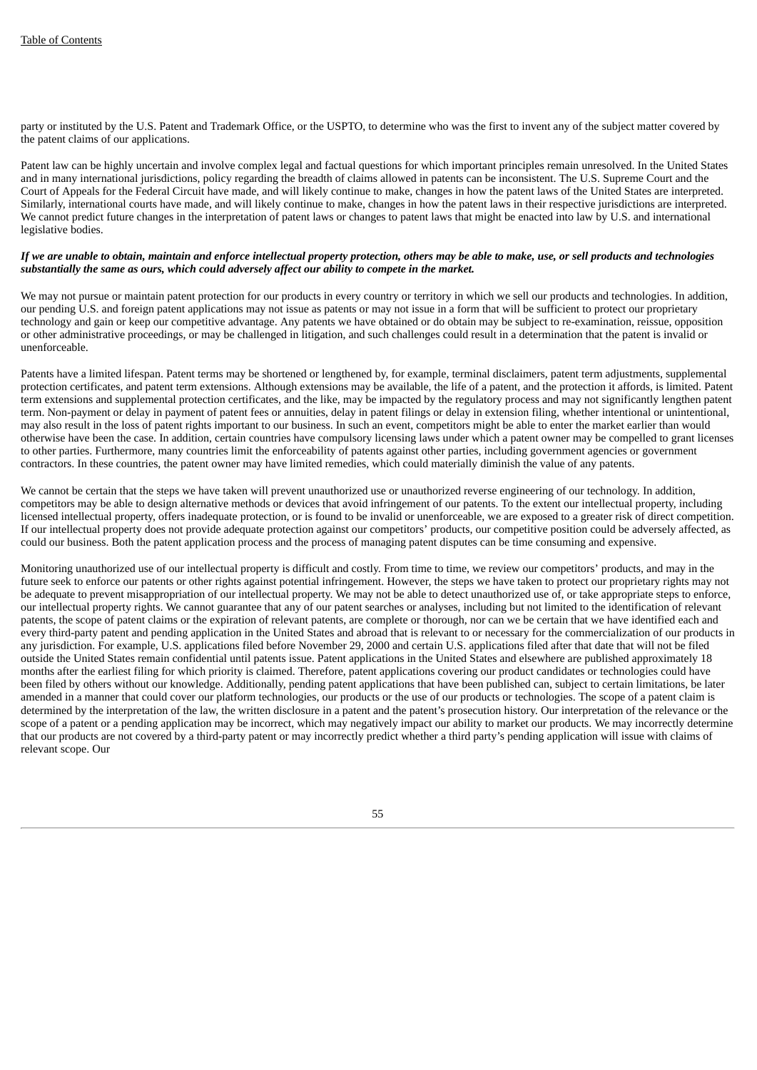party or instituted by the U.S. Patent and Trademark Office, or the USPTO, to determine who was the first to invent any of the subject matter covered by the patent claims of our applications.

Patent law can be highly uncertain and involve complex legal and factual questions for which important principles remain unresolved. In the United States and in many international jurisdictions, policy regarding the breadth of claims allowed in patents can be inconsistent. The U.S. Supreme Court and the Court of Appeals for the Federal Circuit have made, and will likely continue to make, changes in how the patent laws of the United States are interpreted. Similarly, international courts have made, and will likely continue to make, changes in how the patent laws in their respective jurisdictions are interpreted. We cannot predict future changes in the interpretation of patent laws or changes to patent laws that might be enacted into law by U.S. and international legislative bodies.

#### If we are unable to obtain, maintain and enforce intellectual property protection, others may be able to make, use, or sell products and technologies *substantially the same as ours, which could adversely affect our ability to compete in the market.*

We may not pursue or maintain patent protection for our products in every country or territory in which we sell our products and technologies. In addition, our pending U.S. and foreign patent applications may not issue as patents or may not issue in a form that will be sufficient to protect our proprietary technology and gain or keep our competitive advantage. Any patents we have obtained or do obtain may be subject to re-examination, reissue, opposition or other administrative proceedings, or may be challenged in litigation, and such challenges could result in a determination that the patent is invalid or unenforceable.

Patents have a limited lifespan. Patent terms may be shortened or lengthened by, for example, terminal disclaimers, patent term adjustments, supplemental protection certificates, and patent term extensions. Although extensions may be available, the life of a patent, and the protection it affords, is limited. Patent term extensions and supplemental protection certificates, and the like, may be impacted by the regulatory process and may not significantly lengthen patent term. Non-payment or delay in payment of patent fees or annuities, delay in patent filings or delay in extension filing, whether intentional or unintentional, may also result in the loss of patent rights important to our business. In such an event, competitors might be able to enter the market earlier than would otherwise have been the case. In addition, certain countries have compulsory licensing laws under which a patent owner may be compelled to grant licenses to other parties. Furthermore, many countries limit the enforceability of patents against other parties, including government agencies or government contractors. In these countries, the patent owner may have limited remedies, which could materially diminish the value of any patents.

We cannot be certain that the steps we have taken will prevent unauthorized use or unauthorized reverse engineering of our technology. In addition, competitors may be able to design alternative methods or devices that avoid infringement of our patents. To the extent our intellectual property, including licensed intellectual property, offers inadequate protection, or is found to be invalid or unenforceable, we are exposed to a greater risk of direct competition. If our intellectual property does not provide adequate protection against our competitors' products, our competitive position could be adversely affected, as could our business. Both the patent application process and the process of managing patent disputes can be time consuming and expensive.

Monitoring unauthorized use of our intellectual property is difficult and costly. From time to time, we review our competitors' products, and may in the future seek to enforce our patents or other rights against potential infringement. However, the steps we have taken to protect our proprietary rights may not be adequate to prevent misappropriation of our intellectual property. We may not be able to detect unauthorized use of, or take appropriate steps to enforce, our intellectual property rights. We cannot guarantee that any of our patent searches or analyses, including but not limited to the identification of relevant patents, the scope of patent claims or the expiration of relevant patents, are complete or thorough, nor can we be certain that we have identified each and every third-party patent and pending application in the United States and abroad that is relevant to or necessary for the commercialization of our products in any jurisdiction. For example, U.S. applications filed before November 29, 2000 and certain U.S. applications filed after that date that will not be filed outside the United States remain confidential until patents issue. Patent applications in the United States and elsewhere are published approximately 18 months after the earliest filing for which priority is claimed. Therefore, patent applications covering our product candidates or technologies could have been filed by others without our knowledge. Additionally, pending patent applications that have been published can, subject to certain limitations, be later amended in a manner that could cover our platform technologies, our products or the use of our products or technologies. The scope of a patent claim is determined by the interpretation of the law, the written disclosure in a patent and the patent's prosecution history. Our interpretation of the relevance or the scope of a patent or a pending application may be incorrect, which may negatively impact our ability to market our products. We may incorrectly determine that our products are not covered by a third-party patent or may incorrectly predict whether a third party's pending application will issue with claims of relevant scope. Our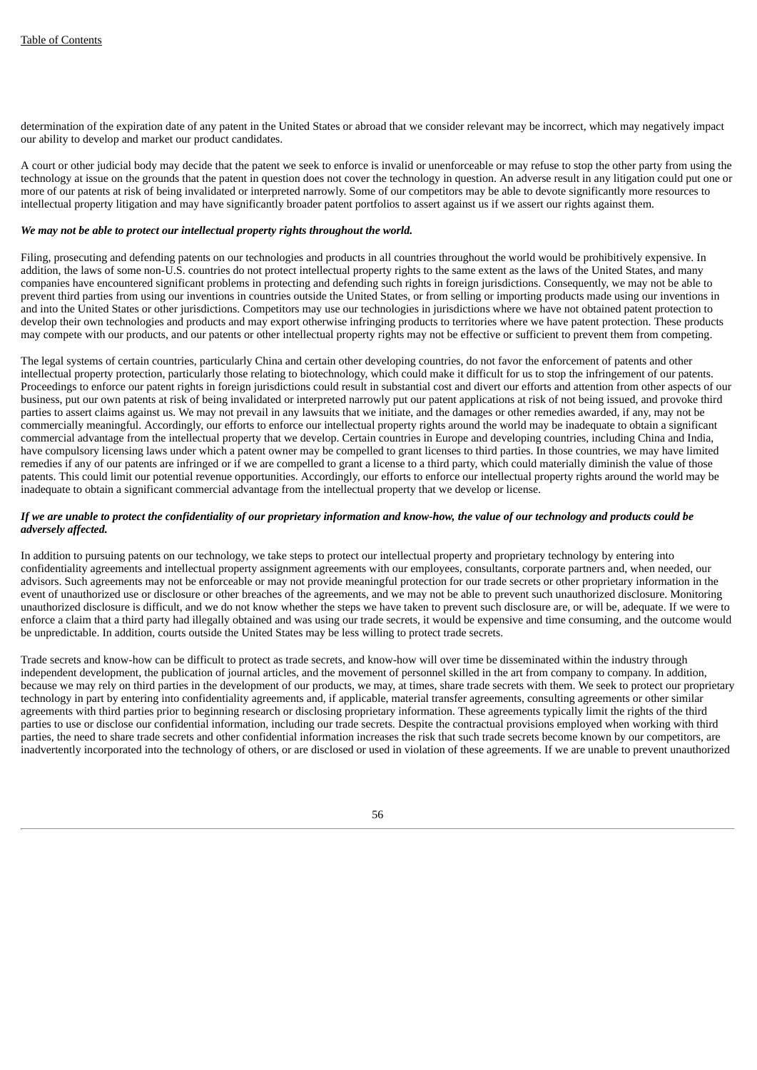determination of the expiration date of any patent in the United States or abroad that we consider relevant may be incorrect, which may negatively impact our ability to develop and market our product candidates.

A court or other judicial body may decide that the patent we seek to enforce is invalid or unenforceable or may refuse to stop the other party from using the technology at issue on the grounds that the patent in question does not cover the technology in question. An adverse result in any litigation could put one or more of our patents at risk of being invalidated or interpreted narrowly. Some of our competitors may be able to devote significantly more resources to intellectual property litigation and may have significantly broader patent portfolios to assert against us if we assert our rights against them.

#### *We may not be able to protect our intellectual property rights throughout the world.*

Filing, prosecuting and defending patents on our technologies and products in all countries throughout the world would be prohibitively expensive. In addition, the laws of some non-U.S. countries do not protect intellectual property rights to the same extent as the laws of the United States, and many companies have encountered significant problems in protecting and defending such rights in foreign jurisdictions. Consequently, we may not be able to prevent third parties from using our inventions in countries outside the United States, or from selling or importing products made using our inventions in and into the United States or other jurisdictions. Competitors may use our technologies in jurisdictions where we have not obtained patent protection to develop their own technologies and products and may export otherwise infringing products to territories where we have patent protection. These products may compete with our products, and our patents or other intellectual property rights may not be effective or sufficient to prevent them from competing.

The legal systems of certain countries, particularly China and certain other developing countries, do not favor the enforcement of patents and other intellectual property protection, particularly those relating to biotechnology, which could make it difficult for us to stop the infringement of our patents. Proceedings to enforce our patent rights in foreign jurisdictions could result in substantial cost and divert our efforts and attention from other aspects of our business, put our own patents at risk of being invalidated or interpreted narrowly put our patent applications at risk of not being issued, and provoke third parties to assert claims against us. We may not prevail in any lawsuits that we initiate, and the damages or other remedies awarded, if any, may not be commercially meaningful. Accordingly, our efforts to enforce our intellectual property rights around the world may be inadequate to obtain a significant commercial advantage from the intellectual property that we develop. Certain countries in Europe and developing countries, including China and India, have compulsory licensing laws under which a patent owner may be compelled to grant licenses to third parties. In those countries, we may have limited remedies if any of our patents are infringed or if we are compelled to grant a license to a third party, which could materially diminish the value of those patents. This could limit our potential revenue opportunities. Accordingly, our efforts to enforce our intellectual property rights around the world may be inadequate to obtain a significant commercial advantage from the intellectual property that we develop or license.

#### If we are unable to protect the confidentiality of our proprietary information and know-how, the value of our technology and products could be *adversely affected.*

In addition to pursuing patents on our technology, we take steps to protect our intellectual property and proprietary technology by entering into confidentiality agreements and intellectual property assignment agreements with our employees, consultants, corporate partners and, when needed, our advisors. Such agreements may not be enforceable or may not provide meaningful protection for our trade secrets or other proprietary information in the event of unauthorized use or disclosure or other breaches of the agreements, and we may not be able to prevent such unauthorized disclosure. Monitoring unauthorized disclosure is difficult, and we do not know whether the steps we have taken to prevent such disclosure are, or will be, adequate. If we were to enforce a claim that a third party had illegally obtained and was using our trade secrets, it would be expensive and time consuming, and the outcome would be unpredictable. In addition, courts outside the United States may be less willing to protect trade secrets.

Trade secrets and know-how can be difficult to protect as trade secrets, and know-how will over time be disseminated within the industry through independent development, the publication of journal articles, and the movement of personnel skilled in the art from company to company. In addition, because we may rely on third parties in the development of our products, we may, at times, share trade secrets with them. We seek to protect our proprietary technology in part by entering into confidentiality agreements and, if applicable, material transfer agreements, consulting agreements or other similar agreements with third parties prior to beginning research or disclosing proprietary information. These agreements typically limit the rights of the third parties to use or disclose our confidential information, including our trade secrets. Despite the contractual provisions employed when working with third parties, the need to share trade secrets and other confidential information increases the risk that such trade secrets become known by our competitors, are inadvertently incorporated into the technology of others, or are disclosed or used in violation of these agreements. If we are unable to prevent unauthorized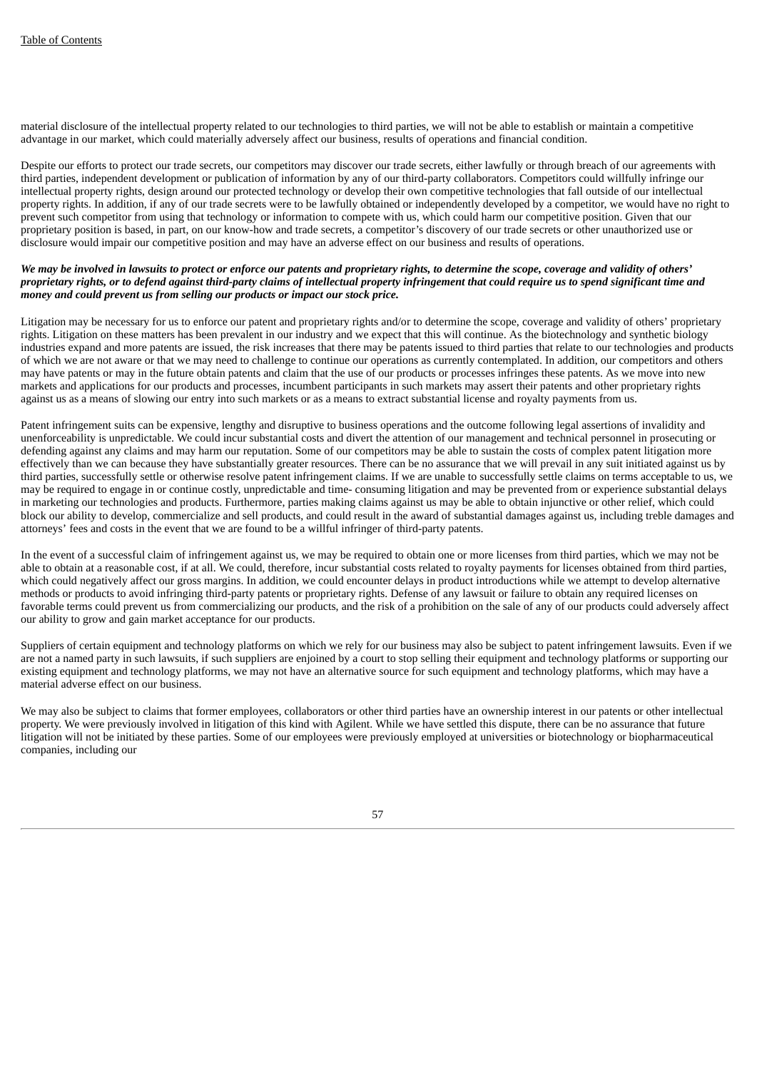material disclosure of the intellectual property related to our technologies to third parties, we will not be able to establish or maintain a competitive advantage in our market, which could materially adversely affect our business, results of operations and financial condition.

Despite our efforts to protect our trade secrets, our competitors may discover our trade secrets, either lawfully or through breach of our agreements with third parties, independent development or publication of information by any of our third-party collaborators. Competitors could willfully infringe our intellectual property rights, design around our protected technology or develop their own competitive technologies that fall outside of our intellectual property rights. In addition, if any of our trade secrets were to be lawfully obtained or independently developed by a competitor, we would have no right to prevent such competitor from using that technology or information to compete with us, which could harm our competitive position. Given that our proprietary position is based, in part, on our know-how and trade secrets, a competitor's discovery of our trade secrets or other unauthorized use or disclosure would impair our competitive position and may have an adverse effect on our business and results of operations.

#### We may be involved in lawsuits to protect or enforce our patents and proprietary rights, to determine the scope, coverage and validity of others' proprietary rights, or to defend against third-party claims of intellectual property infringement that could require us to spend significant time and *money and could prevent us from selling our products or impact our stock price.*

Litigation may be necessary for us to enforce our patent and proprietary rights and/or to determine the scope, coverage and validity of others' proprietary rights. Litigation on these matters has been prevalent in our industry and we expect that this will continue. As the biotechnology and synthetic biology industries expand and more patents are issued, the risk increases that there may be patents issued to third parties that relate to our technologies and products of which we are not aware or that we may need to challenge to continue our operations as currently contemplated. In addition, our competitors and others may have patents or may in the future obtain patents and claim that the use of our products or processes infringes these patents. As we move into new markets and applications for our products and processes, incumbent participants in such markets may assert their patents and other proprietary rights against us as a means of slowing our entry into such markets or as a means to extract substantial license and royalty payments from us.

Patent infringement suits can be expensive, lengthy and disruptive to business operations and the outcome following legal assertions of invalidity and unenforceability is unpredictable. We could incur substantial costs and divert the attention of our management and technical personnel in prosecuting or defending against any claims and may harm our reputation. Some of our competitors may be able to sustain the costs of complex patent litigation more effectively than we can because they have substantially greater resources. There can be no assurance that we will prevail in any suit initiated against us by third parties, successfully settle or otherwise resolve patent infringement claims. If we are unable to successfully settle claims on terms acceptable to us, we may be required to engage in or continue costly, unpredictable and time- consuming litigation and may be prevented from or experience substantial delays in marketing our technologies and products. Furthermore, parties making claims against us may be able to obtain injunctive or other relief, which could block our ability to develop, commercialize and sell products, and could result in the award of substantial damages against us, including treble damages and attorneys' fees and costs in the event that we are found to be a willful infringer of third-party patents.

In the event of a successful claim of infringement against us, we may be required to obtain one or more licenses from third parties, which we may not be able to obtain at a reasonable cost, if at all. We could, therefore, incur substantial costs related to royalty payments for licenses obtained from third parties, which could negatively affect our gross margins. In addition, we could encounter delays in product introductions while we attempt to develop alternative methods or products to avoid infringing third-party patents or proprietary rights. Defense of any lawsuit or failure to obtain any required licenses on favorable terms could prevent us from commercializing our products, and the risk of a prohibition on the sale of any of our products could adversely affect our ability to grow and gain market acceptance for our products.

Suppliers of certain equipment and technology platforms on which we rely for our business may also be subject to patent infringement lawsuits. Even if we are not a named party in such lawsuits, if such suppliers are enjoined by a court to stop selling their equipment and technology platforms or supporting our existing equipment and technology platforms, we may not have an alternative source for such equipment and technology platforms, which may have a material adverse effect on our business.

We may also be subject to claims that former employees, collaborators or other third parties have an ownership interest in our patents or other intellectual property. We were previously involved in litigation of this kind with Agilent. While we have settled this dispute, there can be no assurance that future litigation will not be initiated by these parties. Some of our employees were previously employed at universities or biotechnology or biopharmaceutical companies, including our

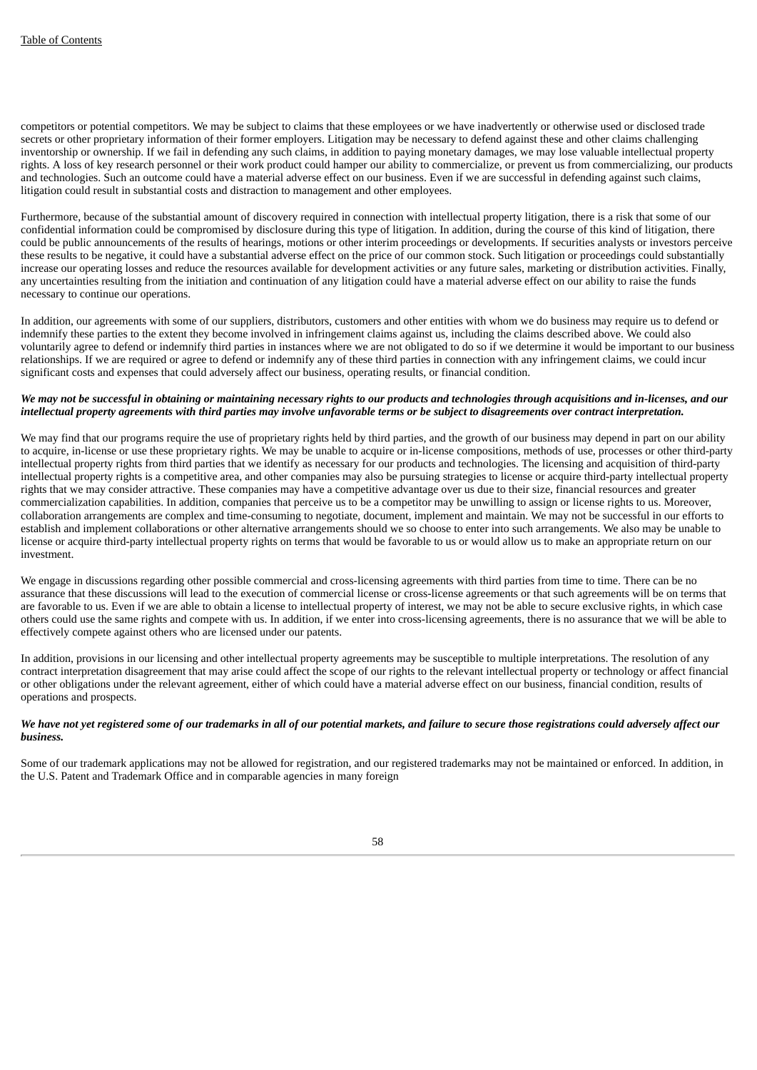competitors or potential competitors. We may be subject to claims that these employees or we have inadvertently or otherwise used or disclosed trade secrets or other proprietary information of their former employers. Litigation may be necessary to defend against these and other claims challenging inventorship or ownership. If we fail in defending any such claims, in addition to paying monetary damages, we may lose valuable intellectual property rights. A loss of key research personnel or their work product could hamper our ability to commercialize, or prevent us from commercializing, our products and technologies. Such an outcome could have a material adverse effect on our business. Even if we are successful in defending against such claims, litigation could result in substantial costs and distraction to management and other employees.

Furthermore, because of the substantial amount of discovery required in connection with intellectual property litigation, there is a risk that some of our confidential information could be compromised by disclosure during this type of litigation. In addition, during the course of this kind of litigation, there could be public announcements of the results of hearings, motions or other interim proceedings or developments. If securities analysts or investors perceive these results to be negative, it could have a substantial adverse effect on the price of our common stock. Such litigation or proceedings could substantially increase our operating losses and reduce the resources available for development activities or any future sales, marketing or distribution activities. Finally, any uncertainties resulting from the initiation and continuation of any litigation could have a material adverse effect on our ability to raise the funds necessary to continue our operations.

In addition, our agreements with some of our suppliers, distributors, customers and other entities with whom we do business may require us to defend or indemnify these parties to the extent they become involved in infringement claims against us, including the claims described above. We could also voluntarily agree to defend or indemnify third parties in instances where we are not obligated to do so if we determine it would be important to our business relationships. If we are required or agree to defend or indemnify any of these third parties in connection with any infringement claims, we could incur significant costs and expenses that could adversely affect our business, operating results, or financial condition.

#### We may not be successful in obtaining or maintaining necessary rights to our products and technologies through acquisitions and in-licenses, and our intellectual property agreements with third parties may involve unfavorable terms or be subject to disagreements over contract interpretation.

We may find that our programs require the use of proprietary rights held by third parties, and the growth of our business may depend in part on our ability to acquire, in-license or use these proprietary rights. We may be unable to acquire or in-license compositions, methods of use, processes or other third-party intellectual property rights from third parties that we identify as necessary for our products and technologies. The licensing and acquisition of third-party intellectual property rights is a competitive area, and other companies may also be pursuing strategies to license or acquire third-party intellectual property rights that we may consider attractive. These companies may have a competitive advantage over us due to their size, financial resources and greater commercialization capabilities. In addition, companies that perceive us to be a competitor may be unwilling to assign or license rights to us. Moreover, collaboration arrangements are complex and time-consuming to negotiate, document, implement and maintain. We may not be successful in our efforts to establish and implement collaborations or other alternative arrangements should we so choose to enter into such arrangements. We also may be unable to license or acquire third-party intellectual property rights on terms that would be favorable to us or would allow us to make an appropriate return on our investment.

We engage in discussions regarding other possible commercial and cross-licensing agreements with third parties from time to time. There can be no assurance that these discussions will lead to the execution of commercial license or cross-license agreements or that such agreements will be on terms that are favorable to us. Even if we are able to obtain a license to intellectual property of interest, we may not be able to secure exclusive rights, in which case others could use the same rights and compete with us. In addition, if we enter into cross-licensing agreements, there is no assurance that we will be able to effectively compete against others who are licensed under our patents.

In addition, provisions in our licensing and other intellectual property agreements may be susceptible to multiple interpretations. The resolution of any contract interpretation disagreement that may arise could affect the scope of our rights to the relevant intellectual property or technology or affect financial or other obligations under the relevant agreement, either of which could have a material adverse effect on our business, financial condition, results of operations and prospects.

#### We have not yet registered some of our trademarks in all of our potential markets, and failure to secure those registrations could adversely affect our *business.*

Some of our trademark applications may not be allowed for registration, and our registered trademarks may not be maintained or enforced. In addition, in the U.S. Patent and Trademark Office and in comparable agencies in many foreign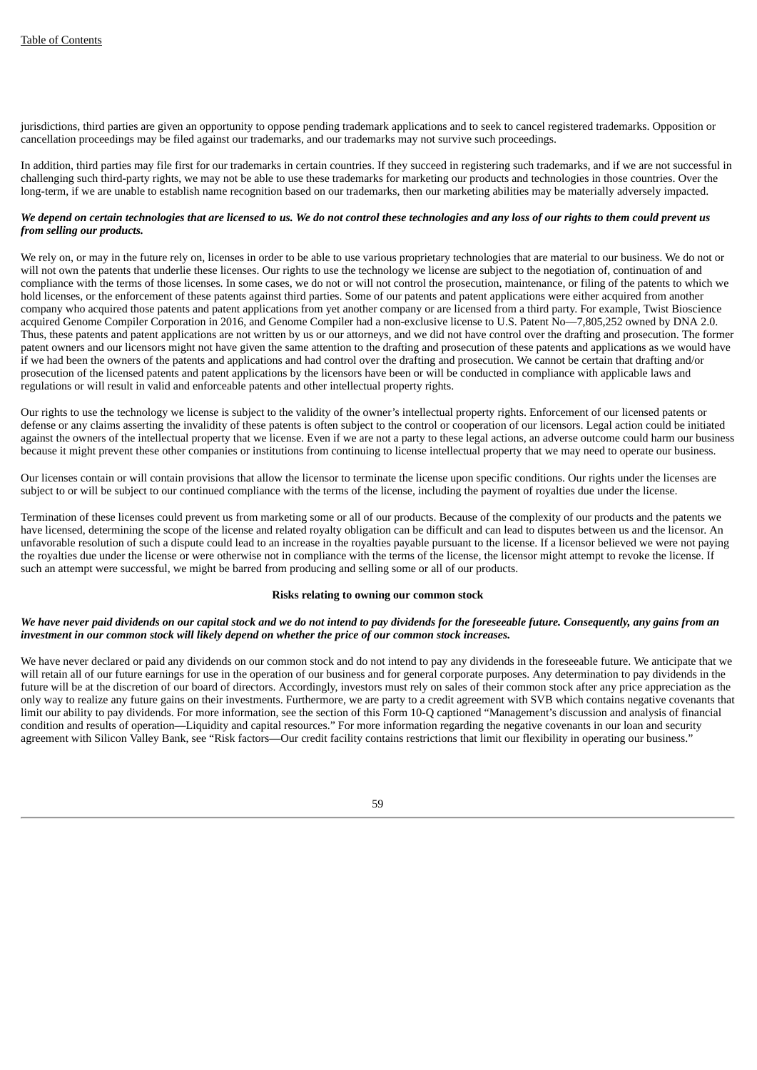jurisdictions, third parties are given an opportunity to oppose pending trademark applications and to seek to cancel registered trademarks. Opposition or cancellation proceedings may be filed against our trademarks, and our trademarks may not survive such proceedings.

In addition, third parties may file first for our trademarks in certain countries. If they succeed in registering such trademarks, and if we are not successful in challenging such third-party rights, we may not be able to use these trademarks for marketing our products and technologies in those countries. Over the long-term, if we are unable to establish name recognition based on our trademarks, then our marketing abilities may be materially adversely impacted.

#### We depend on certain technologies that are licensed to us. We do not control these technologies and any loss of our rights to them could prevent us *from selling our products.*

We rely on, or may in the future rely on, licenses in order to be able to use various proprietary technologies that are material to our business. We do not or will not own the patents that underlie these licenses. Our rights to use the technology we license are subject to the negotiation of, continuation of and compliance with the terms of those licenses. In some cases, we do not or will not control the prosecution, maintenance, or filing of the patents to which we hold licenses, or the enforcement of these patents against third parties. Some of our patents and patent applications were either acquired from another company who acquired those patents and patent applications from yet another company or are licensed from a third party. For example, Twist Bioscience acquired Genome Compiler Corporation in 2016, and Genome Compiler had a non-exclusive license to U.S. Patent No—7,805,252 owned by DNA 2.0. Thus, these patents and patent applications are not written by us or our attorneys, and we did not have control over the drafting and prosecution. The former patent owners and our licensors might not have given the same attention to the drafting and prosecution of these patents and applications as we would have if we had been the owners of the patents and applications and had control over the drafting and prosecution. We cannot be certain that drafting and/or prosecution of the licensed patents and patent applications by the licensors have been or will be conducted in compliance with applicable laws and regulations or will result in valid and enforceable patents and other intellectual property rights.

Our rights to use the technology we license is subject to the validity of the owner's intellectual property rights. Enforcement of our licensed patents or defense or any claims asserting the invalidity of these patents is often subject to the control or cooperation of our licensors. Legal action could be initiated against the owners of the intellectual property that we license. Even if we are not a party to these legal actions, an adverse outcome could harm our business because it might prevent these other companies or institutions from continuing to license intellectual property that we may need to operate our business.

Our licenses contain or will contain provisions that allow the licensor to terminate the license upon specific conditions. Our rights under the licenses are subject to or will be subject to our continued compliance with the terms of the license, including the payment of royalties due under the license.

Termination of these licenses could prevent us from marketing some or all of our products. Because of the complexity of our products and the patents we have licensed, determining the scope of the license and related royalty obligation can be difficult and can lead to disputes between us and the licensor. An unfavorable resolution of such a dispute could lead to an increase in the royalties payable pursuant to the license. If a licensor believed we were not paying the royalties due under the license or were otherwise not in compliance with the terms of the license, the licensor might attempt to revoke the license. If such an attempt were successful, we might be barred from producing and selling some or all of our products.

#### **Risks relating to owning our common stock**

#### We have never paid dividends on our capital stock and we do not intend to pay dividends for the foreseeable future. Consequently, any gains from an *investment in our common stock will likely depend on whether the price of our common stock increases.*

We have never declared or paid any dividends on our common stock and do not intend to pay any dividends in the foreseeable future. We anticipate that we will retain all of our future earnings for use in the operation of our business and for general corporate purposes. Any determination to pay dividends in the future will be at the discretion of our board of directors. Accordingly, investors must rely on sales of their common stock after any price appreciation as the only way to realize any future gains on their investments. Furthermore, we are party to a credit agreement with SVB which contains negative covenants that limit our ability to pay dividends. For more information, see the section of this Form 10-Q captioned "Management's discussion and analysis of financial condition and results of operation—Liquidity and capital resources." For more information regarding the negative covenants in our loan and security agreement with Silicon Valley Bank, see "Risk factors—Our credit facility contains restrictions that limit our flexibility in operating our business."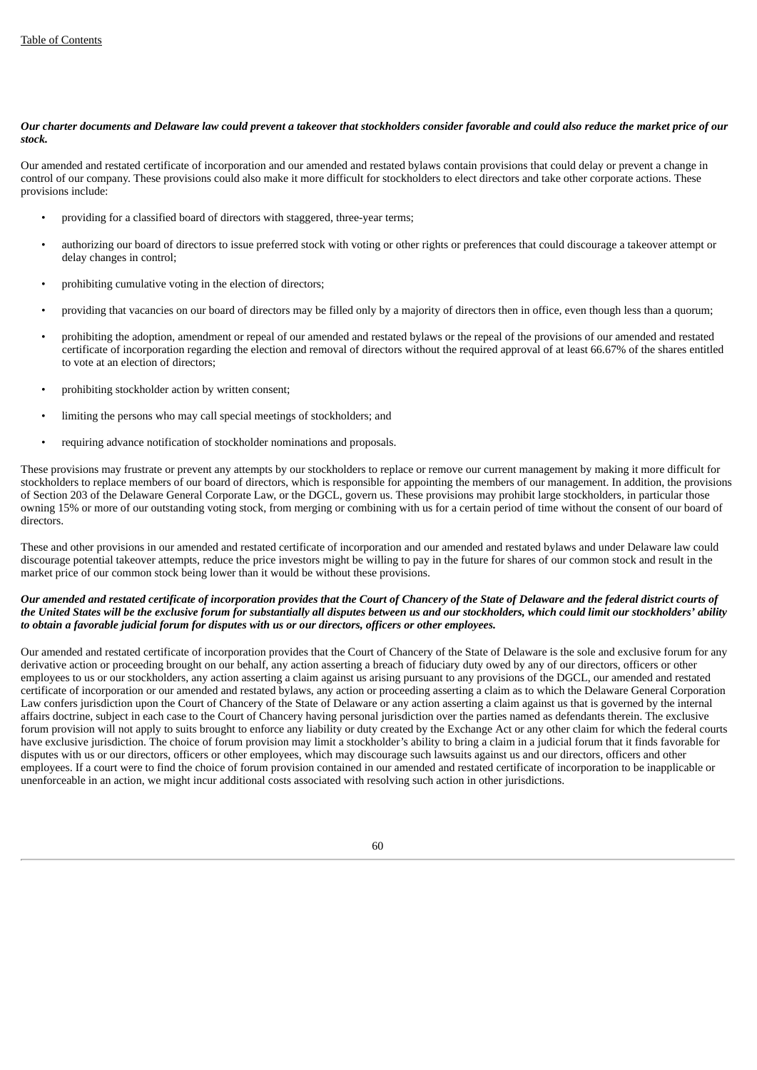## Our charter documents and Delaware law could prevent a takeover that stockholders consider favorable and could also reduce the market price of our *stock.*

Our amended and restated certificate of incorporation and our amended and restated bylaws contain provisions that could delay or prevent a change in control of our company. These provisions could also make it more difficult for stockholders to elect directors and take other corporate actions. These provisions include:

- providing for a classified board of directors with staggered, three-year terms;
- authorizing our board of directors to issue preferred stock with voting or other rights or preferences that could discourage a takeover attempt or delay changes in control;
- prohibiting cumulative voting in the election of directors;
- providing that vacancies on our board of directors may be filled only by a majority of directors then in office, even though less than a quorum;
- prohibiting the adoption, amendment or repeal of our amended and restated bylaws or the repeal of the provisions of our amended and restated certificate of incorporation regarding the election and removal of directors without the required approval of at least 66.67% of the shares entitled to vote at an election of directors;
- prohibiting stockholder action by written consent;
- limiting the persons who may call special meetings of stockholders; and
- requiring advance notification of stockholder nominations and proposals.

These provisions may frustrate or prevent any attempts by our stockholders to replace or remove our current management by making it more difficult for stockholders to replace members of our board of directors, which is responsible for appointing the members of our management. In addition, the provisions of Section 203 of the Delaware General Corporate Law, or the DGCL, govern us. These provisions may prohibit large stockholders, in particular those owning 15% or more of our outstanding voting stock, from merging or combining with us for a certain period of time without the consent of our board of directors.

These and other provisions in our amended and restated certificate of incorporation and our amended and restated bylaws and under Delaware law could discourage potential takeover attempts, reduce the price investors might be willing to pay in the future for shares of our common stock and result in the market price of our common stock being lower than it would be without these provisions.

## Our amended and restated certificate of incorporation provides that the Court of Chancery of the State of Delaware and the federal district courts of the United States will be the exclusive forum for substantially all disputes between us and our stockholders, which could limit our stockholders' ability *to obtain a favorable judicial forum for disputes with us or our directors, officers or other employees.*

Our amended and restated certificate of incorporation provides that the Court of Chancery of the State of Delaware is the sole and exclusive forum for any derivative action or proceeding brought on our behalf, any action asserting a breach of fiduciary duty owed by any of our directors, officers or other employees to us or our stockholders, any action asserting a claim against us arising pursuant to any provisions of the DGCL, our amended and restated certificate of incorporation or our amended and restated bylaws, any action or proceeding asserting a claim as to which the Delaware General Corporation Law confers jurisdiction upon the Court of Chancery of the State of Delaware or any action asserting a claim against us that is governed by the internal affairs doctrine, subject in each case to the Court of Chancery having personal jurisdiction over the parties named as defendants therein. The exclusive forum provision will not apply to suits brought to enforce any liability or duty created by the Exchange Act or any other claim for which the federal courts have exclusive jurisdiction. The choice of forum provision may limit a stockholder's ability to bring a claim in a judicial forum that it finds favorable for disputes with us or our directors, officers or other employees, which may discourage such lawsuits against us and our directors, officers and other employees. If a court were to find the choice of forum provision contained in our amended and restated certificate of incorporation to be inapplicable or unenforceable in an action, we might incur additional costs associated with resolving such action in other jurisdictions.

60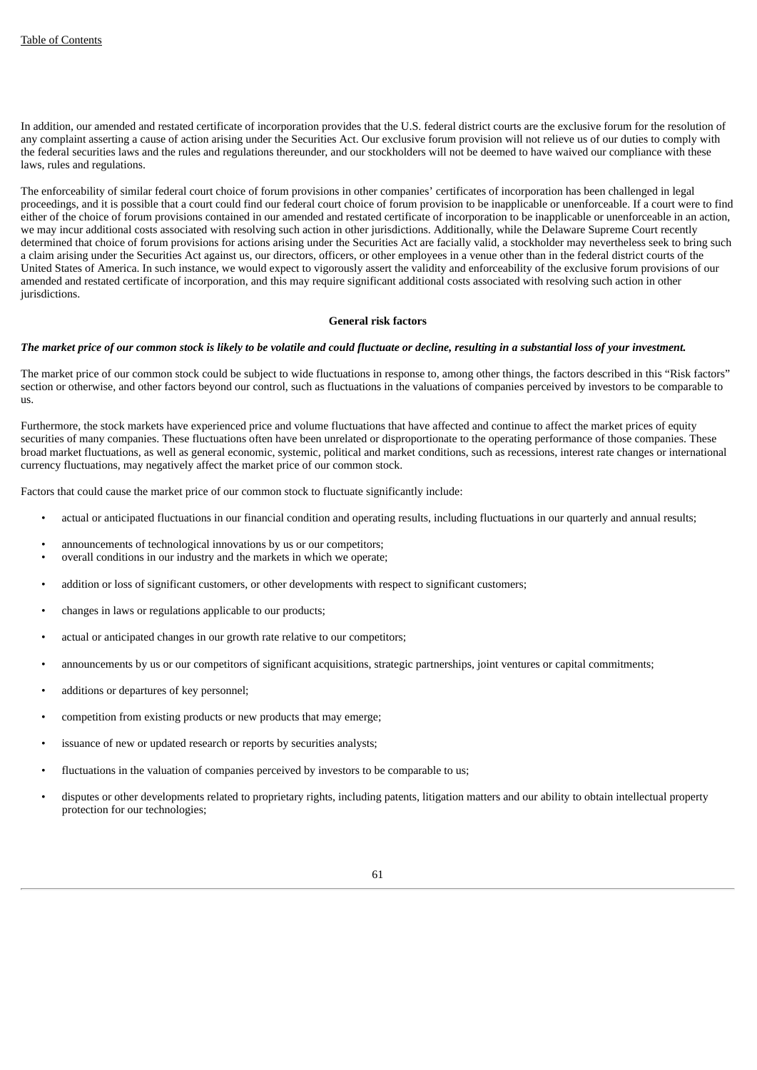In addition, our amended and restated certificate of incorporation provides that the U.S. federal district courts are the exclusive forum for the resolution of any complaint asserting a cause of action arising under the Securities Act. Our exclusive forum provision will not relieve us of our duties to comply with the federal securities laws and the rules and regulations thereunder, and our stockholders will not be deemed to have waived our compliance with these laws, rules and regulations.

The enforceability of similar federal court choice of forum provisions in other companies' certificates of incorporation has been challenged in legal proceedings, and it is possible that a court could find our federal court choice of forum provision to be inapplicable or unenforceable. If a court were to find either of the choice of forum provisions contained in our amended and restated certificate of incorporation to be inapplicable or unenforceable in an action, we may incur additional costs associated with resolving such action in other jurisdictions. Additionally, while the Delaware Supreme Court recently determined that choice of forum provisions for actions arising under the Securities Act are facially valid, a stockholder may nevertheless seek to bring such a claim arising under the Securities Act against us, our directors, officers, or other employees in a venue other than in the federal district courts of the United States of America. In such instance, we would expect to vigorously assert the validity and enforceability of the exclusive forum provisions of our amended and restated certificate of incorporation, and this may require significant additional costs associated with resolving such action in other jurisdictions.

#### **General risk factors**

#### The market price of our common stock is likely to be volatile and could fluctuate or decline, resulting in a substantial loss of your investment.

The market price of our common stock could be subject to wide fluctuations in response to, among other things, the factors described in this "Risk factors" section or otherwise, and other factors beyond our control, such as fluctuations in the valuations of companies perceived by investors to be comparable to us.

Furthermore, the stock markets have experienced price and volume fluctuations that have affected and continue to affect the market prices of equity securities of many companies. These fluctuations often have been unrelated or disproportionate to the operating performance of those companies. These broad market fluctuations, as well as general economic, systemic, political and market conditions, such as recessions, interest rate changes or international currency fluctuations, may negatively affect the market price of our common stock.

Factors that could cause the market price of our common stock to fluctuate significantly include:

- actual or anticipated fluctuations in our financial condition and operating results, including fluctuations in our quarterly and annual results;
- announcements of technological innovations by us or our competitors;
- overall conditions in our industry and the markets in which we operate;
- addition or loss of significant customers, or other developments with respect to significant customers;
- changes in laws or regulations applicable to our products;
- actual or anticipated changes in our growth rate relative to our competitors;
- announcements by us or our competitors of significant acquisitions, strategic partnerships, joint ventures or capital commitments;
- additions or departures of key personnel;
- competition from existing products or new products that may emerge;
- issuance of new or updated research or reports by securities analysts;
- fluctuations in the valuation of companies perceived by investors to be comparable to us;
- disputes or other developments related to proprietary rights, including patents, litigation matters and our ability to obtain intellectual property protection for our technologies;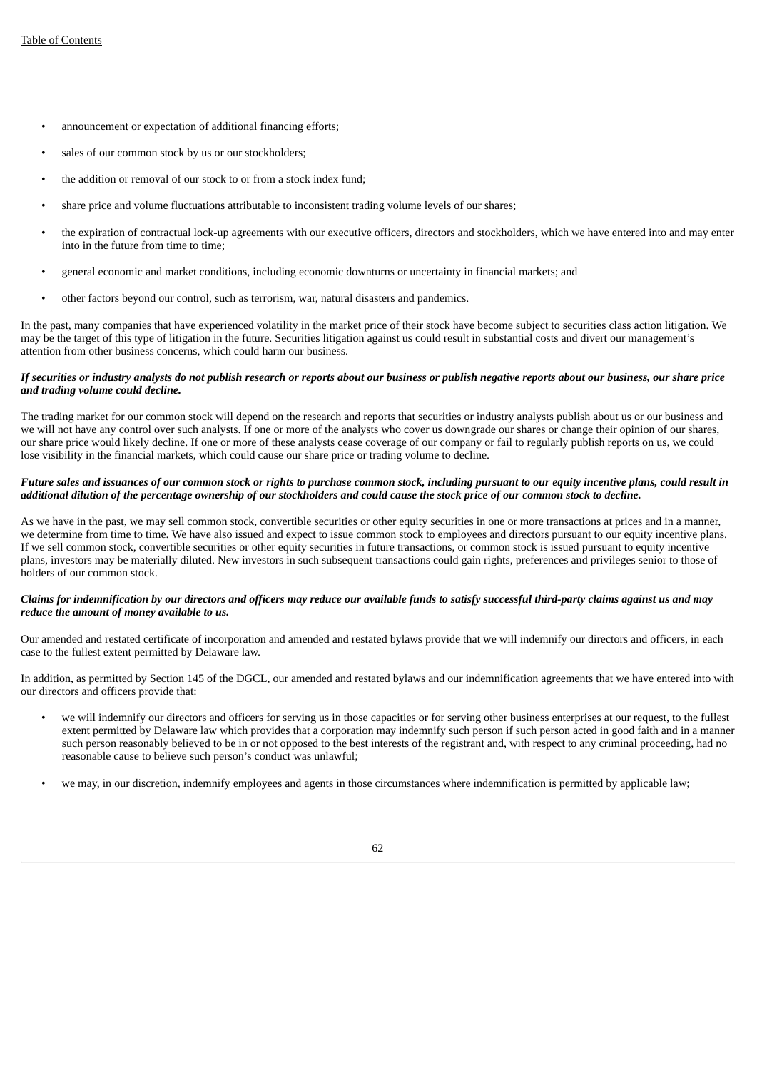- announcement or expectation of additional financing efforts:
- sales of our common stock by us or our stockholders;
- the addition or removal of our stock to or from a stock index fund;
- share price and volume fluctuations attributable to inconsistent trading volume levels of our shares;
- the expiration of contractual lock-up agreements with our executive officers, directors and stockholders, which we have entered into and may enter into in the future from time to time;
- general economic and market conditions, including economic downturns or uncertainty in financial markets; and
- other factors beyond our control, such as terrorism, war, natural disasters and pandemics.

In the past, many companies that have experienced volatility in the market price of their stock have become subject to securities class action litigation. We may be the target of this type of litigation in the future. Securities litigation against us could result in substantial costs and divert our management's attention from other business concerns, which could harm our business.

#### If securities or industry analysts do not publish research or reports about our business or publish negative reports about our business, our share price *and trading volume could decline.*

The trading market for our common stock will depend on the research and reports that securities or industry analysts publish about us or our business and we will not have any control over such analysts. If one or more of the analysts who cover us downgrade our shares or change their opinion of our shares, our share price would likely decline. If one or more of these analysts cease coverage of our company or fail to regularly publish reports on us, we could lose visibility in the financial markets, which could cause our share price or trading volume to decline.

#### Future sales and issuances of our common stock or rights to purchase common stock, including pursuant to our equity incentive plans, could result in additional dilution of the percentage ownership of our stockholders and could cause the stock price of our common stock to decline.

As we have in the past, we may sell common stock, convertible securities or other equity securities in one or more transactions at prices and in a manner. we determine from time to time. We have also issued and expect to issue common stock to employees and directors pursuant to our equity incentive plans. If we sell common stock, convertible securities or other equity securities in future transactions, or common stock is issued pursuant to equity incentive plans, investors may be materially diluted. New investors in such subsequent transactions could gain rights, preferences and privileges senior to those of holders of our common stock.

#### Claims for indemnification by our directors and officers may reduce our available funds to satisfy successful third-party claims against us and may *reduce the amount of money available to us.*

Our amended and restated certificate of incorporation and amended and restated bylaws provide that we will indemnify our directors and officers, in each case to the fullest extent permitted by Delaware law.

In addition, as permitted by Section 145 of the DGCL, our amended and restated bylaws and our indemnification agreements that we have entered into with our directors and officers provide that:

- we will indemnify our directors and officers for serving us in those capacities or for serving other business enterprises at our request, to the fullest extent permitted by Delaware law which provides that a corporation may indemnify such person if such person acted in good faith and in a manner such person reasonably believed to be in or not opposed to the best interests of the registrant and, with respect to any criminal proceeding, had no reasonable cause to believe such person's conduct was unlawful;
- we may, in our discretion, indemnify employees and agents in those circumstances where indemnification is permitted by applicable law;

62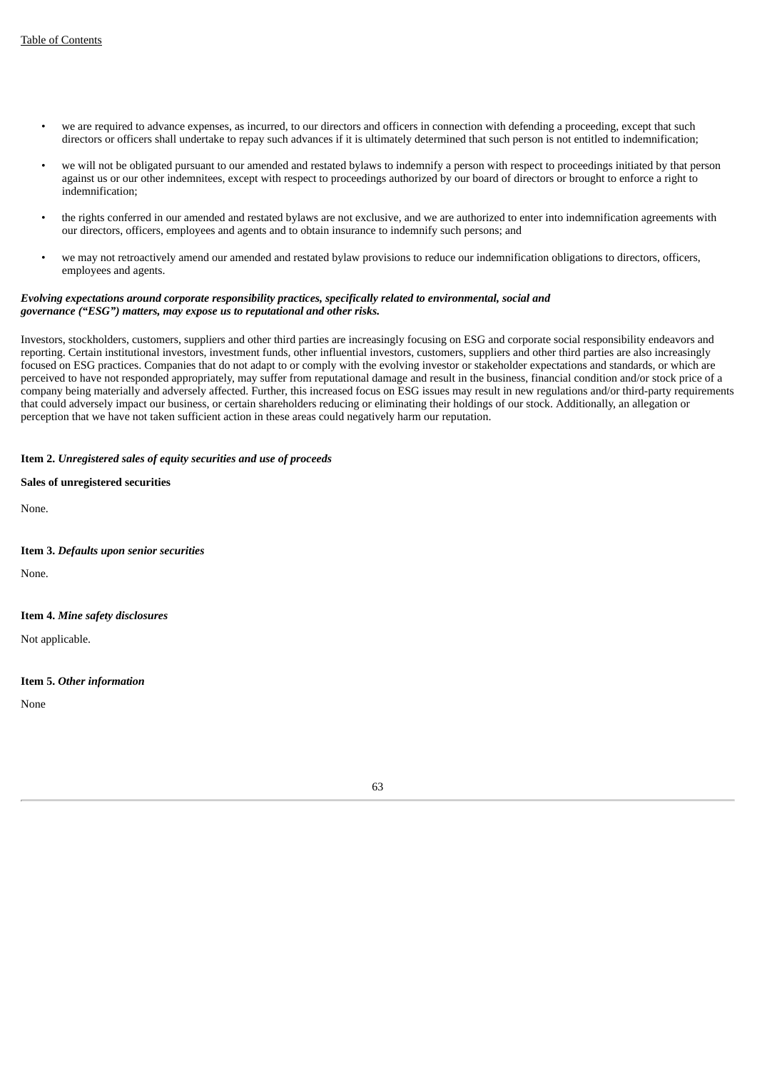- we are required to advance expenses, as incurred, to our directors and officers in connection with defending a proceeding, except that such directors or officers shall undertake to repay such advances if it is ultimately determined that such person is not entitled to indemnification;
- we will not be obligated pursuant to our amended and restated bylaws to indemnify a person with respect to proceedings initiated by that person against us or our other indemnitees, except with respect to proceedings authorized by our board of directors or brought to enforce a right to indemnification;
- the rights conferred in our amended and restated bylaws are not exclusive, and we are authorized to enter into indemnification agreements with our directors, officers, employees and agents and to obtain insurance to indemnify such persons; and
- we may not retroactively amend our amended and restated bylaw provisions to reduce our indemnification obligations to directors, officers, employees and agents.

#### *Evolving expectations around corporate responsibility practices, specifically related to environmental, social and governance ("ESG") matters, may expose us to reputational and other risks.*

Investors, stockholders, customers, suppliers and other third parties are increasingly focusing on ESG and corporate social responsibility endeavors and reporting. Certain institutional investors, investment funds, other influential investors, customers, suppliers and other third parties are also increasingly focused on ESG practices. Companies that do not adapt to or comply with the evolving investor or stakeholder expectations and standards, or which are perceived to have not responded appropriately, may suffer from reputational damage and result in the business, financial condition and/or stock price of a company being materially and adversely affected. Further, this increased focus on ESG issues may result in new regulations and/or third-party requirements that could adversely impact our business, or certain shareholders reducing or eliminating their holdings of our stock. Additionally, an allegation or perception that we have not taken sufficient action in these areas could negatively harm our reputation.

#### <span id="page-64-0"></span>**Item 2.** *Unregistered sales of equity securities and use of proceeds*

## **Sales of unregistered securities**

None.

## <span id="page-64-1"></span>**Item 3.** *Defaults upon senior securities*

None.

## <span id="page-64-2"></span>**Item 4.** *Mine safety disclosures*

Not applicable.

## <span id="page-64-3"></span>**Item 5.** *Other information*

<span id="page-64-4"></span>None

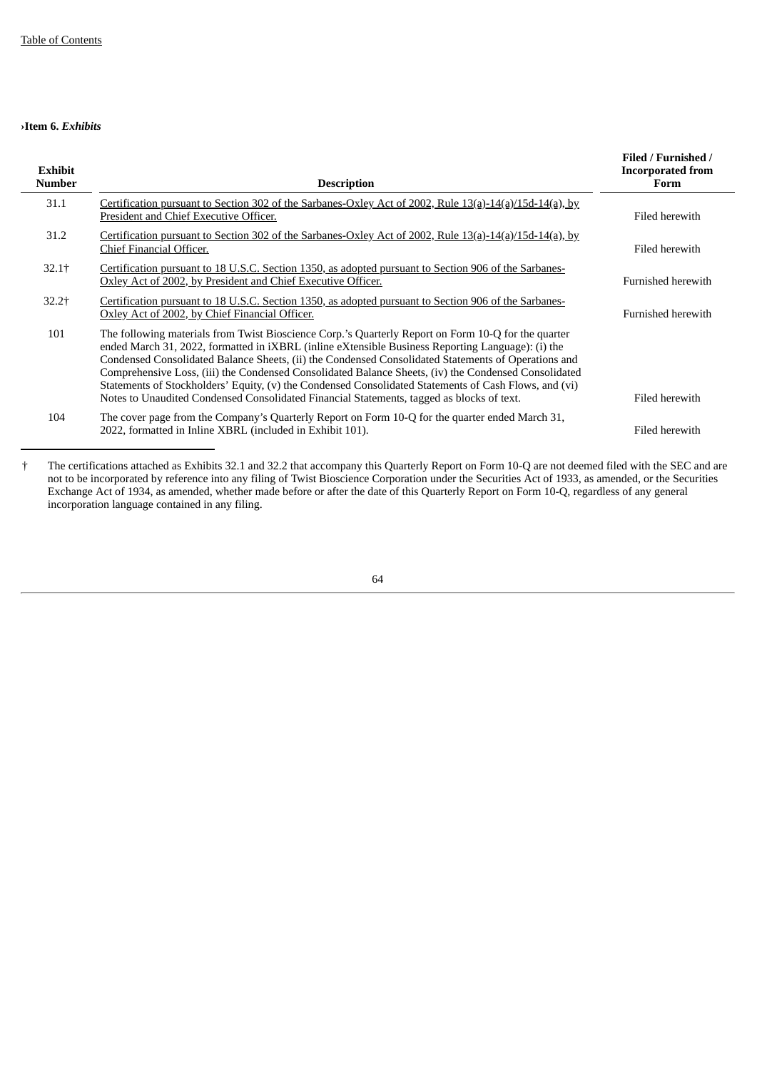## **›Item 6.** *Exhibits*

| <b>Exhibit</b><br><b>Number</b> | <b>Description</b>                                                                                                                                                                                                                                                                                                                                                                                                                                                                                                                                                                                                            | Filed / Furnished /<br><b>Incorporated from</b><br>Form |
|---------------------------------|-------------------------------------------------------------------------------------------------------------------------------------------------------------------------------------------------------------------------------------------------------------------------------------------------------------------------------------------------------------------------------------------------------------------------------------------------------------------------------------------------------------------------------------------------------------------------------------------------------------------------------|---------------------------------------------------------|
| 31.1                            | Certification pursuant to Section 302 of the Sarbanes-Oxley Act of 2002, Rule $13(a)$ -14(a)/15d-14(a), by<br>President and Chief Executive Officer.                                                                                                                                                                                                                                                                                                                                                                                                                                                                          | Filed herewith                                          |
| 31.2                            | Certification pursuant to Section 302 of the Sarbanes-Oxley Act of 2002, Rule $13(a)$ -14(a)/15d-14(a), by<br>Chief Financial Officer.                                                                                                                                                                                                                                                                                                                                                                                                                                                                                        | Filed herewith                                          |
| $32.1+$                         | Certification pursuant to 18 U.S.C. Section 1350, as adopted pursuant to Section 906 of the Sarbanes-<br>Oxley Act of 2002, by President and Chief Executive Officer.                                                                                                                                                                                                                                                                                                                                                                                                                                                         | Furnished herewith                                      |
| $32.2+$                         | Certification pursuant to 18 U.S.C. Section 1350, as adopted pursuant to Section 906 of the Sarbanes-<br>Oxley Act of 2002, by Chief Financial Officer.                                                                                                                                                                                                                                                                                                                                                                                                                                                                       | Furnished herewith                                      |
| 101                             | The following materials from Twist Bioscience Corp.'s Quarterly Report on Form 10-Q for the quarter<br>ended March 31, 2022, formatted in iXBRL (inline eXtensible Business Reporting Language): (i) the<br>Condensed Consolidated Balance Sheets, (ii) the Condensed Consolidated Statements of Operations and<br>Comprehensive Loss, (iii) the Condensed Consolidated Balance Sheets, (iv) the Condensed Consolidated<br>Statements of Stockholders' Equity, (v) the Condensed Consolidated Statements of Cash Flows, and (vi)<br>Notes to Unaudited Condensed Consolidated Financial Statements, tagged as blocks of text. | Filed herewith                                          |
| 104                             | The cover page from the Company's Quarterly Report on Form 10-Q for the quarter ended March 31,<br>2022, formatted in Inline XBRL (included in Exhibit 101).                                                                                                                                                                                                                                                                                                                                                                                                                                                                  | Filed herewith                                          |

<span id="page-65-0"></span>† The certifications attached as Exhibits 32.1 and 32.2 that accompany this Quarterly Report on Form 10-Q are not deemed filed with the SEC and are not to be incorporated by reference into any filing of Twist Bioscience Corporation under the Securities Act of 1933, as amended, or the Securities Exchange Act of 1934, as amended, whether made before or after the date of this Quarterly Report on Form 10-Q, regardless of any general incorporation language contained in any filing.

64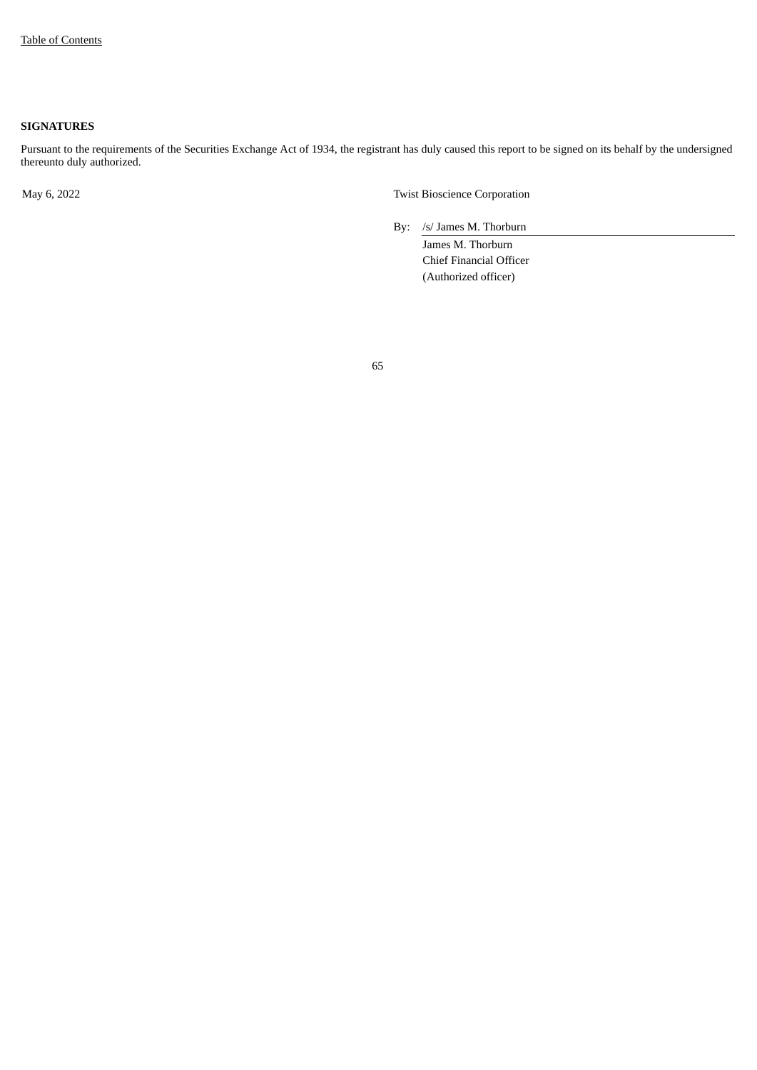## **SIGNATURES**

Pursuant to the requirements of the Securities Exchange Act of 1934, the registrant has duly caused this report to be signed on its behalf by the undersigned thereunto duly authorized.

May 6, 2022 Twist Bioscience Corporation

By: /s/ James M. Thorburn

James M. Thorburn Chief Financial Officer (Authorized officer)

65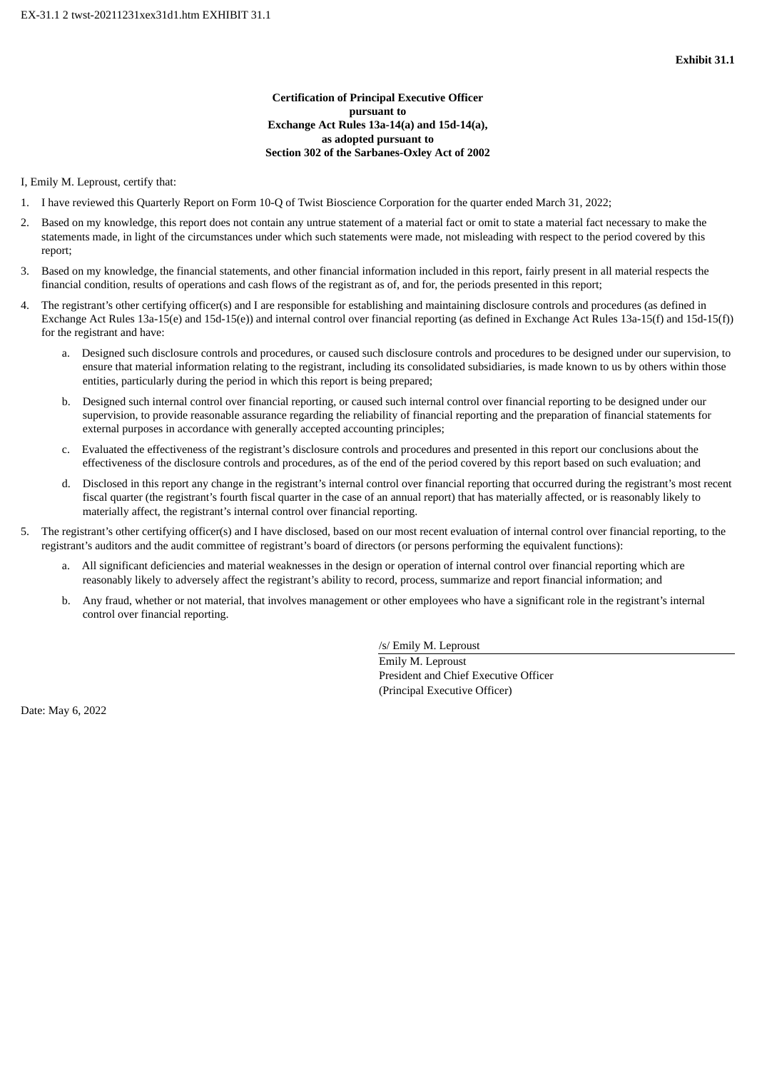## **Certification of Principal Executive Officer pursuant to Exchange Act Rules 13a-14(a) and 15d-14(a), as adopted pursuant to Section 302 of the Sarbanes-Oxley Act of 2002**

<span id="page-67-0"></span>I, Emily M. Leproust, certify that:

- 1. I have reviewed this Quarterly Report on Form 10-Q of Twist Bioscience Corporation for the quarter ended March 31, 2022;
- 2. Based on my knowledge, this report does not contain any untrue statement of a material fact or omit to state a material fact necessary to make the statements made, in light of the circumstances under which such statements were made, not misleading with respect to the period covered by this report;
- 3. Based on my knowledge, the financial statements, and other financial information included in this report, fairly present in all material respects the financial condition, results of operations and cash flows of the registrant as of, and for, the periods presented in this report;
- 4. The registrant's other certifying officer(s) and I are responsible for establishing and maintaining disclosure controls and procedures (as defined in Exchange Act Rules 13a-15(e) and 15d-15(e)) and internal control over financial reporting (as defined in Exchange Act Rules 13a-15(f) and 15d-15(f)) for the registrant and have:
	- a. Designed such disclosure controls and procedures, or caused such disclosure controls and procedures to be designed under our supervision, to ensure that material information relating to the registrant, including its consolidated subsidiaries, is made known to us by others within those entities, particularly during the period in which this report is being prepared;
	- b. Designed such internal control over financial reporting, or caused such internal control over financial reporting to be designed under our supervision, to provide reasonable assurance regarding the reliability of financial reporting and the preparation of financial statements for external purposes in accordance with generally accepted accounting principles;
	- c. Evaluated the effectiveness of the registrant's disclosure controls and procedures and presented in this report our conclusions about the effectiveness of the disclosure controls and procedures, as of the end of the period covered by this report based on such evaluation; and
	- d. Disclosed in this report any change in the registrant's internal control over financial reporting that occurred during the registrant's most recent fiscal quarter (the registrant's fourth fiscal quarter in the case of an annual report) that has materially affected, or is reasonably likely to materially affect, the registrant's internal control over financial reporting.
- 5. The registrant's other certifying officer(s) and I have disclosed, based on our most recent evaluation of internal control over financial reporting, to the registrant's auditors and the audit committee of registrant's board of directors (or persons performing the equivalent functions):
	- a. All significant deficiencies and material weaknesses in the design or operation of internal control over financial reporting which are reasonably likely to adversely affect the registrant's ability to record, process, summarize and report financial information; and
	- b. Any fraud, whether or not material, that involves management or other employees who have a significant role in the registrant's internal control over financial reporting.

/s/ Emily M. Leproust Emily M. Leproust President and Chief Executive Officer

(Principal Executive Officer)

Date: May 6, 2022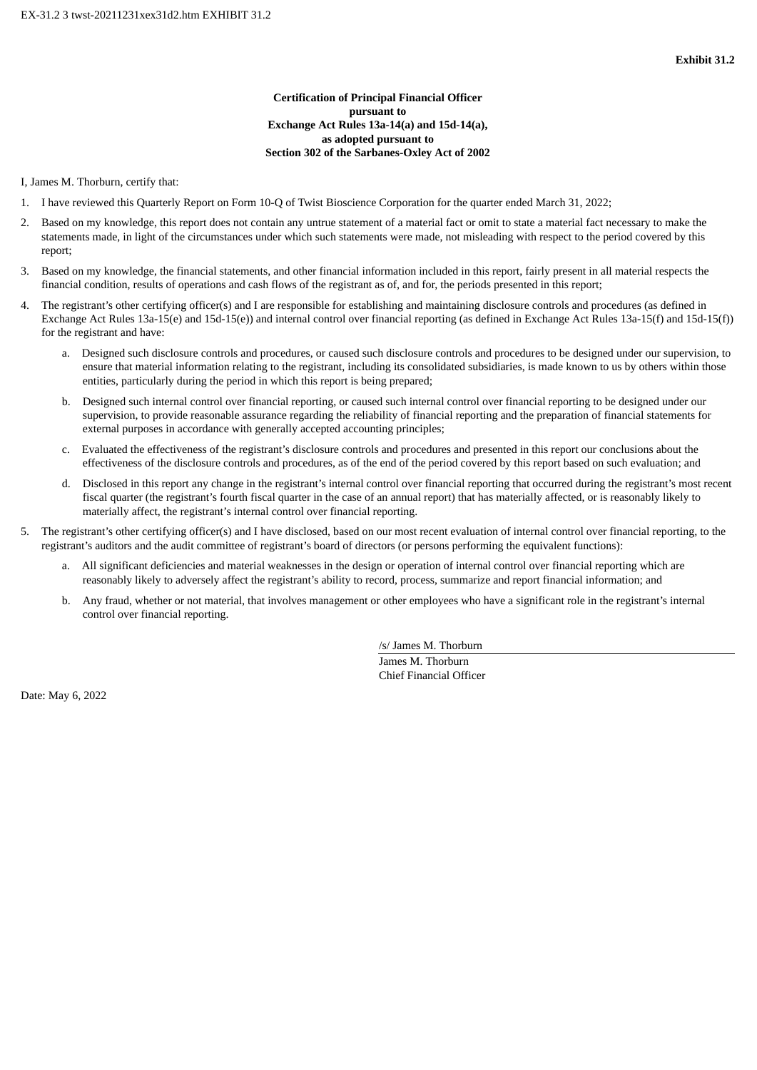## **Certification of Principal Financial Officer pursuant to Exchange Act Rules 13a-14(a) and 15d-14(a), as adopted pursuant to Section 302 of the Sarbanes-Oxley Act of 2002**

<span id="page-68-0"></span>I, James M. Thorburn, certify that:

- 1. I have reviewed this Quarterly Report on Form 10-Q of Twist Bioscience Corporation for the quarter ended March 31, 2022;
- 2. Based on my knowledge, this report does not contain any untrue statement of a material fact or omit to state a material fact necessary to make the statements made, in light of the circumstances under which such statements were made, not misleading with respect to the period covered by this report;
- 3. Based on my knowledge, the financial statements, and other financial information included in this report, fairly present in all material respects the financial condition, results of operations and cash flows of the registrant as of, and for, the periods presented in this report;
- 4. The registrant's other certifying officer(s) and I are responsible for establishing and maintaining disclosure controls and procedures (as defined in Exchange Act Rules 13a-15(e) and 15d-15(e)) and internal control over financial reporting (as defined in Exchange Act Rules 13a-15(f) and 15d-15(f)) for the registrant and have:
	- a. Designed such disclosure controls and procedures, or caused such disclosure controls and procedures to be designed under our supervision, to ensure that material information relating to the registrant, including its consolidated subsidiaries, is made known to us by others within those entities, particularly during the period in which this report is being prepared;
	- b. Designed such internal control over financial reporting, or caused such internal control over financial reporting to be designed under our supervision, to provide reasonable assurance regarding the reliability of financial reporting and the preparation of financial statements for external purposes in accordance with generally accepted accounting principles;
	- c. Evaluated the effectiveness of the registrant's disclosure controls and procedures and presented in this report our conclusions about the effectiveness of the disclosure controls and procedures, as of the end of the period covered by this report based on such evaluation; and
	- d. Disclosed in this report any change in the registrant's internal control over financial reporting that occurred during the registrant's most recent fiscal quarter (the registrant's fourth fiscal quarter in the case of an annual report) that has materially affected, or is reasonably likely to materially affect, the registrant's internal control over financial reporting.
- 5. The registrant's other certifying officer(s) and I have disclosed, based on our most recent evaluation of internal control over financial reporting, to the registrant's auditors and the audit committee of registrant's board of directors (or persons performing the equivalent functions):
	- a. All significant deficiencies and material weaknesses in the design or operation of internal control over financial reporting which are reasonably likely to adversely affect the registrant's ability to record, process, summarize and report financial information; and
	- b. Any fraud, whether or not material, that involves management or other employees who have a significant role in the registrant's internal control over financial reporting.

/s/ James M. Thorburn James M. Thorburn Chief Financial Officer

Date: May 6, 2022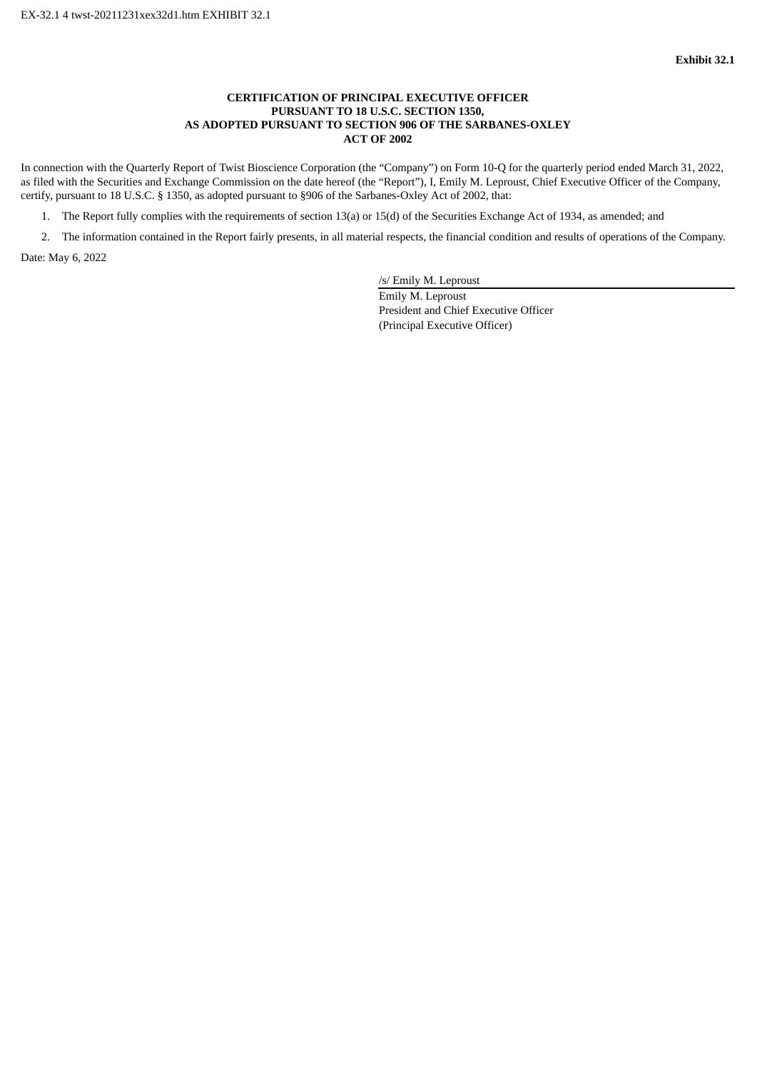## **CERTIFICATION OF PRINCIPAL EXECUTIVE OFFICER PURSUANT TO 18 U.S.C. SECTION 1350, AS ADOPTED PURSUANT TO SECTION 906 OF THE SARBANES-OXLEY ACT OF 2002**

<span id="page-69-0"></span>In connection with the Quarterly Report of Twist Bioscience Corporation (the "Company") on Form 10-Q for the quarterly period ended March 31, 2022, as filed with the Securities and Exchange Commission on the date hereof (the "Report"), I, Emily M. Leproust, Chief Executive Officer of the Company, certify, pursuant to 18 U.S.C. § 1350, as adopted pursuant to §906 of the Sarbanes-Oxley Act of 2002, that:

1. The Report fully complies with the requirements of section 13(a) or 15(d) of the Securities Exchange Act of 1934, as amended; and

2. The information contained in the Report fairly presents, in all material respects, the financial condition and results of operations of the Company.

Date: May 6, 2022

/s/ Emily M. Leproust

Emily M. Leproust President and Chief Executive Officer (Principal Executive Officer)